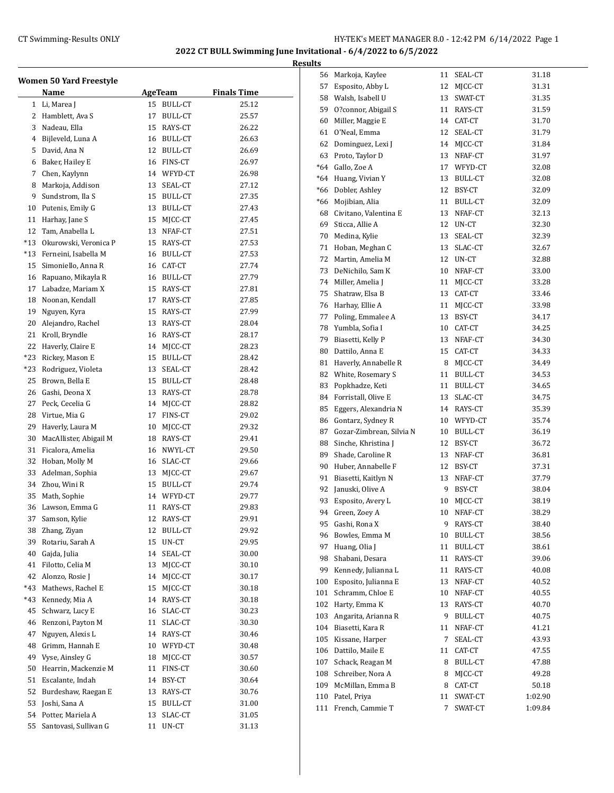|       | <b>Women 50 Yard Freestyle</b><br>Name |    | <b>AgeTeam</b> | <b>Finals Time</b> |
|-------|----------------------------------------|----|----------------|--------------------|
| 1     | Li, Marea J                            | 15 | <b>BULL-CT</b> | 25.12              |
|       | 2 Hamblett, Ava S                      | 17 | <b>BULL-CT</b> | 25.57              |
|       | 3 Nadeau, Ella                         | 15 | RAYS-CT        | 26.22              |
|       | 4 Bijleveld, Luna A                    |    | 16 BULL-CT     | 26.63              |
| 5     | David, Ana N                           |    | 12 BULL-CT     | 26.69              |
| 6     | Baker, Hailey E                        |    | 16 FINS-CT     | 26.97              |
| 7     | Chen, Kaylynn                          |    | 14 WFYD-CT     | 26.98              |
| 8     | Markoja, Addison                       | 13 | SEAL-CT        | 27.12              |
| 9     | Sundstrom, Ila S                       |    | 15 BULL-CT     | 27.35              |
| 10    | Putenis, Emily G                       |    | 13 BULL-CT     | 27.43              |
| 11    | Harhay, Jane S                         |    | 15 MJCC-CT     | 27.45              |
| 12    |                                        |    |                |                    |
|       | Tam, Anabella L                        |    | 13 NFAF-CT     | 27.51              |
| $*13$ | Okurowski, Veronica P                  |    | 15 RAYS-CT     | 27.53              |
| $*13$ | Ferneini, Isabella M                   |    | 16 BULL-CT     | 27.53              |
| 15    | Simoniello, Anna R                     |    | 16 CAT-CT      | 27.74              |
| 16    | Rapuano, Mikayla R                     |    | 16 BULL-CT     | 27.79              |
| 17    | Labadze, Mariam X                      |    | 15 RAYS-CT     | 27.81              |
| 18    | Noonan, Kendall                        |    | 17 RAYS-CT     | 27.85              |
| 19    | Nguyen, Kyra                           |    | 15 RAYS-CT     | 27.99              |
| 20    | Alejandro, Rachel                      |    | 13 RAYS-CT     | 28.04              |
| 21    | Kroll, Bryndle                         |    | 16 RAYS-CT     | 28.17              |
| 22    | Haverly, Claire E                      |    | 14 MJCC-CT     | 28.23              |
| $*23$ | Rickey, Mason E                        |    | 15 BULL-CT     | 28.42              |
| $*23$ | Rodriguez, Violeta                     |    | 13 SEAL-CT     | 28.42              |
| 25    | Brown, Bella E                         |    | 15 BULL-CT     | 28.48              |
|       | 26 Gashi, Deona X                      |    | 13 RAYS-CT     | 28.78              |
| 27    | Peck, Cecelia G                        |    | 14 MJCC-CT     | 28.82              |
| 28    | Virtue, Mia G                          | 17 | FINS-CT        | 29.02              |
| 29    | Haverly, Laura M                       | 10 | MJCC-CT        | 29.32              |
| 30    | MacAllister, Abigail M                 |    | 18 RAYS-CT     | 29.41              |
| 31    | Ficalora, Amelia                       |    | 16 NWYL-CT     | 29.50              |
| 32    | Hoban, Molly M                         |    | 16 SLAC-CT     | 29.66              |
| 33    | Adelman, Sophia                        | 13 | MICC-CT        | 29.67              |
| 34    | Zhou, Wini R                           |    | 15 BULL-CT     | 29.74              |
| 35    | Math, Sophie                           |    | 14 WFYD-CT     | 29.77              |
| 36    | Lawson, Emma G                         | 11 | RAYS-CT        | 29.83              |
| 37    | Samson, Kylie                          | 12 | RAYS-CT        | 29.91              |
| 38    | Zhang, Ziyan                           | 12 | <b>BULL-CT</b> | 29.92              |
| 39    | Rotariu, Sarah A                       | 15 | UN-CT          | 29.95              |
| 40    | Gajda, Julia                           | 14 | SEAL-CT        | 30.00              |
| 41    | Filotto, Celia M                       | 13 | MJCC-CT        | 30.10              |
| 42    | Alonzo, Rosie J                        | 14 | MICC-CT        | 30.17              |
| *43   | Mathews, Rachel E                      | 15 | MJCC-CT        | 30.18              |
| *43   | Kennedy, Mia A                         | 14 | RAYS-CT        | 30.18              |
| 45    | Schwarz, Lucy E                        | 16 | SLAC-CT        | 30.23              |
| 46    | Renzoni, Payton M                      | 11 |                | 30.30              |
|       |                                        |    | SLAC-CT        |                    |
| 47    | Nguyen, Alexis L                       | 14 | RAYS-CT        | 30.46              |
| 48    | Grimm, Hannah E                        |    | 10 WFYD-CT     | 30.48              |
| 49    | Vyse, Ainsley G                        | 18 | MJCC-CT        | 30.57              |
| 50    | Hearrin, Mackenzie M                   | 11 | FINS-CT        | 30.60              |
| 51    | Escalante, Indah                       | 14 | BSY-CT         | 30.64              |
| 52    | Burdeshaw, Raegan E                    | 13 | RAYS-CT        | 30.76              |
| 53    | Joshi, Sana A                          | 15 | BULL-CT        | 31.00              |
| 54    | Potter, Mariela A                      | 13 | SLAC-CT        | 31.05              |
| 55    | Santovasi, Sullivan G                  | 11 | UN-CT          | 31.13              |
|       |                                        |    |                |                    |

| <b>Results</b> |                                                 |         |                    |                |
|----------------|-------------------------------------------------|---------|--------------------|----------------|
|                | 56 Markoja, Kaylee                              |         | 11 SEAL-CT         | 31.18          |
|                | 57 Esposito, Abby L                             |         | 12 MJCC-CT         | 31.31          |
|                | 58 Walsh, Isabell U                             |         | 13 SWAT-CT         | 31.35          |
|                | 59 O?connor, Abigail S                          |         | 11 RAYS-CT         | 31.59          |
|                | 60 Miller, Maggie E                             |         | 14 CAT-CT          | 31.70          |
|                | 61 O'Neal, Emma                                 | 12      | SEAL-CT            | 31.79          |
|                | 62 Dominguez, Lexi J                            |         | 14 MJCC-CT         | 31.84          |
|                | 63 Proto, Taylor D                              |         | 13 NFAF-CT         | 31.97          |
|                | *64 Gallo, Zoe A                                |         | 17 WFYD-CT         | 32.08          |
|                | *64 Huang, Vivian Y                             |         | 13 BULL-CT         | 32.08          |
|                | *66 Dobler, Ashley                              |         | 12 BSY-CT          | 32.09          |
|                | *66 Mojibian, Alia                              |         | 11 BULL-CT         | 32.09          |
|                | 68 Civitano, Valentina E                        |         | 13 NFAF-CT         | 32.13          |
|                | 69 Sticca, Allie A                              |         | 12 UN-CT           | 32.30          |
|                | 70 Medina, Kylie                                |         | 13 SEAL-CT         | 32.39          |
|                | 71 Hoban, Meghan C                              | 13      | SLAC-CT            | 32.67          |
|                | 72 Martin, Amelia M                             |         | 12 UN-CT           | 32.88          |
|                | 73 DeNichilo, Sam K                             |         | 10 NFAF-CT         | 33.00          |
|                | 74 Miller, Amelia J                             |         | 11 MJCC-CT         | 33.28          |
|                | 75 Shatraw, Elsa B                              |         | 13 CAT-CT          | 33.46          |
|                | 76 Harhay, Ellie A                              | 11      | MJCC-CT            | 33.98          |
|                | 77 Poling, Emmalee A                            | 13      | BSY-CT             | 34.17          |
|                | 78 Yumbla, Sofia I                              |         | 10 CAT-CT          | 34.25          |
|                | 79 Biasetti, Kelly P                            |         | 13 NFAF-CT         | 34.30          |
|                | 80 Dattilo, Anna E                              |         | 15 CAT-CT          | 34.33          |
|                | 81 Haverly, Annabelle R                         |         | 8 MJCC-CT          | 34.49          |
|                | 82 White, Rosemary S                            | 11      | BULL-CT            | 34.53          |
|                | 83 Popkhadze, Keti                              |         | 11 BULL-CT         | 34.65          |
|                | 84 Forristall, Olive E                          | 13      | SLAC-CT            | 34.75          |
|                | 85 Eggers, Alexandria N                         |         | 14 RAYS-CT         | 35.39          |
|                | 86 Gontarz, Sydney R                            |         | 10 WFYD-CT         | 35.74          |
|                | 87 Gozar-Zimbrean, Silvia N                     |         | 10 BULL-CT         | 36.19          |
|                | 88 Sinche, Khristina J                          |         | 12 BSY-CT          | 36.72          |
|                | 89 Shade, Caroline R                            |         | 13 NFAF-CT         | 36.81          |
|                | 90 Huber, Annabelle F                           |         | 12 BSY-CT          | 37.31          |
|                | 91 Biasetti, Kaitlyn N                          |         | 13 NFAF-CT         | 37.79          |
|                | 92 Januski, Olive A                             | 9       | BSY-CT             | 38.04          |
|                | 93 Esposito, Avery L                            | 10      | MJCC-CT            | 38.19          |
| 94             | Green, Zoey A                                   | 10      | NFAF-CT            | 38.29          |
| 95             | Gashi, Rona X                                   | 9.      | RAYS-CT            | 38.40          |
|                | 96 Bowles, Emma M                               | 10      | BULL-CT            | 38.56          |
|                | 97 Huang, Olia J                                | 11      | BULL-CT            | 38.61          |
|                | 98 Shabani, Desara                              | 11      | RAYS-CT            | 39.06          |
|                | 99 Kennedy, Julianna L                          | 11      | RAYS-CT            | 40.08          |
|                | 100 Esposito, Julianna E                        | 13      | NFAF-CT            | 40.52          |
|                | 101 Schramm, Chloe E                            | 10      | NFAF-CT            | 40.55          |
|                | 102 Harty, Emma K                               | 13<br>9 | RAYS-CT            | 40.70          |
|                | 103 Angarita, Arianna R<br>104 Biasetti, Kara R | 11      | BULL-CT<br>NFAF-CT | 40.75<br>41.21 |
|                | 105 Kissane, Harper                             | 7       | SEAL-CT            | 43.93          |
|                | 106 Dattilo, Maile E                            | 11      | CAT-CT             | 47.55          |
|                | 107 Schack, Reagan M                            | 8       | BULL-CT            | 47.88          |
|                | 108 Schreiber, Nora A                           | 8       | MJCC-CT            | 49.28          |
|                | 109 McMillan, Emma B                            | 8       | CAT-CT             | 50.18          |
|                | 110 Patel, Priya                                | 11      | SWAT-CT            | 1:02.90        |
| 111            | French, Cammie T                                | 7       | SWAT-CT            | 1:09.84        |
|                |                                                 |         |                    |                |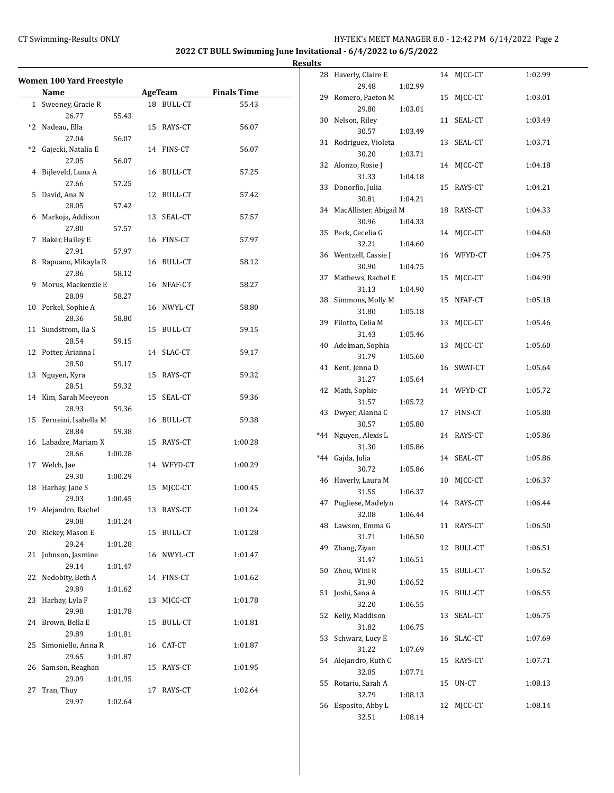# CT Swimming-Results ONLY **CT Swimming-Results ONLY** 100 12:42 PM 6/14/2022 Page 2

**2022 CT BULL Swimming June Invitational - 6/4/2022 to 6/5/2022**

|    | <b>Women 100 Yard Freestyle</b><br>Name |    | AgeTeam        | <b>Finals Time</b> |
|----|-----------------------------------------|----|----------------|--------------------|
|    | 1 Sweeney, Gracie R                     |    | 18 BULL-CT     | 55.43              |
|    | 26.77<br>55.43                          |    |                |                    |
|    | *2 Nadeau, Ella                         |    | 15 RAYS-CT     | 56.07              |
|    | 27.04<br>56.07                          |    |                |                    |
|    | *2 Gajecki, Natalia E                   |    | 14 FINS-CT     | 56.07              |
|    | 27.05<br>56.07                          |    |                |                    |
| 4  | Bijleveld, Luna A                       |    | 16 BULL-CT     | 57.25              |
|    | 27.66<br>57.25                          |    |                |                    |
|    | 5 David, Ana N                          |    | 12 BULL-CT     | 57.42              |
|    | 28.05<br>57.42                          |    |                |                    |
|    | 6 Markoja, Addison                      | 13 | SEAL-CT        | 57.57              |
|    | 27.80<br>57.57                          |    |                |                    |
|    | 7 Baker, Hailey E                       |    | 16 FINS-CT     | 57.97              |
|    | 27.91<br>57.97                          |    |                |                    |
|    | 8 Rapuano, Mikayla R                    |    | 16 BULL-CT     | 58.12              |
|    | 27.86<br>58.12                          |    |                |                    |
| 9  | Morus, Mackenzie E                      |    | 16 NFAF-CT     | 58.27              |
|    | 28.09<br>58.27                          |    |                |                    |
|    | 10 Perkel, Sophie A                     |    | 16 NWYL-CT     | 58.80              |
|    | 28.36<br>58.80                          |    |                |                    |
|    | 11 Sundstrom, Ila S                     |    | 15 BULL-CT     | 59.15              |
|    | 28.54<br>59.15                          |    |                |                    |
|    | 12 Potter, Arianna I                    |    | 14 SLAC-CT     | 59.17              |
|    | 28.50<br>59.17                          |    |                |                    |
|    | 13 Nguyen, Kyra                         |    | 15 RAYS-CT     | 59.32              |
|    | 28.51<br>59.32                          |    |                |                    |
|    | 14 Kim, Sarah Meeyeon                   | 15 | SEAL-CT        | 59.36              |
|    | 28.93<br>59.36                          |    |                |                    |
|    | 15 Ferneini, Isabella M                 |    | 16 BULL-CT     | 59.38              |
|    | 28.84<br>59.38                          |    |                |                    |
|    | 16 Labadze, Mariam X                    |    | 15 RAYS-CT     | 1:00.28            |
|    | 28.66<br>1:00.28                        |    |                |                    |
|    | 17 Welch, Jae                           |    | 14 WFYD-CT     | 1:00.29            |
|    | 29.30<br>1:00.29                        |    |                |                    |
|    | 18 Harhay, Jane S                       | 15 | MICC-CT        | 1:00.45            |
|    | 29.03<br>1:00.45                        |    |                |                    |
|    | 19 Alejandro, Rachel                    | 13 | RAYS-CT        | 1:01.24            |
|    | 29.08<br>1:01.24                        |    |                |                    |
|    | 20 Rickey, Mason E                      |    | 15 BULL-CT     | 1:01.28            |
|    | 29.24<br>1:01.28                        |    |                |                    |
| 21 | Johnson, Jasmine                        |    | 16 NWYL-CT     | 1:01.47            |
|    | 29.14<br>1:01.47                        |    |                |                    |
| 22 | Nedobity, Beth A                        |    | 14 FINS-CT     | 1:01.62            |
|    | 29.89<br>1:01.62                        |    |                |                    |
| 23 | Harhay, Lyla F                          | 13 | MICC-CT        | 1:01.78            |
|    | 29.98<br>1:01.78                        |    |                |                    |
|    | 24 Brown, Bella E                       | 15 | <b>BULL-CT</b> | 1:01.81            |
|    | 29.89<br>1:01.81                        |    |                |                    |
| 25 | Simoniello, Anna R                      |    | 16 CAT-CT      | 1:01.87            |
|    | 29.65<br>1:01.87                        |    |                |                    |
| 26 | Samson, Reaghan                         | 15 | RAYS-CT        | 1:01.95            |
|    | 29.09<br>1:01.95                        |    |                |                    |
| 27 | Tran, Thuy                              | 17 | RAYS-CT        | 1:02.64            |
|    | 29.97<br>1:02.64                        |    |                |                    |

| <u>э</u> |                             |         |    |                |         |
|----------|-----------------------------|---------|----|----------------|---------|
| 28       | Haverly, Claire E           |         |    | 14 MJCC-CT     | 1:02.99 |
|          | 29.48                       | 1:02.99 |    |                |         |
| 29       | Romero, Paeton M<br>29.80   | 1:03.01 |    | 15 MJCC-CT     | 1:03.01 |
| 30       | Nelson, Riley               |         | 11 | SEAL-CT        | 1:03.49 |
|          | 30.57                       | 1:03.49 |    |                |         |
| 31       | Rodriguez, Violeta          |         |    | 13 SEAL-CT     | 1:03.71 |
|          | 30.20                       | 1:03.71 |    |                |         |
| 32       | Alonzo, Rosie J<br>31.33    | 1:04.18 |    | 14 MJCC-CT     | 1:04.18 |
| 33       | Donorfio, Julia             |         |    | 15 RAYS-CT     | 1:04.21 |
|          | 30.81                       | 1:04.21 |    |                |         |
|          | 34 MacAllister, Abigail M   |         |    | 18 RAYS-CT     | 1:04.33 |
|          | 30.96                       | 1:04.33 |    |                |         |
|          | 35 Peck, Cecelia G<br>32.21 | 1:04.60 |    | 14 MJCC-CT     | 1:04.60 |
|          | 36 Wentzell, Cassie J       |         |    | 16 WFYD-CT     | 1:04.75 |
|          | 30.90                       | 1:04.75 |    |                |         |
| 37       | Mathews, Rachel E           |         |    | 15 MJCC-CT     | 1:04.90 |
|          | 31.13                       | 1:04.90 |    |                |         |
| 38       | Simmons, Molly M<br>31.80   |         | 15 | NFAF-CT        | 1:05.18 |
| 39       | Filotto, Celia M            | 1:05.18 | 13 | MJCC-CT        | 1:05.46 |
|          | 31.43                       | 1:05.46 |    |                |         |
| 40       | Adelman, Sophia             |         | 13 | MICC-CT        | 1:05.60 |
|          | 31.79                       | 1:05.60 |    |                |         |
| 41       | Kent, Jenna D               |         |    | 16 SWAT-CT     | 1:05.64 |
|          | 31.27<br>42 Math, Sophie    | 1:05.64 |    | 14 WFYD-CT     | 1:05.72 |
|          | 31.57                       | 1:05.72 |    |                |         |
| 43       | Dwyer, Alanna C             |         |    | 17 FINS-CT     | 1:05.80 |
|          | 30.57                       | 1:05.80 |    |                |         |
| $*44$    | Nguyen, Alexis L            |         |    | 14 RAYS-CT     | 1:05.86 |
| *44      | 31.30<br>Gajda, Julia       | 1:05.86 |    | 14 SEAL-CT     | 1:05.86 |
|          | 30.72                       | 1:05.86 |    |                |         |
|          | 46 Haverly, Laura M         |         | 10 | MJCC-CT        | 1:06.37 |
|          | 31.55                       | 1:06.37 |    |                |         |
| 47       | Pugliese, Madelyn<br>32.08  | 1:06.44 |    | 14 RAYS-CT     | 1:06.44 |
|          | 48 Lawson, Emma G           |         |    | 11 RAYS-CT     | 1:06.50 |
|          | 31.71                       | 1:06.50 |    |                |         |
| 49       | Zhang, Ziyan                |         | 12 | <b>BULL-CT</b> | 1:06.51 |
|          | 31.47                       | 1:06.51 |    |                |         |
| 50       | Zhou, Wini R<br>31.90       | 1:06.52 | 15 | <b>BULL-CT</b> | 1:06.52 |
| 51       | Joshi, Sana A               |         |    | 15 BULL-CT     | 1:06.55 |
|          | 32.20                       | 1:06.55 |    |                |         |
| 52       | Kelly, Maddison             |         | 13 | SEAL-CT        | 1:06.75 |
|          | 31.82                       | 1:06.75 |    |                |         |
| 53       | Schwarz, Lucy E<br>31.22    | 1:07.69 | 16 | SLAC-CT        | 1:07.69 |
|          | 54 Alejandro, Ruth C        |         | 15 | RAYS-CT        | 1:07.71 |
|          | 32.05                       | 1:07.71 |    |                |         |
| 55       | Rotariu, Sarah A            |         | 15 | UN-CT          | 1:08.13 |
|          | 32.79                       | 1:08.13 |    |                |         |
| 56       | Esposito, Abby L<br>32.51   | 1:08.14 | 12 | MJCC-CT        | 1:08.14 |
|          |                             |         |    |                |         |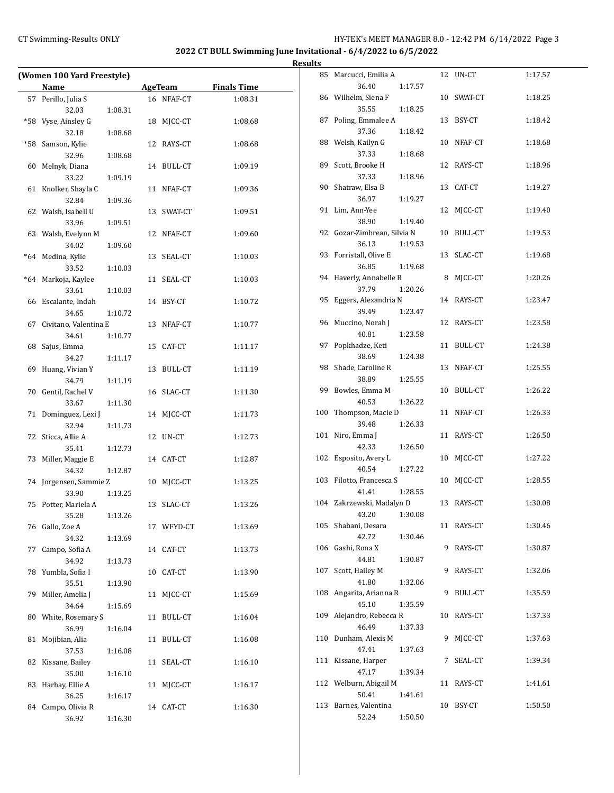# CT Swimming-Results ONLY **CT Swimming-Results ONLY** 100 12:42 PM 6/14/2022 Page 3

**2022 CT BULL Swimming June Invitational - 6/4/2022 to 6/5/2022**

| (Women 100 Yard Freestyle) |                          |         |    |                |                    |  |  |
|----------------------------|--------------------------|---------|----|----------------|--------------------|--|--|
|                            | Name                     |         |    | <b>AgeTeam</b> | <b>Finals Time</b> |  |  |
| 57                         | Perillo, Julia S         |         |    | 16 NFAF-CT     | 1:08.31            |  |  |
|                            | 32.03                    | 1:08.31 |    |                |                    |  |  |
| *58                        | Vyse, Ainsley G          |         | 18 | MICC-CT        | 1:08.68            |  |  |
|                            | 32.18                    |         |    |                |                    |  |  |
|                            |                          | 1:08.68 |    |                |                    |  |  |
| *58                        | Samson, Kylie            |         |    | 12 RAYS-CT     | 1:08.68            |  |  |
|                            | 32.96                    | 1:08.68 |    |                |                    |  |  |
| 60                         | Melnyk, Diana            |         |    | 14 BULL-CT     | 1:09.19            |  |  |
|                            | 33.22                    | 1:09.19 |    |                |                    |  |  |
| 61                         | Knolker, Shayla C        |         |    | 11 NFAF-CT     | 1:09.36            |  |  |
|                            | 32.84                    | 1:09.36 |    |                |                    |  |  |
|                            | 62 Walsh, Isabell U      |         |    | 13 SWAT-CT     | 1:09.51            |  |  |
|                            | 33.96                    | 1:09.51 |    |                |                    |  |  |
|                            | 63 Walsh, Evelynn M      |         |    | 12 NFAF-CT     | 1:09.60            |  |  |
|                            | 34.02                    | 1:09.60 |    |                |                    |  |  |
| $*64$                      | Medina, Kylie            |         |    | 13 SEAL-CT     | 1:10.03            |  |  |
|                            | 33.52                    | 1:10.03 |    |                |                    |  |  |
| $*64$                      | Markoja, Kaylee          |         | 11 | SEAL-CT        | 1:10.03            |  |  |
|                            | 33.61                    | 1:10.03 |    |                |                    |  |  |
|                            | 66 Escalante, Indah      |         |    | 14 BSY-CT      | 1:10.72            |  |  |
|                            | 34.65                    | 1:10.72 |    |                |                    |  |  |
| 67                         | Civitano, Valentina E    |         | 13 | NFAF-CT        | 1:10.77            |  |  |
|                            | 34.61                    | 1:10.77 |    |                |                    |  |  |
| 68                         | Sajus, Emma              |         |    | 15 CAT-CT      | 1:11.17            |  |  |
|                            | 34.27                    | 1:11.17 |    |                |                    |  |  |
| 69                         | Huang, Vivian Y          |         |    | 13 BULL-CT     | 1:11.19            |  |  |
|                            | 34.79                    | 1:11.19 |    |                |                    |  |  |
|                            | 70 Gentil, Rachel V      |         |    | 16 SLAC-CT     | 1:11.30            |  |  |
|                            | 33.67                    | 1:11.30 |    |                |                    |  |  |
| 71                         | Dominguez, Lexi J        |         | 14 | MJCC-CT        | 1:11.73            |  |  |
|                            | 32.94                    | 1:11.73 |    |                |                    |  |  |
| 72                         | Sticca, Allie A          |         |    | 12 UN-CT       | 1:12.73            |  |  |
|                            | 35.41                    | 1:12.73 |    |                |                    |  |  |
| 73                         | Miller, Maggie E         |         |    | 14 CAT-CT      | 1:12.87            |  |  |
|                            | 34.32                    | 1:12.87 |    |                |                    |  |  |
| 74                         | Jorgensen, Sammie Z      |         | 10 | MJCC-CT        | 1:13.25            |  |  |
|                            | 33.90                    | 1:13.25 |    |                |                    |  |  |
| 75                         | Potter, Mariela A        |         |    | 13 SLAC-CT     | 1:13.26            |  |  |
|                            | 35.28                    | 1:13.26 |    |                |                    |  |  |
| 76                         | Gallo, Zoe A             |         |    | 17 WFYD-CT     | 1:13.69            |  |  |
|                            | 34.32                    | 1:13.69 |    |                |                    |  |  |
| 77                         | Campo, Sofia A           |         |    | 14 CAT-CT      | 1:13.73            |  |  |
|                            | 34.92                    | 1:13.73 |    |                |                    |  |  |
| 78                         | Yumbla, Sofia I          |         | 10 | CAT-CT         | 1:13.90            |  |  |
|                            | 35.51                    | 1:13.90 |    |                |                    |  |  |
| 79                         | Miller, Amelia J         |         | 11 | MJCC-CT        | 1:15.69            |  |  |
|                            | 34.64                    | 1:15.69 |    |                |                    |  |  |
| 80                         | White, Rosemary S        |         | 11 | <b>BULL-CT</b> | 1:16.04            |  |  |
|                            | 36.99                    | 1:16.04 |    |                |                    |  |  |
| 81                         | Mojibian, Alia           |         | 11 | BULL-CT        | 1:16.08            |  |  |
|                            | 37.53                    | 1:16.08 |    |                |                    |  |  |
|                            |                          |         |    |                |                    |  |  |
| 82                         | Kissane, Bailey<br>35.00 |         | 11 | SEAL-CT        | 1:16.10            |  |  |
|                            |                          | 1:16.10 |    |                |                    |  |  |
| 83                         | Harhay, Ellie A          |         | 11 | MJCC-CT        | 1:16.17            |  |  |
|                            | 36.25                    | 1:16.17 |    |                |                    |  |  |
| 84                         | Campo, Olivia R<br>36.92 | 1:16.30 | 14 | CAT-CT         | 1:16.30            |  |  |
|                            |                          |         |    |                |                    |  |  |

|     | 85 Marcucci, Emilia A                      |    | 12 UN-CT   | 1:17.57 |
|-----|--------------------------------------------|----|------------|---------|
|     | 36.40<br>1:17.57<br>86 Wilhelm, Siena F    |    | 10 SWAT-CT | 1:18.25 |
|     | 35.55<br>1:18.25                           |    |            |         |
|     | 87 Poling, Emmalee A<br>37.36<br>1:18.42   |    | 13 BSY-CT  | 1:18.42 |
|     | 88 Welsh, Kailyn G                         |    | 10 NFAF-CT | 1:18.68 |
|     | 37.33<br>1:18.68                           |    |            |         |
| 89  | Scott, Brooke H<br>37.33<br>1:18.96        |    | 12 RAYS-CT | 1:18.96 |
|     | 90 Shatraw, Elsa B                         |    | 13 CAT-CT  | 1:19.27 |
|     | 36.97<br>1:19.27                           |    |            |         |
|     | 91 Lim, Ann-Yee                            | 12 | MJCC-CT    | 1:19.40 |
|     | 38.90<br>1:19.40                           |    |            |         |
|     | 92 Gozar-Zimbrean, Silvia N                |    | 10 BULL-CT | 1:19.53 |
|     | 36.13<br>1:19.53                           |    |            |         |
|     | 93 Forristall, Olive E<br>36.85<br>1:19.68 |    | 13 SLAC-CT | 1:19.68 |
|     | 94 Haverly, Annabelle R                    | 8  | MICC-CT    | 1:20.26 |
|     | 37.79<br>1:20.26                           |    |            |         |
| 95  | Eggers, Alexandria N                       |    | 14 RAYS-CT | 1:23.47 |
|     | 39.49<br>1:23.47                           |    |            |         |
|     | 96 Muccino, Norah J<br>40.81<br>1:23.58    |    | 12 RAYS-CT | 1:23.58 |
| 97  | Popkhadze, Keti                            |    | 11 BULL-CT | 1:24.38 |
|     | 38.69<br>1:24.38                           |    |            |         |
|     | 98 Shade, Caroline R                       |    | 13 NFAF-CT | 1:25.55 |
|     | 38.89<br>1:25.55                           |    |            |         |
| 99  | Bowles, Emma M                             |    | 10 BULL-CT | 1:26.22 |
| 100 | 40.53<br>1:26.22<br>Thompson, Macie D      |    | 11 NFAF-CT |         |
|     | 39.48<br>1:26.33                           |    |            | 1:26.33 |
| 101 | Niro, Emma J                               |    | 11 RAYS-CT | 1:26.50 |
|     | 42.33<br>1:26.50                           |    |            |         |
| 102 | Esposito, Avery L                          | 10 | MJCC-CT    | 1:27.22 |
|     | 40.54<br>1:27.22                           |    |            |         |
| 103 | Filotto, Francesca S<br>41.41<br>1:28.55   |    | 10 MICC-CT | 1:28.55 |
|     | 104 Zakrzewski, Madalyn D                  |    | 13 RAYS-CT | 1:30.08 |
|     | 43.20   1:30.08                            |    |            |         |
|     | 105 Shabani, Desara                        |    | 11 RAYS-CT | 1:30.46 |
|     | 42.72<br>1:30.46                           |    |            |         |
|     | 106 Gashi, Rona X                          | 9  | RAYS-CT    | 1:30.87 |
|     | 44.81<br>1:30.87                           |    | RAYS-CT    |         |
| 107 | Scott, Hailey M<br>41.80<br>1:32.06        | 9  |            | 1:32.06 |
|     | 108 Angarita, Arianna R                    | 9  | BULL-CT    | 1:35.59 |
|     | 45.10<br>1:35.59                           |    |            |         |
|     | 109 Alejandro, Rebecca R                   | 10 | RAYS-CT    | 1:37.33 |
|     | 46.49<br>1:37.33                           |    |            |         |
|     | 110 Dunham, Alexis M                       | 9  | MJCC-CT    | 1:37.63 |
|     | 47.41<br>1:37.63                           |    |            |         |
| 111 | Kissane, Harper<br>47.17<br>1:39.34        | 7  | SEAL-CT    | 1:39.34 |
|     | 112 Welburn, Abigail M                     |    | 11 RAYS-CT | 1:41.61 |
|     | 50.41<br>1:41.61                           |    |            |         |
|     | 113 Barnes, Valentina                      |    | 10 BSY-CT  | 1:50.50 |
|     | 52.24<br>1:50.50                           |    |            |         |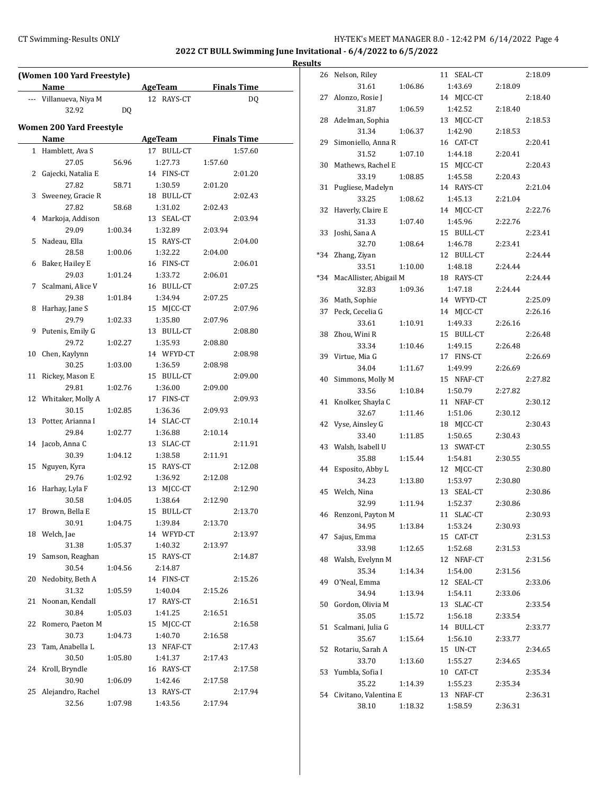# CT Swimming-Results ONLY **CT Swimming-Results ONLY** 100 12:42 PM 6/14/2022 Page 4

**Results**

|    | (Women 100 Yard Freestyle)<br><b>Name</b> |         | <b>AgeTeam</b>        | <b>Finals Time</b> |
|----|-------------------------------------------|---------|-----------------------|--------------------|
|    | --- Villanueva, Niya M                    |         | 12 RAYS-CT            | DQ                 |
|    | 32.92                                     | DQ      |                       |                    |
|    | <b>Women 200 Yard Freestyle</b>           |         |                       |                    |
|    | Name                                      |         | AgeTeam               | <b>Finals Time</b> |
|    | 1 Hamblett, Ava S                         |         | 17 BULL-CT            | 1:57.60            |
|    | 27.05                                     | 56.96   | 1:27.73               | 1:57.60            |
|    | 2 Gajecki, Natalia E                      |         | 14 FINS-CT            | 2:01.20            |
|    | 27.82                                     | 58.71   | 1:30.59               | 2:01.20            |
|    | 3 Sweeney, Gracie R                       |         | 18 BULL-CT            | 2:02.43            |
|    |                                           |         |                       |                    |
| 4  | 27.82<br>Markoja, Addison                 | 58.68   | 1:31.02<br>13 SEAL-CT | 2:02.43<br>2:03.94 |
|    |                                           |         |                       |                    |
|    | 29.09                                     | 1:00.34 | 1:32.89               | 2:03.94            |
| 5  | Nadeau, Ella                              |         | 15 RAYS-CT            | 2:04.00            |
|    | 28.58                                     | 1:00.06 | 1:32.22               | 2:04.00            |
| 6  | Baker, Hailey E                           |         | 16 FINS-CT            | 2:06.01            |
|    | 29.03                                     | 1:01.24 | 1:33.72               | 2:06.01            |
| 7  | Scalmani, Alice V                         |         | 16 BULL-CT            | 2:07.25            |
|    | 29.38                                     | 1:01.84 | 1:34.94               | 2:07.25            |
| 8  | Harhay, Jane S                            |         | 15 MJCC-CT            | 2:07.96            |
|    | 29.79                                     | 1:02.33 | 1:35.80               | 2:07.96            |
| 9  | Putenis, Emily G                          |         | 13 BULL-CT            | 2:08.80            |
|    | 29.72                                     | 1:02.27 | 1:35.93               | 2:08.80            |
| 10 | Chen, Kaylynn                             |         | 14 WFYD-CT            | 2:08.98            |
|    | 30.25                                     | 1:03.00 | 1:36.59               | 2:08.98            |
| 11 | Rickey, Mason E                           |         | 15 BULL-CT            | 2:09.00            |
|    | 29.81                                     | 1:02.76 | 1:36.00               | 2:09.00            |
|    | 12 Whitaker, Molly A                      |         | 17 FINS-CT            | 2:09.93            |
|    | 30.15                                     | 1:02.85 | 1:36.36               | 2:09.93            |
| 13 | Potter, Arianna I                         |         | 14 SLAC-CT            | 2:10.14            |
|    | 29.84                                     | 1:02.77 | 1:36.88               | 2:10.14            |
| 14 | Jacob, Anna C                             |         | 13 SLAC-CT            | 2:11.91            |
|    | 30.39                                     | 1:04.12 | 1:38.58               | 2:11.91            |
| 15 | Nguyen, Kyra                              |         | 15 RAYS-CT            | 2:12.08            |
|    | 29.76                                     | 1:02.92 | 1:36.92               | 2:12.08            |
| 16 | Harhay, Lyla F                            |         | 13 MJCC-CT            | 2:12.90            |
|    | 30.58                                     | 1:04.05 | 1:38.64               | 2:12.90            |
| 17 | Brown, Bella E                            |         | 15 BULL-CT            | 2:13.70            |
|    | 30.91                                     | 1:04.75 | 1:39.84               | 2:13.70            |
| 18 | Welch, Jae                                |         | 14 WFYD-CT            | 2:13.97            |
|    | 31.38                                     | 1:05.37 | 1:40.32               | 2:13.97            |
| 19 | Samson, Reaghan                           |         | 15 RAYS-CT            | 2:14.87            |
|    | 30.54                                     | 1:04.56 | 2:14.87               |                    |
| 20 | Nedobity, Beth A                          |         | 14 FINS-CT            | 2:15.26            |
|    | 31.32                                     | 1:05.59 | 1:40.04               | 2:15.26            |
| 21 | Noonan, Kendall                           |         | 17 RAYS-CT            | 2:16.51            |
|    | 30.84                                     | 1:05.03 | 1:41.25               | 2:16.51            |
| 22 | Romero, Paeton M                          |         | 15 MJCC-CT            | 2:16.58            |
|    | 30.73                                     |         | 1:40.70               |                    |
|    |                                           | 1:04.73 |                       | 2:16.58            |
| 23 | Tam, Anabella L                           |         | 13 NFAF-CT            | 2:17.43            |
|    | 30.50                                     | 1:05.80 | 1:41.37               | 2:17.43            |
| 24 | Kroll, Bryndle                            |         | 16 RAYS-CT            | 2:17.58            |
|    | 30.90                                     | 1:06.09 | 1:42.46               | 2:17.58            |
| 25 | Alejandro, Rachel                         |         | 13 RAYS-CT            | 2:17.94            |
|    | 32.56                                     | 1:07.98 | 1:43.56               | 2:17.94            |

| 26    | Nelson, Riley          |         | 11 SEAL-CT    |         | 2:18.09 |
|-------|------------------------|---------|---------------|---------|---------|
|       | 31.61                  | 1:06.86 | 1:43.69       | 2:18.09 |         |
| 27    | Alonzo, Rosie J        |         | 14 MJCC-CT    |         | 2:18.40 |
|       | 31.87                  | 1:06.59 | 1:42.52       | 2:18.40 |         |
| 28    | Adelman, Sophia        |         | 13 MJCC-CT    |         | 2:18.53 |
|       | 31.34                  | 1:06.37 | 1:42.90       | 2:18.53 |         |
| 29    |                        |         | 16 CAT-CT     |         | 2:20.41 |
|       | Simoniello, Anna R     |         |               |         |         |
|       | 31.52                  | 1:07.10 | 1:44.18       | 2:20.41 |         |
| 30    | Mathews, Rachel E      |         | 15<br>MJCC-CT |         | 2:20.43 |
|       | 33.19                  | 1:08.85 | 1:45.58       | 2:20.43 |         |
| 31    | Pugliese, Madelyn      |         | 14 RAYS-CT    |         | 2:21.04 |
|       | 33.25                  | 1:08.62 | 1:45.13       | 2:21.04 |         |
| 32    | Haverly, Claire E      |         | 14 MICC-CT    |         | 2:22.76 |
|       | 31.33                  | 1:07.40 | 1:45.96       | 2:22.76 |         |
| 33    | Joshi, Sana A          |         | 15 BULL-CT    |         | 2:23.41 |
|       | 32.70                  | 1:08.64 | 1:46.78       | 2:23.41 |         |
| *34   | Zhang, Ziyan           |         | 12 BULL-CT    |         | 2:24.44 |
|       | 33.51                  | 1:10.00 | 1:48.18       | 2:24.44 |         |
| $*34$ | MacAllister, Abigail M |         | 18 RAYS-CT    |         | 2:24.44 |
|       | 32.83                  | 1:09.36 | 1:47.18       | 2:24.44 |         |
|       |                        |         |               |         |         |
| 36    | Math, Sophie           |         | 14 WFYD-CT    |         | 2:25.09 |
| 37    | Peck, Cecelia G        |         | 14 MJCC-CT    |         | 2:26.16 |
|       | 33.61                  | 1:10.91 | 1:49.33       | 2:26.16 |         |
| 38    | Zhou, Wini R           |         | 15 BULL-CT    |         | 2:26.48 |
|       | 33.34                  | 1:10.46 | 1:49.15       | 2:26.48 |         |
| 39    | Virtue, Mia G          |         | 17 FINS-CT    |         | 2:26.69 |
|       | 34.04                  | 1:11.67 | 1:49.99       | 2:26.69 |         |
| 40    | Simmons, Molly M       |         | 15 NFAF-CT    |         | 2:27.82 |
|       | 33.56                  | 1:10.84 | 1:50.79       | 2:27.82 |         |
| 41    | Knolker, Shayla C      |         | 11 NFAF-CT    |         | 2:30.12 |
|       | 32.67                  | 1:11.46 | 1:51.06       | 2:30.12 |         |
|       |                        |         |               |         | 2:30.43 |
|       |                        |         |               |         |         |
| 42    | Vyse, Ainsley G        |         | 18 MJCC-CT    |         |         |
|       | 33.40                  | 1:11.85 | 1:50.65       | 2:30.43 |         |
| 43    | Walsh, Isabell U       |         | SWAT-CT<br>13 |         | 2:30.55 |
|       | 35.88                  | 1:15.44 | 1:54.81       | 2:30.55 |         |
| 44    | Esposito, Abby L       |         | MJCC-CT<br>12 |         | 2:30.80 |
|       | 34.23                  | 1:13.80 | 1:53.97       | 2:30.80 |         |
| 45    | Welch, Nina            |         | 13 SEAL-CT    |         | 2:30.86 |
|       | 32.99                  | 1:11.94 | 1:52.37       | 2:30.86 |         |
| 46    | Renzoni, Payton M      |         | 11<br>SLAC-CT |         | 2:30.93 |
|       | 34.95                  | 1:13.84 | 1:53.24       | 2:30.93 |         |
| 47    | Sajus, Emma            |         | CAT-CT<br>15  |         | 2:31.53 |
|       | 33.98                  | 1:12.65 | 1:52.68       | 2:31.53 |         |
| 48    | Walsh, Evelynn M       |         | 12 NFAF-CT    |         | 2:31.56 |
|       |                        |         |               |         |         |
|       | 35.34                  | 1:14.34 | 1:54.00       | 2:31.56 |         |
| 49    | O'Neal, Emma           |         | 12 SEAL-CT    |         | 2:33.06 |
|       | 34.94                  | 1:13.94 | 1:54.11       | 2:33.06 |         |
| 50    | Gordon, Olivia M       |         | 13 SLAC-CT    |         | 2:33.54 |
|       | 35.05                  | 1:15.72 | 1:56.18       | 2:33.54 |         |
| 51    | Scalmani, Julia G      |         | 14 BULL-CT    |         | 2:33.77 |
|       | 35.67                  | 1:15.64 | 1:56.10       | 2:33.77 |         |
| 52    | Rotariu, Sarah A       |         | 15 UN-CT      |         | 2:34.65 |
|       | 33.70                  | 1:13.60 | 1:55.27       | 2:34.65 |         |
| 53    | Yumbla, Sofia I        |         | 10 CAT-CT     |         | 2:35.34 |
|       | 35.22                  | 1:14.39 | 1:55.23       | 2:35.34 |         |
| 54    | Civitano, Valentina E  |         | 13 NFAF-CT    |         | 2:36.31 |
|       | 38.10                  | 1:18.32 | 1:58.59       | 2:36.31 |         |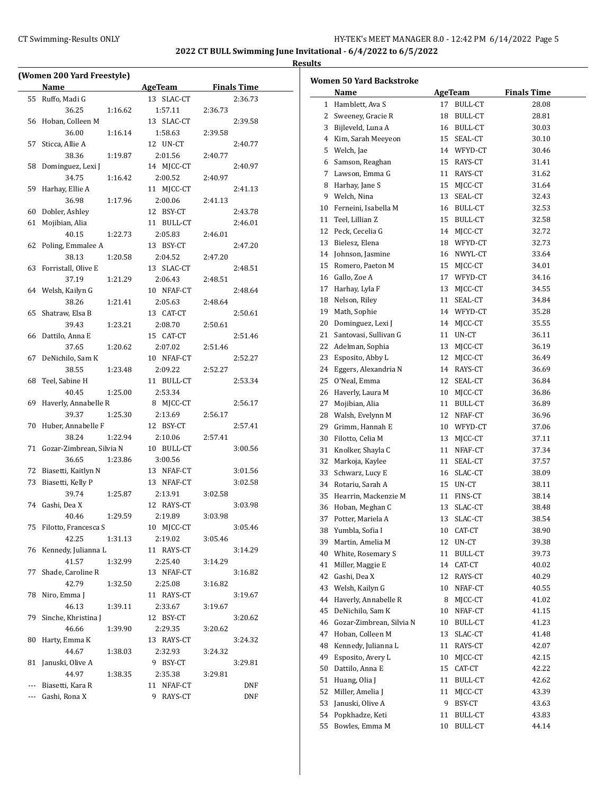$\overline{a}$ 

| (Women 200 Yard Freestyle) |                          |         |                |         |                    |  |  |
|----------------------------|--------------------------|---------|----------------|---------|--------------------|--|--|
|                            | Name                     |         | <b>AgeTeam</b> |         | <b>Finals Time</b> |  |  |
| 55                         | Ruffo, Madi G            |         | 13 SLAC-CT     |         | 2:36.73            |  |  |
|                            | 36.25                    | 1:16.62 | 1:57.11        | 2:36.73 |                    |  |  |
| 56                         | Hoban, Colleen M         |         | 13 SLAC-CT     |         | 2:39.58            |  |  |
|                            | 36.00                    | 1:16.14 | 1:58.63        | 2:39.58 |                    |  |  |
| 57                         | Sticca, Allie A          |         | 12 UN-CT       |         | 2:40.77            |  |  |
|                            | 38.36                    | 1:19.87 | 2:01.56        | 2:40.77 |                    |  |  |
| 58                         | Dominguez, Lexi J        |         | 14 MJCC-CT     |         | 2:40.97            |  |  |
|                            | 34.75                    | 1:16.42 | 2:00.52        | 2:40.97 |                    |  |  |
| 59                         | Harhay, Ellie A          |         | 11 MICC-CT     |         | 2:41.13            |  |  |
|                            | 36.98                    | 1:17.96 | 2:00.06        | 2:41.13 |                    |  |  |
| 60                         | Dobler, Ashley           |         | 12 BSY-CT      |         | 2:43.78            |  |  |
|                            |                          |         |                |         |                    |  |  |
| 61                         | Mojibian, Alia           |         | 11 BULL-CT     |         | 2:46.01            |  |  |
|                            | 40.15                    | 1:22.73 | 2:05.83        | 2:46.01 |                    |  |  |
| 62                         | Poling, Emmalee A        |         | 13 BSY-CT      |         | 2:47.20            |  |  |
|                            | 38.13                    | 1:20.58 | 2:04.52        | 2:47.20 |                    |  |  |
| 63                         | Forristall, Olive E      |         | 13 SLAC-CT     |         | 2:48.51            |  |  |
|                            | 37.19                    | 1:21.29 | 2:06.43        | 2:48.51 |                    |  |  |
|                            | 64 Welsh, Kailyn G       |         | 10 NFAF-CT     |         | 2:48.64            |  |  |
|                            | 38.26                    | 1:21.41 | 2:05.63        | 2:48.64 |                    |  |  |
| 65                         | Shatraw, Elsa B          |         | 13 CAT-CT      |         | 2:50.61            |  |  |
|                            | 39.43                    | 1:23.21 | 2:08.70        | 2:50.61 |                    |  |  |
| 66                         | Dattilo, Anna E          |         | 15 CAT-CT      |         | 2:51.46            |  |  |
|                            | 37.65                    | 1:20.62 | 2:07.02        | 2:51.46 |                    |  |  |
| 67                         | DeNichilo, Sam K         |         | 10 NFAF-CT     |         | 2:52.27            |  |  |
|                            | 38.55                    | 1:23.48 | 2:09.22        | 2:52.27 |                    |  |  |
| 68                         | Teel, Sabine H           |         | 11 BULL-CT     |         | 2:53.34            |  |  |
|                            | 40.45                    | 1:25.00 | 2:53.34        |         |                    |  |  |
| 69                         | Haverly, Annabelle R     |         | 8 MJCC-CT      |         | 2:56.17            |  |  |
|                            | 39.37                    | 1:25.30 | 2:13.69        | 2:56.17 |                    |  |  |
| 70                         | Huber, Annabelle F       |         | 12 BSY-CT      |         | 2:57.41            |  |  |
|                            | 38.24                    | 1:22.94 | 2:10.06        | 2:57.41 |                    |  |  |
| 71                         | Gozar-Zimbrean, Silvia N |         | 10 BULL-CT     |         | 3:00.56            |  |  |
|                            | 36.65                    | 1:23.86 | 3:00.56        |         |                    |  |  |
| 72                         | Biasetti, Kaitlyn N      |         | 13 NFAF-CT     |         | 3:01.56            |  |  |
| 73                         | Biasetti, Kelly P        |         | 13 NFAF-CT     |         | 3:02.58            |  |  |
|                            | 39.74                    | 1:25.87 | 2:13.91        | 3:02.58 |                    |  |  |
| 74                         | Gashi, Dea X             |         | 12 RAYS-CT     |         | 3:03.98            |  |  |
|                            | 40.46                    | 1:29.59 | 2:19.89        | 3:03.98 |                    |  |  |
| 75                         | Filotto, Francesca S     |         | 10 MJCC-CT     |         | 3:05.46            |  |  |
|                            | 42.25                    | 1:31.13 | 2:19.02        | 3:05.46 |                    |  |  |
| 76                         | Kennedy, Julianna L      |         | 11 RAYS-CT     |         | 3:14.29            |  |  |
|                            | 41.57                    | 1:32.99 | 2:25.40        | 3:14.29 |                    |  |  |
| 77                         | Shade, Caroline R        |         | 13 NFAF-CT     |         | 3:16.82            |  |  |
|                            | 42.79                    | 1:32.50 | 2:25.08        | 3:16.82 |                    |  |  |
| 78                         | Niro, Emma J             |         | 11 RAYS-CT     |         | 3:19.67            |  |  |
|                            | 46.13                    | 1:39.11 | 2:33.67        | 3:19.67 |                    |  |  |
| 79                         | Sinche, Khristina J      |         | 12 BSY-CT      |         | 3:20.62            |  |  |
|                            | 46.66                    | 1:39.90 | 2:29.35        | 3:20.62 |                    |  |  |
| 80                         | Harty, Emma K            |         | RAYS-CT<br>13  |         | 3:24.32            |  |  |
|                            | 44.67                    | 1:38.03 | 2:32.93        | 3:24.32 |                    |  |  |
| 81                         | Januski, Olive A         |         | 9 BSY-CT       |         | 3:29.81            |  |  |
|                            | 44.97                    | 1:38.35 | 2:35.38        | 3:29.81 |                    |  |  |
| ---                        | Biasetti, Kara R         |         | NFAF-CT<br>11  |         | <b>DNF</b>         |  |  |
| ---                        | Gashi, Rona X            |         | 9<br>RAYS-CT   |         | DNF                |  |  |
|                            |                          |         |                |         |                    |  |  |

|    | <b>Women 50 Yard Backstroke</b> |    |                |                    |
|----|---------------------------------|----|----------------|--------------------|
|    | Name                            |    | <b>AgeTeam</b> | <b>Finals Time</b> |
|    | 1 Hamblett, Ava S               | 17 | <b>BULL-CT</b> | 28.08              |
|    | 2 Sweeney, Gracie R             |    | 18 BULL-CT     | 28.81              |
|    | 3 Bijleveld, Luna A             |    | 16 BULL-CT     | 30.03              |
|    | 4 Kim, Sarah Meeyeon            |    | 15 SEAL-CT     | 30.10              |
|    | 5 Welch, Jae                    |    | 14 WFYD-CT     | 30.46              |
|    | 6 Samson, Reaghan               |    | 15 RAYS-CT     | 31.41              |
|    | 7 Lawson, Emma G                |    | 11 RAYS-CT     | 31.62              |
|    | 8 Harhay, Jane S                |    | 15 MICC-CT     | 31.64              |
|    | 9 Welch, Nina                   |    | 13 SEAL-CT     | 32.43              |
|    | 10 Ferneini, Isabella M         |    | 16 BULL-CT     | 32.53              |
| 11 | Teel, Lillian Z                 |    | 15 BULL-CT     | 32.58              |
| 12 | Peck, Cecelia G                 |    | 14 MJCC-CT     | 32.72              |
| 13 | Bielesz, Elena                  |    | 18 WFYD-CT     | 32.73              |
|    | 14 Johnson, Jasmine             |    | 16 NWYL-CT     | 33.64              |
| 15 | Romero, Paeton M                |    | 15 MJCC-CT     | 34.01              |
|    | 16 Gallo. Zoe A                 |    | 17 WFYD-CT     | 34.16              |
|    | 17 Harhay, Lyla F               |    | 13 MICC-CT     | 34.55              |
|    | 18 Nelson, Riley                |    | 11 SEAL-CT     | 34.84              |
| 19 | Math, Sophie                    |    | 14 WFYD-CT     | 35.28              |
|    | 20 Dominguez, Lexi J            |    | 14 MJCC-CT     | 35.55              |
| 21 | Santovasi, Sullivan G           |    | 11 UN-CT       | 36.11              |
|    | 22 Adelman, Sophia              |    | 13 MJCC-CT     | 36.19              |
|    |                                 |    |                |                    |
| 23 | Esposito, Abby L                |    | 12 MJCC-CT     | 36.49              |
| 24 | Eggers, Alexandria N            |    | 14 RAYS-CT     | 36.69              |
| 25 | O'Neal, Emma                    | 12 | SEAL-CT        | 36.84              |
|    | 26 Haverly, Laura M             |    | 10 MJCC-CT     | 36.86              |
| 27 | Mojibian, Alia                  |    | 11 BULL-CT     | 36.89              |
|    | 28 Walsh, Evelynn M             |    | 12 NFAF-CT     | 36.96              |
|    | 29 Grimm, Hannah E              |    | 10 WFYD-CT     | 37.06              |
| 30 | Filotto, Celia M                |    | 13 MJCC-CT     | 37.11              |
|    | 31 Knolker, Shayla C            |    | 11 NFAF-CT     | 37.34              |
|    | 32 Markoja, Kaylee              |    | 11 SEAL-CT     | 37.57              |
|    | 33 Schwarz, Lucy E              |    | 16 SLAC-CT     | 38.09              |
|    | 34 Rotariu, Sarah A             |    | 15 UN-CT       | 38.11              |
|    | 35 Hearrin, Mackenzie M         |    | 11 FINS-CT     | 38.14              |
| 36 | Hoban, Meghan C                 | 13 | SLAC-CT        | 38.48              |
| 37 | Potter, Mariela A               | 13 | SLAC-CT        | 38.54              |
| 38 | Yumbla, Sofia I                 | 10 | CAT-CT         | 38.90              |
| 39 | Martin, Amelia M                | 12 | UN-CT          | 39.38              |
| 40 | White, Rosemary S               | 11 | BULL-CT        | 39.73              |
| 41 | Miller, Maggie E                | 14 | CAT-CT         | 40.02              |
| 42 | Gashi, Dea X                    | 12 | RAYS-CT        | 40.29              |
| 43 | Welsh, Kailyn G                 | 10 | NFAF-CT        | 40.55              |
| 44 | Haverly, Annabelle R            | 8  | MJCC-CT        | 41.02              |
| 45 | DeNichilo, Sam K                | 10 | NFAF-CT        | 41.15              |
| 46 | Gozar-Zimbrean, Silvia N        | 10 | <b>BULL-CT</b> | 41.23              |
| 47 | Hoban, Colleen M                | 13 | SLAC-CT        | 41.48              |
| 48 | Kennedy, Julianna L             | 11 | RAYS-CT        | 42.07              |
| 49 | Esposito, Avery L               | 10 | MJCC-CT        | 42.15              |
| 50 | Dattilo, Anna E                 | 15 | CAT-CT         | 42.22              |
| 51 | Huang, Olia J                   | 11 | BULL-CT        | 42.62              |
| 52 | Miller, Amelia J                | 11 | MJCC-CT        | 43.39              |
| 53 | Januski, Olive A                | 9  | BSY-CT         | 43.63              |
| 54 | Popkhadze, Keti                 | 11 | BULL-CT        | 43.83              |
| 55 | Bowles, Emma M                  | 10 | <b>BULL-CT</b> | 44.14              |
|    |                                 |    |                |                    |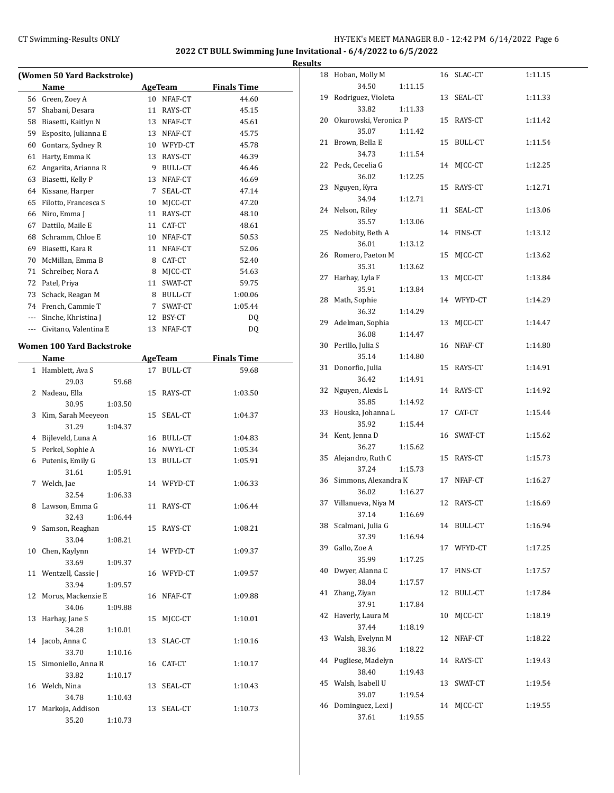$\overline{a}$ 

### CT Swimming-Results ONLY HY-TEK's MEET MANAGER 8.0 - 12:42 PM 6/14/2022 Page 6

**2022 CT BULL Swimming June Invitational - 6/4/2022 to 6/5/2022**

|                      |                                                                                                                                                                                                                                                                                                                                                                                                                                                                                                                                                                                                                                                                                                                                                                                                                                                                                                                                                                                                                                                                                                 |                      | 45.15                                                                                                                                                                                                                                                                                                                                                                                                                                                                                       |                                                                                                                                                                                                                                       |
|----------------------|-------------------------------------------------------------------------------------------------------------------------------------------------------------------------------------------------------------------------------------------------------------------------------------------------------------------------------------------------------------------------------------------------------------------------------------------------------------------------------------------------------------------------------------------------------------------------------------------------------------------------------------------------------------------------------------------------------------------------------------------------------------------------------------------------------------------------------------------------------------------------------------------------------------------------------------------------------------------------------------------------------------------------------------------------------------------------------------------------|----------------------|---------------------------------------------------------------------------------------------------------------------------------------------------------------------------------------------------------------------------------------------------------------------------------------------------------------------------------------------------------------------------------------------------------------------------------------------------------------------------------------------|---------------------------------------------------------------------------------------------------------------------------------------------------------------------------------------------------------------------------------------|
|                      |                                                                                                                                                                                                                                                                                                                                                                                                                                                                                                                                                                                                                                                                                                                                                                                                                                                                                                                                                                                                                                                                                                 |                      | 45.61                                                                                                                                                                                                                                                                                                                                                                                                                                                                                       |                                                                                                                                                                                                                                       |
|                      |                                                                                                                                                                                                                                                                                                                                                                                                                                                                                                                                                                                                                                                                                                                                                                                                                                                                                                                                                                                                                                                                                                 |                      | 45.75                                                                                                                                                                                                                                                                                                                                                                                                                                                                                       |                                                                                                                                                                                                                                       |
|                      |                                                                                                                                                                                                                                                                                                                                                                                                                                                                                                                                                                                                                                                                                                                                                                                                                                                                                                                                                                                                                                                                                                 |                      |                                                                                                                                                                                                                                                                                                                                                                                                                                                                                             |                                                                                                                                                                                                                                       |
|                      |                                                                                                                                                                                                                                                                                                                                                                                                                                                                                                                                                                                                                                                                                                                                                                                                                                                                                                                                                                                                                                                                                                 |                      | 46.39                                                                                                                                                                                                                                                                                                                                                                                                                                                                                       |                                                                                                                                                                                                                                       |
|                      |                                                                                                                                                                                                                                                                                                                                                                                                                                                                                                                                                                                                                                                                                                                                                                                                                                                                                                                                                                                                                                                                                                 |                      | 46.46                                                                                                                                                                                                                                                                                                                                                                                                                                                                                       |                                                                                                                                                                                                                                       |
|                      |                                                                                                                                                                                                                                                                                                                                                                                                                                                                                                                                                                                                                                                                                                                                                                                                                                                                                                                                                                                                                                                                                                 |                      | 46.69                                                                                                                                                                                                                                                                                                                                                                                                                                                                                       |                                                                                                                                                                                                                                       |
|                      |                                                                                                                                                                                                                                                                                                                                                                                                                                                                                                                                                                                                                                                                                                                                                                                                                                                                                                                                                                                                                                                                                                 | SEAL-CT              | 47.14                                                                                                                                                                                                                                                                                                                                                                                                                                                                                       |                                                                                                                                                                                                                                       |
|                      |                                                                                                                                                                                                                                                                                                                                                                                                                                                                                                                                                                                                                                                                                                                                                                                                                                                                                                                                                                                                                                                                                                 |                      | 47.20                                                                                                                                                                                                                                                                                                                                                                                                                                                                                       |                                                                                                                                                                                                                                       |
|                      |                                                                                                                                                                                                                                                                                                                                                                                                                                                                                                                                                                                                                                                                                                                                                                                                                                                                                                                                                                                                                                                                                                 |                      | 48.10                                                                                                                                                                                                                                                                                                                                                                                                                                                                                       |                                                                                                                                                                                                                                       |
|                      |                                                                                                                                                                                                                                                                                                                                                                                                                                                                                                                                                                                                                                                                                                                                                                                                                                                                                                                                                                                                                                                                                                 |                      | 48.61                                                                                                                                                                                                                                                                                                                                                                                                                                                                                       |                                                                                                                                                                                                                                       |
|                      |                                                                                                                                                                                                                                                                                                                                                                                                                                                                                                                                                                                                                                                                                                                                                                                                                                                                                                                                                                                                                                                                                                 |                      |                                                                                                                                                                                                                                                                                                                                                                                                                                                                                             |                                                                                                                                                                                                                                       |
| Biasetti, Kara R     |                                                                                                                                                                                                                                                                                                                                                                                                                                                                                                                                                                                                                                                                                                                                                                                                                                                                                                                                                                                                                                                                                                 |                      | 52.06                                                                                                                                                                                                                                                                                                                                                                                                                                                                                       |                                                                                                                                                                                                                                       |
| McMillan, Emma B     |                                                                                                                                                                                                                                                                                                                                                                                                                                                                                                                                                                                                                                                                                                                                                                                                                                                                                                                                                                                                                                                                                                 |                      | 52.40                                                                                                                                                                                                                                                                                                                                                                                                                                                                                       |                                                                                                                                                                                                                                       |
| Schreiber, Nora A    |                                                                                                                                                                                                                                                                                                                                                                                                                                                                                                                                                                                                                                                                                                                                                                                                                                                                                                                                                                                                                                                                                                 |                      |                                                                                                                                                                                                                                                                                                                                                                                                                                                                                             |                                                                                                                                                                                                                                       |
|                      |                                                                                                                                                                                                                                                                                                                                                                                                                                                                                                                                                                                                                                                                                                                                                                                                                                                                                                                                                                                                                                                                                                 |                      | 59.75                                                                                                                                                                                                                                                                                                                                                                                                                                                                                       |                                                                                                                                                                                                                                       |
|                      |                                                                                                                                                                                                                                                                                                                                                                                                                                                                                                                                                                                                                                                                                                                                                                                                                                                                                                                                                                                                                                                                                                 |                      | 1:00.06                                                                                                                                                                                                                                                                                                                                                                                                                                                                                     |                                                                                                                                                                                                                                       |
|                      |                                                                                                                                                                                                                                                                                                                                                                                                                                                                                                                                                                                                                                                                                                                                                                                                                                                                                                                                                                                                                                                                                                 |                      |                                                                                                                                                                                                                                                                                                                                                                                                                                                                                             |                                                                                                                                                                                                                                       |
|                      |                                                                                                                                                                                                                                                                                                                                                                                                                                                                                                                                                                                                                                                                                                                                                                                                                                                                                                                                                                                                                                                                                                 |                      |                                                                                                                                                                                                                                                                                                                                                                                                                                                                                             |                                                                                                                                                                                                                                       |
|                      |                                                                                                                                                                                                                                                                                                                                                                                                                                                                                                                                                                                                                                                                                                                                                                                                                                                                                                                                                                                                                                                                                                 |                      |                                                                                                                                                                                                                                                                                                                                                                                                                                                                                             |                                                                                                                                                                                                                                       |
|                      |                                                                                                                                                                                                                                                                                                                                                                                                                                                                                                                                                                                                                                                                                                                                                                                                                                                                                                                                                                                                                                                                                                 |                      |                                                                                                                                                                                                                                                                                                                                                                                                                                                                                             |                                                                                                                                                                                                                                       |
|                      |                                                                                                                                                                                                                                                                                                                                                                                                                                                                                                                                                                                                                                                                                                                                                                                                                                                                                                                                                                                                                                                                                                 |                      |                                                                                                                                                                                                                                                                                                                                                                                                                                                                                             |                                                                                                                                                                                                                                       |
|                      |                                                                                                                                                                                                                                                                                                                                                                                                                                                                                                                                                                                                                                                                                                                                                                                                                                                                                                                                                                                                                                                                                                 |                      |                                                                                                                                                                                                                                                                                                                                                                                                                                                                                             |                                                                                                                                                                                                                                       |
|                      |                                                                                                                                                                                                                                                                                                                                                                                                                                                                                                                                                                                                                                                                                                                                                                                                                                                                                                                                                                                                                                                                                                 |                      |                                                                                                                                                                                                                                                                                                                                                                                                                                                                                             |                                                                                                                                                                                                                                       |
|                      |                                                                                                                                                                                                                                                                                                                                                                                                                                                                                                                                                                                                                                                                                                                                                                                                                                                                                                                                                                                                                                                                                                 |                      |                                                                                                                                                                                                                                                                                                                                                                                                                                                                                             |                                                                                                                                                                                                                                       |
|                      |                                                                                                                                                                                                                                                                                                                                                                                                                                                                                                                                                                                                                                                                                                                                                                                                                                                                                                                                                                                                                                                                                                 |                      |                                                                                                                                                                                                                                                                                                                                                                                                                                                                                             |                                                                                                                                                                                                                                       |
|                      |                                                                                                                                                                                                                                                                                                                                                                                                                                                                                                                                                                                                                                                                                                                                                                                                                                                                                                                                                                                                                                                                                                 |                      |                                                                                                                                                                                                                                                                                                                                                                                                                                                                                             |                                                                                                                                                                                                                                       |
|                      |                                                                                                                                                                                                                                                                                                                                                                                                                                                                                                                                                                                                                                                                                                                                                                                                                                                                                                                                                                                                                                                                                                 |                      |                                                                                                                                                                                                                                                                                                                                                                                                                                                                                             |                                                                                                                                                                                                                                       |
|                      |                                                                                                                                                                                                                                                                                                                                                                                                                                                                                                                                                                                                                                                                                                                                                                                                                                                                                                                                                                                                                                                                                                 |                      |                                                                                                                                                                                                                                                                                                                                                                                                                                                                                             |                                                                                                                                                                                                                                       |
|                      |                                                                                                                                                                                                                                                                                                                                                                                                                                                                                                                                                                                                                                                                                                                                                                                                                                                                                                                                                                                                                                                                                                 |                      |                                                                                                                                                                                                                                                                                                                                                                                                                                                                                             |                                                                                                                                                                                                                                       |
|                      |                                                                                                                                                                                                                                                                                                                                                                                                                                                                                                                                                                                                                                                                                                                                                                                                                                                                                                                                                                                                                                                                                                 |                      |                                                                                                                                                                                                                                                                                                                                                                                                                                                                                             |                                                                                                                                                                                                                                       |
|                      |                                                                                                                                                                                                                                                                                                                                                                                                                                                                                                                                                                                                                                                                                                                                                                                                                                                                                                                                                                                                                                                                                                 |                      |                                                                                                                                                                                                                                                                                                                                                                                                                                                                                             |                                                                                                                                                                                                                                       |
|                      |                                                                                                                                                                                                                                                                                                                                                                                                                                                                                                                                                                                                                                                                                                                                                                                                                                                                                                                                                                                                                                                                                                 |                      |                                                                                                                                                                                                                                                                                                                                                                                                                                                                                             |                                                                                                                                                                                                                                       |
|                      |                                                                                                                                                                                                                                                                                                                                                                                                                                                                                                                                                                                                                                                                                                                                                                                                                                                                                                                                                                                                                                                                                                 |                      |                                                                                                                                                                                                                                                                                                                                                                                                                                                                                             |                                                                                                                                                                                                                                       |
|                      |                                                                                                                                                                                                                                                                                                                                                                                                                                                                                                                                                                                                                                                                                                                                                                                                                                                                                                                                                                                                                                                                                                 |                      |                                                                                                                                                                                                                                                                                                                                                                                                                                                                                             |                                                                                                                                                                                                                                       |
|                      |                                                                                                                                                                                                                                                                                                                                                                                                                                                                                                                                                                                                                                                                                                                                                                                                                                                                                                                                                                                                                                                                                                 |                      |                                                                                                                                                                                                                                                                                                                                                                                                                                                                                             |                                                                                                                                                                                                                                       |
|                      |                                                                                                                                                                                                                                                                                                                                                                                                                                                                                                                                                                                                                                                                                                                                                                                                                                                                                                                                                                                                                                                                                                 |                      |                                                                                                                                                                                                                                                                                                                                                                                                                                                                                             |                                                                                                                                                                                                                                       |
|                      |                                                                                                                                                                                                                                                                                                                                                                                                                                                                                                                                                                                                                                                                                                                                                                                                                                                                                                                                                                                                                                                                                                 |                      |                                                                                                                                                                                                                                                                                                                                                                                                                                                                                             |                                                                                                                                                                                                                                       |
|                      |                                                                                                                                                                                                                                                                                                                                                                                                                                                                                                                                                                                                                                                                                                                                                                                                                                                                                                                                                                                                                                                                                                 |                      |                                                                                                                                                                                                                                                                                                                                                                                                                                                                                             |                                                                                                                                                                                                                                       |
|                      |                                                                                                                                                                                                                                                                                                                                                                                                                                                                                                                                                                                                                                                                                                                                                                                                                                                                                                                                                                                                                                                                                                 |                      |                                                                                                                                                                                                                                                                                                                                                                                                                                                                                             |                                                                                                                                                                                                                                       |
|                      |                                                                                                                                                                                                                                                                                                                                                                                                                                                                                                                                                                                                                                                                                                                                                                                                                                                                                                                                                                                                                                                                                                 |                      |                                                                                                                                                                                                                                                                                                                                                                                                                                                                                             |                                                                                                                                                                                                                                       |
|                      |                                                                                                                                                                                                                                                                                                                                                                                                                                                                                                                                                                                                                                                                                                                                                                                                                                                                                                                                                                                                                                                                                                 |                      |                                                                                                                                                                                                                                                                                                                                                                                                                                                                                             |                                                                                                                                                                                                                                       |
|                      |                                                                                                                                                                                                                                                                                                                                                                                                                                                                                                                                                                                                                                                                                                                                                                                                                                                                                                                                                                                                                                                                                                 |                      |                                                                                                                                                                                                                                                                                                                                                                                                                                                                                             |                                                                                                                                                                                                                                       |
|                      |                                                                                                                                                                                                                                                                                                                                                                                                                                                                                                                                                                                                                                                                                                                                                                                                                                                                                                                                                                                                                                                                                                 |                      |                                                                                                                                                                                                                                                                                                                                                                                                                                                                                             |                                                                                                                                                                                                                                       |
| Harhay, Jane S<br>13 | 15                                                                                                                                                                                                                                                                                                                                                                                                                                                                                                                                                                                                                                                                                                                                                                                                                                                                                                                                                                                                                                                                                              | MJCC-CT              | 1:10.01                                                                                                                                                                                                                                                                                                                                                                                                                                                                                     |                                                                                                                                                                                                                                       |
|                      |                                                                                                                                                                                                                                                                                                                                                                                                                                                                                                                                                                                                                                                                                                                                                                                                                                                                                                                                                                                                                                                                                                 |                      |                                                                                                                                                                                                                                                                                                                                                                                                                                                                                             |                                                                                                                                                                                                                                       |
| 34.28<br>1:10.01     |                                                                                                                                                                                                                                                                                                                                                                                                                                                                                                                                                                                                                                                                                                                                                                                                                                                                                                                                                                                                                                                                                                 |                      |                                                                                                                                                                                                                                                                                                                                                                                                                                                                                             |                                                                                                                                                                                                                                       |
|                      | (Women 50 Yard Backstroke)<br>Name<br>56<br>Green, Zoey A<br>57<br>Shabani, Desara<br>58<br>Biasetti, Kaitlyn N<br>59<br>Esposito, Julianna E<br>60<br>Gontarz, Sydney R<br>Harty, Emma K<br>61<br>Angarita, Arianna R<br>62<br>Biasetti, Kelly P<br>63<br>64<br>Kissane, Harper<br>Filotto, Francesca S<br>65<br>66<br>Niro, Emma J<br>Dattilo, Maile E<br>67<br>Schramm, Chloe E<br>68<br>69<br>70<br>71<br>72 Patel, Priya<br>Schack, Reagan M<br>73<br>74 French, Cammie T<br>Sinche, Khristina J<br>$\cdots$<br>Civitano, Valentina E<br>---<br>Women 100 Yard Backstroke<br>Name<br>Hamblett, Ava S<br>$1\,$<br>29.03<br>59.68<br>2<br>Nadeau, Ella<br>30.95<br>1:03.50<br>3<br>Kim, Sarah Meeyeon<br>31.29<br>1:04.37<br>Bijleveld, Luna A<br>4<br>Perkel, Sophie A<br>5<br>Putenis, Emily G<br>6<br>31.61<br>1:05.91<br>7 Welch, Jae<br>32.54<br>1:06.33<br>8 Lawson, Emma G<br>32.43<br>1:06.44<br>Samson, Reaghan<br>9<br>33.04<br>1:08.21<br>Chen, Kaylynn<br>10<br>33.69<br>1:09.37<br>Wentzell, Cassie J<br>11<br>33.94<br>1:09.57<br>Morus, Mackenzie E<br>12<br>34.06<br>1:09.88 | 17<br>15<br>15<br>16 | <b>AgeTeam</b><br>10 NFAF-CT<br>11 RAYS-CT<br>13 NFAF-CT<br>13 NFAF-CT<br>10 WFYD-CT<br>13 RAYS-CT<br>9 BULL-CT<br>13 NFAF-CT<br>7<br>10 MJCC-CT<br>11 RAYS-CT<br>11 CAT-CT<br>10 NFAF-CT<br>11 NFAF-CT<br>8 CAT-CT<br>8 MJCC-CT<br>11 SWAT-CT<br>8 BULL-CT<br>7<br>SWAT-CT<br>12 BSY-CT<br>13 NFAF-CT<br><b>AgeTeam</b><br><b>BULL-CT</b><br>RAYS-CT<br>SEAL-CT<br>16 BULL-CT<br>16 NWYL-CT<br>13 BULL-CT<br>14 WFYD-CT<br>11 RAYS-CT<br>15 RAYS-CT<br>14 WFYD-CT<br>16 WFYD-CT<br>NFAF-CT | <b>Finals Time</b><br>44.60<br>45.78<br>50.53<br>54.63<br>1:05.44<br>DQ<br>DQ<br><b>Finals Time</b><br>59.68<br>1:03.50<br>1:04.37<br>1:04.83<br>1:05.34<br>1:05.91<br>1:06.33<br>1:06.44<br>1:08.21<br>1:09.37<br>1:09.57<br>1:09.88 |

33.70 1:10.16

33.82 1:10.17

34.78 1:10.43

35.20 1:10.73

15 Simoniello, Anna R 16 CAT-CT 1:10.17

16 Welch, Nina 13 SEAL-CT 1:10.43

17 Markoja, Addison 13 SEAL-CT 1:10.73

| <b>Results</b> |                                            |                    |            |         |
|----------------|--------------------------------------------|--------------------|------------|---------|
|                | 18 Hoban, Molly M<br>34.50                 | 1:11.15            | 16 SLAC-CT | 1:11.15 |
|                | 19 Rodriguez, Violeta                      |                    | 13 SEAL-CT | 1:11.33 |
|                | 33.82<br>20 Okurowski, Veronica P<br>35.07 | 1:11.33<br>1:11.42 | 15 RAYS-CT | 1:11.42 |
|                | 21 Brown, Bella E<br>34.73                 | 1:11.54            | 15 BULL-CT | 1:11.54 |
|                | 22 Peck, Cecelia G<br>36.02                | 1:12.25            | 14 MJCC-CT | 1:12.25 |
|                | 23 Nguyen, Kyra<br>34.94                   | 1:12.71            | 15 RAYS-CT | 1:12.71 |
|                | 24 Nelson, Riley<br>35.57                  | 1:13.06            | 11 SEAL-CT | 1:13.06 |
|                | 25 Nedobity, Beth A<br>36.01               | 1:13.12            | 14 FINS-CT | 1:13.12 |
|                | 26 Romero, Paeton M<br>35.31               | 1:13.62            | 15 MJCC-CT | 1:13.62 |
|                | 27 Harhay, Lyla F<br>35.91                 | 1:13.84            | 13 MJCC-CT | 1:13.84 |
|                | 28 Math, Sophie<br>36.32                   | 1:14.29            | 14 WFYD-CT | 1:14.29 |
|                | 29 Adelman, Sophia<br>36.08                | 1:14.47            | 13 MJCC-CT | 1:14.47 |
|                | 30 Perillo, Julia S<br>35.14               | 1:14.80            | 16 NFAF-CT | 1:14.80 |
|                | 31 Donorfio, Julia<br>36.42                | 1:14.91            | 15 RAYS-CT | 1:14.91 |
|                | 32 Nguyen, Alexis L<br>35.85               | 1:14.92            | 14 RAYS-CT | 1:14.92 |
|                | 33 Houska, Johanna L<br>35.92              | 1:15.44            | 17 CAT-CT  | 1:15.44 |
|                | 34 Kent, Jenna D<br>36.27                  | 1:15.62            | 16 SWAT-CT | 1:15.62 |
|                | 35 Alejandro, Ruth C<br>37.24              | 1:15.73            | 15 RAYS-CT | 1:15.73 |
|                | 36 Simmons, Alexandra K<br>36.02           | 1:16.27            | 17 NFAF-CT | 1:16.27 |
|                | 37 Villanueva, Niya M<br>37.14             | 1:16.69            | 12 RAYS-CT | 1:16.69 |
|                | 38 Scalmani, Julia G<br>37.39              | 1:16.94            | 14 BULL-CT | 1:16.94 |
|                | 39 Gallo, Zoe A<br>35.99                   | 1:17.25            | 17 WFYD-CT | 1:17.25 |
|                | 40 Dwyer, Alanna C<br>38.04                | 1:17.57            | 17 FINS-CT | 1:17.57 |
|                | 41 Zhang, Ziyan<br>37.91                   | 1:17.84            | 12 BULL-CT | 1:17.84 |
|                | 42 Haverly, Laura M<br>37.44               | 1:18.19            | 10 MJCC-CT | 1:18.19 |
|                | 43 Walsh, Evelynn M<br>38.36               | 1:18.22            | 12 NFAF-CT | 1:18.22 |
|                | 44 Pugliese, Madelyn<br>38.40              | 1:19.43            | 14 RAYS-CT | 1:19.43 |
|                | 45 Walsh, Isabell U<br>39.07               | 1:19.54            | 13 SWAT-CT | 1:19.54 |
|                | 46 Dominguez, Lexi J<br>37.61              | 1:19.55            | 14 MJCC-CT | 1:19.55 |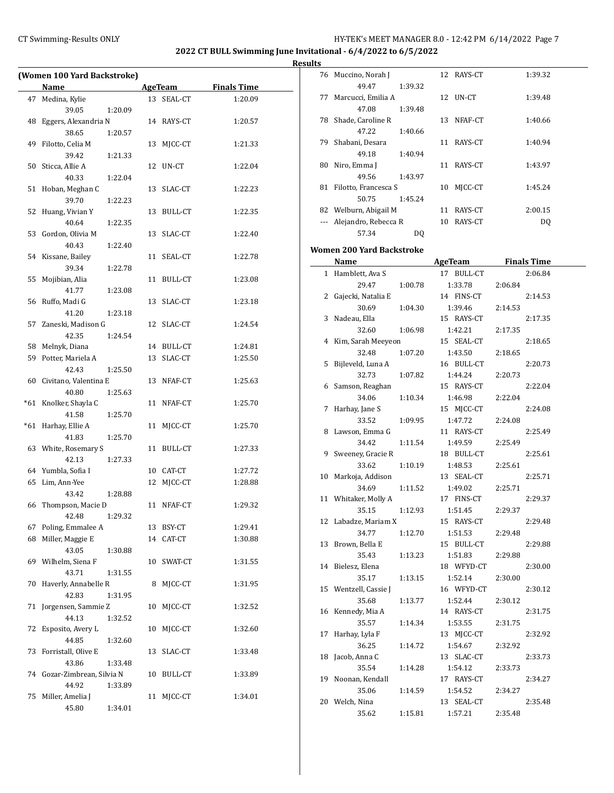**Results**

 $\overline{\phantom{a}}$ 

| (Women 100 Yard Backstroke) |                               |         |    |            |                    |  |  |
|-----------------------------|-------------------------------|---------|----|------------|--------------------|--|--|
|                             | Name                          |         |    | AgeTeam    | <b>Finals Time</b> |  |  |
|                             | 47 Medina, Kylie              |         |    | 13 SEAL-CT | 1:20.09            |  |  |
|                             | 39.05                         | 1:20.09 |    |            |                    |  |  |
| 48                          | Eggers, Alexandria N          |         |    | 14 RAYS-CT | 1:20.57            |  |  |
|                             | 38.65                         | 1:20.57 |    |            |                    |  |  |
|                             | 49 Filotto, Celia M           |         | 13 | MJCC-CT    | 1:21.33            |  |  |
|                             | 39.42                         | 1:21.33 |    |            |                    |  |  |
|                             | 50 Sticca, Allie A            |         |    | 12 UN-CT   | 1:22.04            |  |  |
|                             | 40.33                         | 1:22.04 |    |            |                    |  |  |
| 51                          | Hoban, Meghan C               |         | 13 | SLAC-CT    | 1:22.23            |  |  |
|                             | 39.70                         | 1:22.23 |    |            |                    |  |  |
|                             | 52 Huang, Vivian Y            |         | 13 | BULL-CT    | 1:22.35            |  |  |
|                             | 40.64                         | 1:22.35 |    |            |                    |  |  |
|                             | 53 Gordon, Olivia M           |         | 13 | SLAC-CT    | 1:22.40            |  |  |
|                             | 40.43                         | 1:22.40 |    |            |                    |  |  |
|                             | 54 Kissane, Bailey            |         | 11 | SEAL-CT    | 1:22.78            |  |  |
|                             | 39.34                         | 1:22.78 |    |            |                    |  |  |
|                             | 55 Mojibian, Alia             |         | 11 | BULL-CT    | 1:23.08            |  |  |
|                             | 41.77                         | 1:23.08 |    |            |                    |  |  |
|                             | 56 Ruffo, Madi G              |         | 13 | SLAC-CT    | 1:23.18            |  |  |
|                             | 41.20                         | 1:23.18 |    |            |                    |  |  |
| 57                          | Zaneski, Madison G            |         | 12 | SLAC-CT    | 1:24.54            |  |  |
|                             | 42.35                         | 1:24.54 |    |            |                    |  |  |
|                             | 58 Melnyk, Diana              |         |    | 14 BULL-CT | 1:24.81            |  |  |
|                             | 59 Potter, Mariela A          |         |    | 13 SLAC-CT | 1:25.50            |  |  |
|                             | 42.43                         | 1:25.50 |    |            |                    |  |  |
|                             | 60 Civitano, Valentina E      |         |    | 13 NFAF-CT | 1:25.63            |  |  |
|                             | 40.80                         | 1:25.63 |    |            |                    |  |  |
|                             | *61 Knolker, Shayla C         |         |    | 11 NFAF-CT | 1:25.70            |  |  |
|                             | 41.58                         | 1:25.70 |    |            |                    |  |  |
| $*61$                       | Harhay, Ellie A               |         | 11 | MJCC-CT    | 1:25.70            |  |  |
|                             | 41.83                         | 1:25.70 |    |            |                    |  |  |
|                             | 63 White, Rosemary S          |         |    | 11 BULL-CT | 1:27.33            |  |  |
|                             | 42.13                         | 1:27.33 |    |            |                    |  |  |
|                             | 64 Yumbla, Sofia I            |         |    | 10 CAT-CT  | 1:27.72            |  |  |
|                             | 65 Lim, Ann-Yee               |         | 12 | MJCC-CT    | 1:28.88            |  |  |
|                             | 43.42                         | 1:28.88 |    |            |                    |  |  |
|                             | 66 Thompson, Macie D          |         |    | 11 NFAF-CT | 1:29.32            |  |  |
|                             | 42.48<br>67 Poling, Emmalee A | 1:29.32 |    | 13 BSY-CT  | 1:29.41            |  |  |
| 68                          | Miller, Maggie E              |         | 14 | CAT-CT     | 1:30.88            |  |  |
|                             | 43.05                         | 1:30.88 |    |            |                    |  |  |
|                             | 69 Wilhelm, Siena F           |         | 10 | SWAT-CT    | 1:31.55            |  |  |
|                             | 43.71                         | 1:31.55 |    |            |                    |  |  |
| 70                          | Haverly, Annabelle R          |         | 8  | MJCC-CT    | 1:31.95            |  |  |
|                             | 42.83                         | 1:31.95 |    |            |                    |  |  |
| 71                          | Jorgensen, Sammie Z           |         | 10 | MJCC-CT    | 1:32.52            |  |  |
|                             | 44.13                         | 1:32.52 |    |            |                    |  |  |
| 72                          | Esposito, Avery L             |         | 10 | MICC-CT    | 1:32.60            |  |  |
|                             | 44.85                         | 1:32.60 |    |            |                    |  |  |
| 73                          | Forristall, Olive E           |         | 13 | SLAC-CT    | 1:33.48            |  |  |
|                             | 43.86                         | 1:33.48 |    |            |                    |  |  |
|                             | 74 Gozar-Zimbrean, Silvia N   |         | 10 | BULL-CT    | 1:33.89            |  |  |
|                             | 44.92                         | 1:33.89 |    |            |                    |  |  |
| 75                          | Miller, Amelia J              |         | 11 | MJCC-CT    | 1:34.01            |  |  |
|                             | 45.80                         | 1:34.01 |    |            |                    |  |  |

| lts |                           |         |    |                |                    |  |
|-----|---------------------------|---------|----|----------------|--------------------|--|
| 76  | Muccino, Norah J          |         |    | 12 RAYS-CT     | 1:39.32            |  |
|     | 49.47                     | 1:39.32 |    |                |                    |  |
| 77  | Marcucci, Emilia A        |         |    | 12 UN-CT       | 1:39.48            |  |
|     | 47.08                     | 1:39.48 |    |                |                    |  |
| 78  | Shade, Caroline R         |         | 13 | NFAF-CT        | 1:40.66            |  |
|     | 47.22                     | 1:40.66 |    |                |                    |  |
| 79  | Shabani, Desara           |         | 11 | RAYS-CT        | 1:40.94            |  |
|     | 49.18                     | 1:40.94 |    |                |                    |  |
| 80  | Niro, Emma J              |         | 11 | RAYS-CT        | 1:43.97            |  |
|     | 49.56                     | 1:43.97 |    |                |                    |  |
|     | 81 Filotto, Francesca S   |         | 10 | MJCC-CT        | 1:45.24            |  |
|     | 50.75                     | 1:45.24 |    |                |                    |  |
|     | 82 Welburn, Abigail M     |         | 11 | RAYS-CT        | 2:00.15            |  |
|     | Alejandro, Rebecca R      |         | 10 | RAYS-CT        | DQ                 |  |
|     | 57.34                     | DQ      |    |                |                    |  |
|     | Women 200 Yard Backstroke |         |    |                |                    |  |
|     | Name                      |         |    | AgeTeam        | <b>Finals Time</b> |  |
| 1   | Hamblett, Ava S           |         | 17 | <b>BULL-CT</b> | 2:06.84            |  |

| 1  | Hamblett, Ava S    |         | 17 BULL-CT |         | 2:06.84 |
|----|--------------------|---------|------------|---------|---------|
|    | 29.47              | 1:00.78 | 1:33.78    | 2:06.84 |         |
| 2  | Gajecki, Natalia E |         | 14 FINS-CT |         | 2:14.53 |
|    | 30.69              | 1:04.30 | 1:39.46    | 2:14.53 |         |
| 3  | Nadeau, Ella       |         | 15 RAYS-CT |         | 2:17.35 |
|    | 32.60              | 1:06.98 | 1:42.21    | 2:17.35 |         |
| 4  | Kim, Sarah Meeyeon |         | 15 SEAL-CT |         | 2:18.65 |
|    | 32.48              | 1:07.20 | 1:43.50    | 2:18.65 |         |
| 5  | Bijleveld, Luna A  |         | 16 BULL-CT |         | 2:20.73 |
|    | 32.73              | 1:07.82 | 1:44.24    | 2:20.73 |         |
| 6  | Samson, Reaghan    |         | 15 RAYS-CT |         | 2:22.04 |
|    | 34.06              | 1:10.34 | 1:46.98    | 2:22.04 |         |
| 7  | Harhay, Jane S     |         | 15 MJCC-CT |         | 2:24.08 |
|    | 33.52              | 1:09.95 | 1:47.72    | 2:24.08 |         |
| 8  | Lawson, Emma G     |         | 11 RAYS-CT |         | 2:25.49 |
|    | 34.42              | 1:11.54 | 1:49.59    | 2:25.49 |         |
| 9  | Sweeney, Gracie R  |         | 18 BULL-CT |         | 2:25.61 |
|    | 33.62              | 1:10.19 | 1:48.53    | 2:25.61 |         |
| 10 | Markoja, Addison   |         | 13 SEAL-CT |         | 2:25.71 |
|    | 34.69              | 1:11.52 | 1:49.02    | 2:25.71 |         |
| 11 | Whitaker, Molly A  |         | 17 FINS-CT |         | 2:29.37 |
|    | 35.15              | 1:12.93 | 1:51.45    | 2:29.37 |         |
| 12 | Labadze, Mariam X  |         | 15 RAYS-CT |         | 2:29.48 |
|    | 34.77              | 1:12.70 | 1:51.53    | 2:29.48 |         |
| 13 | Brown, Bella E     |         | 15 BULL-CT |         | 2:29.88 |
|    | 35.43              | 1:13.23 | 1:51.83    | 2:29.88 |         |
| 14 | Bielesz, Elena     |         | 18 WFYD-CT |         | 2:30.00 |
|    | 35.17              | 1:13.15 | 1:52.14    | 2:30.00 |         |
| 15 | Wentzell, Cassie J |         | 16 WFYD-CT |         | 2:30.12 |
|    | 35.68              | 1:13.77 | 1:52.44    | 2:30.12 |         |
| 16 | Kennedy, Mia A     |         | 14 RAYS-CT |         | 2:31.75 |
|    | 35.57              | 1:14.34 | 1:53.55    | 2:31.75 |         |
| 17 | Harhay, Lyla F     |         | 13 MJCC-CT |         | 2:32.92 |
|    | 36.25              | 1:14.72 | 1:54.67    | 2:32.92 |         |
| 18 | Jacob, Anna C      |         | 13 SLAC-CT |         | 2:33.73 |
|    | 35.54              | 1:14.28 | 1:54.12    | 2:33.73 |         |
| 19 | Noonan, Kendall    |         | 17 RAYS-CT |         | 2:34.27 |
|    | 35.06              | 1:14.59 | 1:54.52    | 2:34.27 |         |
| 20 | Welch, Nina        |         | 13 SEAL-CT |         | 2:35.48 |
|    | 35.62              | 1:15.81 | 1:57.21    | 2:35.48 |         |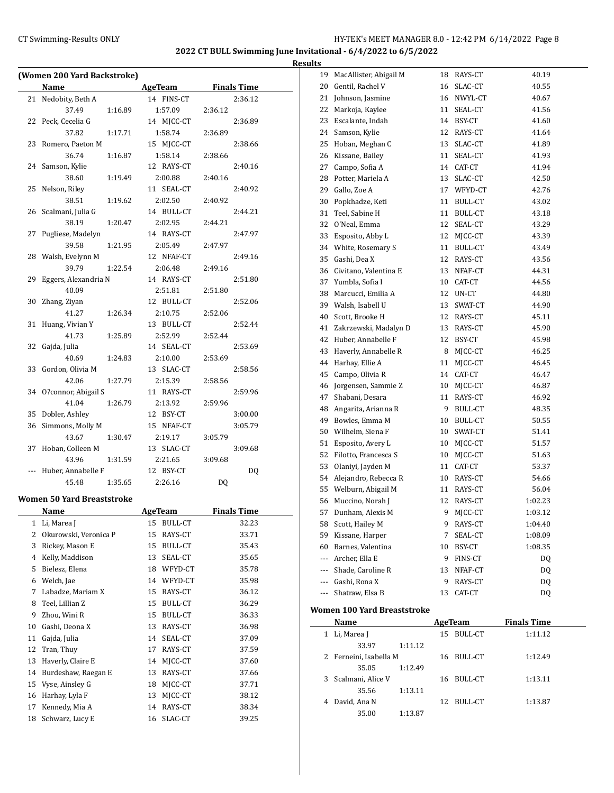|    |                                                      |                      |                    | <b>Results</b>          |
|----|------------------------------------------------------|----------------------|--------------------|-------------------------|
|    | (Women 200 Yard Backstroke)                          |                      |                    | $\mathbf{1}$            |
|    | <b>Name</b><br><b>Example 21 AgeTeam</b> Finals Time |                      |                    | 2                       |
|    | 21 Nedobity, Beth A                                  | 14 FINS-CT           | 2:36.12            | $\overline{c}$          |
|    | 37.49<br>1:16.89                                     | 1:57.09              | 2:36.12            | $\overline{c}$          |
|    | 22 Peck, Cecelia G                                   | 14 MJCC-CT           | 2:36.89            | $\overline{c}$          |
|    | 37.82<br>1:17.71                                     | 1:58.74              | 2:36.89            | $\overline{\mathbf{c}}$ |
|    | 23 Romero, Paeton M                                  | 15 MJCC-CT           | 2:38.66            | $\overline{c}$          |
|    | 36.74<br>1:16.87                                     | 1:58.14              | 2:38.66            | $\overline{c}$          |
|    | 24 Samson, Kylie                                     | 12 RAYS-CT           | 2:40.16            | $\overline{c}$          |
|    | 38.60<br>1:19.49                                     | 2:00.88              | 2:40.16            | $\overline{c}$          |
|    | 25 Nelson, Riley                                     | 11 SEAL-CT           | 2:40.92            | $\overline{c}$          |
|    | 1:19.62<br>38.51                                     | 2:02.50              | 2:40.92            | 3                       |
|    | 26 Scalmani, Julia G                                 | 14 BULL-CT           | 2:44.21            | 3                       |
|    | 38.19<br>1:20.47                                     | 2:02.95              | 2:44.21            | 3                       |
|    | 27 Pugliese, Madelyn                                 | 14 RAYS-CT           | 2:47.97            | 3                       |
|    | 39.58                                                | 1:21.95 2:05.49      | 2:47.97            | 3                       |
|    | 28 Walsh, Evelynn M                                  | 12 NFAF-CT           | 2:49.16            | 3                       |
|    | 39.79                                                | 1:22.54 2:06.48      | 2:49.16            | 3                       |
|    | 29 Eggers, Alexandria N                              | 14 RAYS-CT           | 2:51.80            | 3                       |
|    | 40.09                                                | 2:51.81              | 2:51.80            | 3                       |
|    | 30 Zhang, Ziyan                                      | 12 BULL-CT           | 2:52.06            | 3                       |
|    | 41.27<br>1:26.34                                     | 2:10.75              | 2:52.06            | $\overline{4}$          |
|    | 31 Huang, Vivian Y                                   | 13 BULL-CT           | 2:52.44            | 4                       |
|    | 41.73<br>1:25.89                                     | 2:52.99              | 2:52.44            | $\overline{4}$          |
|    | 32 Gajda, Julia                                      | 14 SEAL-CT           | 2:53.69            | $\overline{4}$          |
|    | 40.69<br>1:24.83                                     | 2:10.00              | 2:53.69            | 4                       |
|    | 33 Gordon, Olivia M                                  | 13 SLAC-CT           | 2:58.56            | 4                       |
|    | 42.06<br>1:27.79                                     | 2:15.39              | 2:58.56            | 4                       |
|    | 34 O?connor, Abigail S                               | 11 RAYS-CT           | 2:59.96            | 4                       |
|    | 41.04<br>1:26.79                                     | 2:13.92              | 2:59.96            | 4                       |
|    | 35 Dobler, Ashley                                    | 12 BSY-CT            | 3:00.00            | 4                       |
|    | 36 Simmons, Molly M                                  | 15 NFAF-CT           | 3:05.79            | 5                       |
|    | 43.67<br>1:30.47                                     | 2:19.17              | 3:05.79            | 5                       |
|    | 37 Hoban, Colleen M                                  | 13 SLAC-CT           | 3:09.68            | 5                       |
|    | 43.96<br>1:31.59                                     | 2:21.65              | 3:09.68            | 5                       |
|    | --- Huber, Annabelle F                               | 12 BSY-CT            | DQ                 | 5                       |
|    | 45.48<br>1:35.65                                     | 2:26.16              | DQ                 | 5                       |
|    | <b>Women 50 Yard Breaststroke</b>                    |                      |                    | 5                       |
|    | <b>Name</b>                                          | <b>AgeTeam</b>       | <b>Finals Time</b> | 5                       |
| 1  | Li, Marea J                                          | <b>BULL-CT</b><br>15 | 32.23              | 5                       |
| 2  | Okurowski, Veronica P                                | RAYS-CT<br>15        | 33.71              | 5                       |
| 3  | Rickey, Mason E                                      | <b>BULL-CT</b><br>15 | 35.43              | 6                       |
| 4  | Kelly, Maddison                                      | 13<br>SEAL-CT        | 35.65              | ۳                       |
| 5  | Bielesz, Elena                                       | 18<br>WFYD-CT        | 35.78              |                         |
| 6  | Welch, Jae                                           | 14 WFYD-CT           | 35.98              |                         |
| 7  | Labadze, Mariam X                                    | 15<br>RAYS-CT        | 36.12              |                         |
| 8  | Teel, Lillian Z                                      | <b>BULL-CT</b><br>15 | 36.29              |                         |
| 9  | Zhou, Wini R                                         | 15<br>BULL-CT        | 36.33              | Wo:                     |
| 10 | Gashi, Deona X                                       | 13<br>RAYS-CT        | 36.98              |                         |
| 11 | Gajda, Julia                                         | SEAL-CT<br>14        | 37.09              |                         |
| 12 | Tran, Thuy                                           | 17<br>RAYS-CT        | 37.59              |                         |
|    |                                                      |                      |                    |                         |
| 13 | Haverly, Claire E                                    | MJCC-CT<br>14        | 37.60              |                         |
| 14 | Burdeshaw, Raegan E                                  | RAYS-CT<br>13        | 37.66              |                         |
| 15 | Vyse, Ainsley G                                      | MJCC-CT<br>18        | 37.71              |                         |
| 16 | Harhay, Lyla F                                       | 13<br>MJCC-CT        | 38.12              |                         |
| 17 | Kennedy, Mia A                                       | 14<br>RAYS-CT        | 38.34              |                         |
| 18 | Schwarz, Lucy E                                      | SLAC-CT<br>16        | 39.25              |                         |
|    |                                                      |                      |                    |                         |

|     | <b>Name</b>                 |    | AgeTeam    | Finale Time |
|-----|-----------------------------|----|------------|-------------|
|     | Women 100 Yard Breaststroke |    |            |             |
| --- | Shatraw, Elsa B             | 13 | CAT-CT     | DQ          |
|     | --- Gashi, Rona X           | 9. | RAYS-CT    | DQ          |
|     | --- Shade, Caroline R       | 13 | NFAF-CT    | DQ          |
| --- | Archer, Ella E              | 9  | FINS-CT    | DQ          |
| 60  | Barnes, Valentina           | 10 | BSY-CT     | 1:08.35     |
| 59  | Kissane, Harper             | 7  | SEAL-CT    | 1:08.09     |
| 58  | Scott, Hailey M             | 9  | RAYS-CT    | 1:04.40     |
| 57  | Dunham, Alexis M            | 9  | MJCC-CT    | 1:03.12     |
| 56  | Muccino, Norah J            | 12 | RAYS-CT    | 1:02.23     |
| 55  | Welburn, Abigail M          |    | 11 RAYS-CT | 56.04       |
| 54  | Alejandro, Rebecca R        |    | 10 RAYS-CT | 54.66       |
| 53  | Olaniyi, Jayden M           | 11 | CAT-CT     | 53.37       |
| 52  | Filotto, Francesca S        | 10 | MJCC-CT    | 51.63       |
| 51  | Esposito, Avery L           |    | 10 MJCC-CT | 51.57       |
| 50  | Wilhelm, Siena F            |    | 10 SWAT-CT | 51.41       |
| 49  | Bowles, Emma M              |    | 10 BULL-CT | 50.55       |
| 48  | Angarita, Arianna R         | 9  | BULL-CT    | 48.35       |
| 47  | Shabani, Desara             | 11 | RAYS-CT    | 46.92       |
| 46  | Jorgensen, Sammie Z         |    | 10 MJCC-CT | 46.87       |
| 45  | Campo, Olivia R             |    | 14 CAT-CT  | 46.47       |
| 44  | Harhay, Ellie A             | 11 | MJCC-CT    | 46.45       |
| 43  | Haverly, Annabelle R        |    | 8 MJCC-CT  | 46.25       |
| 42  | Huber, Annabelle F          |    | 12 BSY-CT  | 45.98       |
| 41  | Zakrzewski, Madalyn D       | 13 | RAYS-CT    | 45.90       |
| 40  | Scott, Brooke H             |    | 12 RAYS-CT | 45.11       |
| 39  | Walsh, Isabell U            | 13 | SWAT-CT    | 44.90       |
| 38  | Marcucci, Emilia A          | 12 | UN-CT      | 44.80       |
| 37  | Yumbla, Sofia I             |    | 10 CAT-CT  | 44.56       |
| 36  | Civitano, Valentina E       | 13 | NFAF-CT    | 44.31       |
| 35  | Gashi, Dea X                | 12 | RAYS-CT    | 43.56       |
| 34  | White, Rosemary S           | 11 | BULL-CT    | 43.49       |
| 33  | Esposito, Abby L            |    | 12 MJCC-CT | 43.39       |
| 32  | O'Neal, Emma                |    | 12 SEAL-CT | 43.29       |
| 31  | Teel, Sabine H              |    | 11 BULL-CT | 43.18       |
| 30  | Popkhadze, Keti             |    | 11 BULL-CT | 43.02       |
| 29  | Gallo, Zoe A                |    | 17 WFYD-CT | 42.76       |
| 28  | Potter, Mariela A           |    | 13 SLAC-CT | 42.50       |
| 27  | Campo, Sofia A              |    | 14 CAT-CT  | 41.94       |
| 26  | Kissane, Bailey             | 11 | SEAL-CT    | 41.93       |
| 25  | Hoban, Meghan C             | 13 | SLAC-CT    | 41.89       |
| 24  | Samson, Kylie               | 12 | RAYS-CT    | 41.64       |
| 23  | Escalante, Indah            | 14 | BSY-CT     | 41.60       |
| 22  | Markoja, Kaylee             | 11 | SEAL-CT    | 41.56       |
| 21  | Johnson, Jasmine            |    | 16 NWYL-CT | 40.67       |
| 20  | Gentil, Rachel V            |    | 16 SLAC-CT | 40.55       |
| 19  | MacAllister, Abigail M      |    | 18 RAYS-CT | 40.19       |

| Name                   |         |    | AgeTeam    | <b>Finals Time</b> |  |
|------------------------|---------|----|------------|--------------------|--|
| 1 Li, Marea J          |         |    | 15 BULL-CT | 1:11.12            |  |
| 33.97                  | 1:11.12 |    |            |                    |  |
| 2 Ferneini, Isabella M |         |    | 16 BULL-CT | 1:12.49            |  |
| 35.05                  | 1:12.49 |    |            |                    |  |
| 3 Scalmani, Alice V    |         |    | 16 BULL-CT | 1:13.11            |  |
| 35.56                  | 1:13.11 |    |            |                    |  |
| 4 David, Ana N         |         | 12 | BULL-CT    | 1:13.87            |  |
| 35.00                  | 1:13.87 |    |            |                    |  |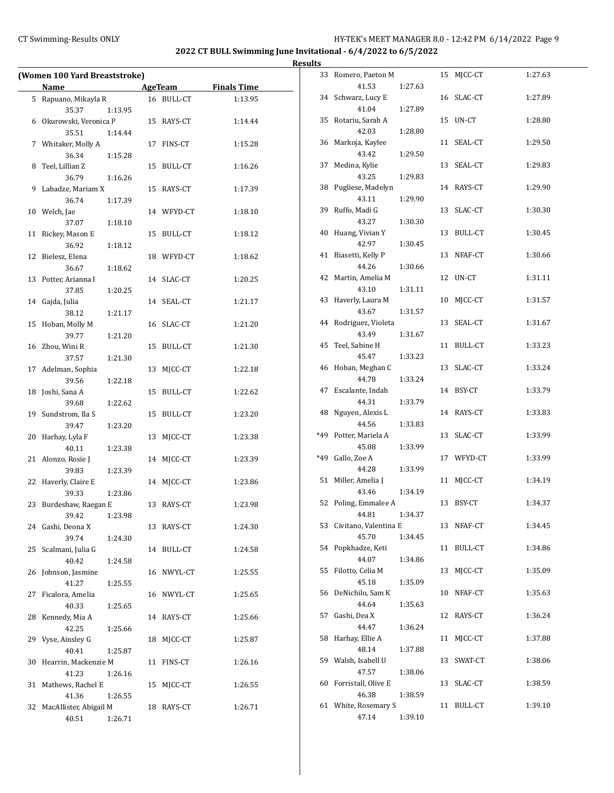$\overline{a}$ 

# CT Swimming-Results ONLY **CT Swimming-Results ONLY** 100 12:42 PM 6/14/2022 Page 9

**2022 CT BULL Swimming June Invitational - 6/4/2022 to 6/5/2022**

| (Women 100 Yard Breaststroke) |                         |         |    |                |                    |  |  |
|-------------------------------|-------------------------|---------|----|----------------|--------------------|--|--|
|                               | Name                    |         |    | <b>AgeTeam</b> | <b>Finals Time</b> |  |  |
| 5                             | Rapuano, Mikayla R      |         |    | 16 BULL-CT     | 1:13.95            |  |  |
|                               | 35.37                   | 1:13.95 |    |                |                    |  |  |
|                               | 6 Okurowski, Veronica P |         |    | 15 RAYS-CT     | 1:14.44            |  |  |
|                               | 35.51                   | 1:14.44 |    |                |                    |  |  |
|                               | 7 Whitaker, Molly A     |         | 17 | FINS-CT        | 1:15.28            |  |  |
|                               | 36.34                   | 1:15.28 |    |                |                    |  |  |
| 8                             | Teel, Lillian Z         |         | 15 | BULL-CT        | 1:16.26            |  |  |
|                               | 36.79                   | 1:16.26 |    |                |                    |  |  |
| 9                             | Labadze, Mariam X       |         | 15 | RAYS-CT        | 1:17.39            |  |  |
|                               | 36.74                   | 1:17.39 |    |                |                    |  |  |
| 10                            | Welch, Jae              |         |    | 14 WFYD-CT     | 1:18.10            |  |  |
|                               | 37.07                   | 1:18.10 |    |                |                    |  |  |
| 11                            | Rickey, Mason E         |         | 15 | BULL-CT        | 1:18.12            |  |  |
|                               | 36.92                   | 1:18.12 |    |                |                    |  |  |
| 12                            | Bielesz, Elena          |         |    | 18 WFYD-CT     | 1:18.62            |  |  |
|                               | 36.67                   | 1:18.62 |    |                |                    |  |  |
| 13                            | Potter, Arianna I       |         |    | 14 SLAC-CT     | 1:20.25            |  |  |
|                               | 37.85                   | 1:20.25 |    |                |                    |  |  |
| 14                            | Gajda, Julia            |         | 14 | SEAL-CT        | 1:21.17            |  |  |
|                               | 38.12                   | 1:21.17 |    |                |                    |  |  |
| 15                            | Hoban, Molly M          |         | 16 | SLAC-CT        | 1:21.20            |  |  |
|                               | 39.77                   | 1:21.20 |    |                |                    |  |  |
| 16                            | Zhou, Wini R            |         | 15 | BULL-CT        | 1:21.30            |  |  |
|                               | 37.57                   | 1:21.30 |    |                |                    |  |  |
| 17                            | Adelman, Sophia         |         | 13 | MJCC-CT        | 1:22.18            |  |  |
|                               | 39.56                   | 1:22.18 |    |                |                    |  |  |
| 18                            | Joshi, Sana A           |         | 15 | BULL-CT        | 1:22.62            |  |  |
|                               | 39.68                   | 1:22.62 |    |                |                    |  |  |
| 19                            | Sundstrom, Ila S        |         | 15 | <b>BULL-CT</b> | 1:23.20            |  |  |
|                               | 39.47                   | 1:23.20 |    |                |                    |  |  |
| 20                            | Harhay, Lyla F          |         | 13 | MJCC-CT        | 1:23.38            |  |  |
|                               | 40.11                   | 1:23.38 |    |                |                    |  |  |
| 21                            | Alonzo, Rosie J         |         | 14 | MJCC-CT        | 1:23.39            |  |  |
|                               | 39.83                   | 1:23.39 |    |                |                    |  |  |
| 22                            | Haverly, Claire E       |         | 14 | MJCC-CT        | 1:23.86            |  |  |
|                               | 39.33                   | 1:23.86 |    |                |                    |  |  |
| 23                            | Burdeshaw, Raegan E     |         |    | 13 RAYS-CT     | 1:23.98            |  |  |
|                               | 39.42                   | 1:23.98 |    |                |                    |  |  |
|                               | 24 Gashi, Deona X       |         |    | 13 RAYS-CT     | 1:24.30            |  |  |
|                               | 39.74                   | 1:24.30 |    |                |                    |  |  |
| 25                            | Scalmani, Julia G       |         |    | 14 BULL-CT     | 1:24.58            |  |  |
|                               | 40.42                   | 1:24.58 |    |                |                    |  |  |
| 26                            | Johnson, Jasmine        |         |    | 16 NWYL-CT     | 1:25.55            |  |  |
|                               | 41.27                   | 1:25.55 |    |                |                    |  |  |
| 27                            | Ficalora, Amelia        |         |    | 16 NWYL-CT     | 1:25.65            |  |  |
|                               | 40.33                   | 1:25.65 |    |                |                    |  |  |
| 28                            | Kennedy, Mia A          |         |    | 14 RAYS-CT     | 1:25.66            |  |  |
|                               | 42.25                   | 1:25.66 |    |                |                    |  |  |
| 29                            | Vyse, Ainsley G         |         | 18 | MICC-CT        | 1:25.87            |  |  |
|                               | 40.41                   | 1:25.87 |    |                |                    |  |  |
| 30                            | Hearrin, Mackenzie M    |         | 11 | FINS-CT        | 1:26.16            |  |  |
|                               | 41.23                   | 1:26.16 |    |                |                    |  |  |
| 31                            | Mathews, Rachel E       |         | 15 | MJCC-CT        | 1:26.55            |  |  |
|                               | 41.36                   | 1:26.55 |    |                |                    |  |  |
| 32                            | MacAllister, Abigail M  |         | 18 | RAYS-CT        | 1:26.71            |  |  |
|                               | 40.51                   | 1:26.71 |    |                |                    |  |  |

| 33  | Romero, Paeton M<br>41.53 |         | 15 | MJCC-CT    | 1:27.63 |
|-----|---------------------------|---------|----|------------|---------|
|     |                           | 1:27.63 |    |            |         |
| 34  | Schwarz, Lucy E           |         |    | 16 SLAC-CT | 1:27.89 |
|     | 41.04                     | 1:27.89 |    |            |         |
| 35  | Rotariu, Sarah A          |         | 15 | UN-CT      | 1:28.80 |
|     | 42.03                     | 1:28.80 |    |            |         |
| 36  | Markoja, Kaylee           |         | 11 | SEAL-CT    | 1:29.50 |
|     | 43.42                     | 1:29.50 |    |            |         |
| 37  | Medina, Kylie             |         | 13 | SEAL-CT    | 1:29.83 |
|     | 43.25                     | 1:29.83 |    |            |         |
| 38  | Pugliese, Madelyn         |         |    | 14 RAYS-CT | 1:29.90 |
|     | 43.11                     | 1:29.90 |    |            |         |
| 39  | Ruffo, Madi G             |         | 13 | SLAC-CT    | 1:30.30 |
|     | 43.27                     | 1:30.30 |    |            |         |
| 40  | Huang, Vivian Y           |         | 13 | BULL-CT    | 1:30.45 |
|     | 42.97                     | 1:30.45 |    |            |         |
| 41  | Biasetti, Kelly P         |         | 13 | NFAF-CT    | 1:30.66 |
|     | 44.26                     | 1:30.66 |    |            |         |
| 42  | Martin, Amelia M          |         | 12 | UN-CT      | 1:31.11 |
|     | 43.10                     | 1:31.11 |    |            |         |
| 43  | Haverly, Laura M          |         | 10 | MJCC-CT    | 1:31.57 |
|     | 43.67                     | 1:31.57 |    |            |         |
| 44  | Rodriguez, Violeta        |         | 13 | SEAL-CT    | 1:31.67 |
|     | 43.49                     | 1:31.67 |    |            |         |
| 45  | Teel, Sabine H            |         | 11 | BULL-CT    | 1:33.23 |
|     | 45.47                     | 1:33.23 |    |            |         |
| 46  | Hoban, Meghan C           |         | 13 | SLAC-CT    | 1:33.24 |
|     | 44.78                     | 1:33.24 |    |            |         |
|     |                           |         |    |            |         |
| 47  | Escalante, Indah          |         | 14 | BSY-CT     | 1:33.79 |
|     | 44.31                     | 1:33.79 |    |            |         |
| 48  | Nguyen, Alexis L          |         |    | 14 RAYS-CT | 1:33.83 |
|     | 44.56                     | 1:33.83 |    |            |         |
| *49 | Potter, Mariela A         |         | 13 | SLAC-CT    | 1:33.99 |
|     | 45.08                     | 1:33.99 |    |            |         |
| *49 | Gallo, Zoe A              |         |    | 17 WFYD-CT | 1:33.99 |
|     | 44.28                     | 1:33.99 |    |            |         |
| 51  | Miller, Amelia J          |         | 11 | MJCC-CT    | 1:34.19 |
|     | 43.46                     | 1:34.19 |    |            |         |
| 52  | Poling, Emmalee A         |         | 13 | BSY-CT     | 1:34.37 |
|     | 44.81                     | 1:34.37 |    |            |         |
| 53  | Civitano, Valentina E     |         | 13 | NFAF-CT    | 1:34.45 |
|     | 45.70                     | 1:34.45 |    |            |         |
| 54  | Popkhadze, Keti           |         | 11 | BULL-CT    | 1:34.86 |
|     | 44.07                     | 1:34.86 |    |            |         |
| 55  | Filotto, Celia M          |         | 13 | MJCC-CT    | 1:35.09 |
|     | 45.18                     | 1:35.09 |    |            |         |
| 56  | DeNichilo, Sam K          |         | 10 | NFAF-CT    | 1:35.63 |
|     | 44.64                     | 1:35.63 |    |            |         |
| 57  | Gashi, Dea X              |         | 12 | RAYS-CT    | 1:36.24 |
|     | 44.47                     | 1:36.24 |    |            |         |
| 58  | Harhay, Ellie A           |         | 11 | MJCC-CT    | 1:37.88 |
|     | 48.14                     | 1:37.88 |    |            |         |
| 59  | Walsh, Isabell U          |         | 13 | SWAT-CT    | 1:38.06 |
|     | 47.57                     | 1:38.06 |    |            |         |
| 60  | Forristall, Olive E       |         | 13 | SLAC-CT    | 1:38.59 |
|     | 46.38                     | 1:38.59 |    |            |         |
| 61  | White, Rosemary S         |         | 11 | BULL-CT    | 1:39.10 |
|     | 47.14                     | 1:39.10 |    |            |         |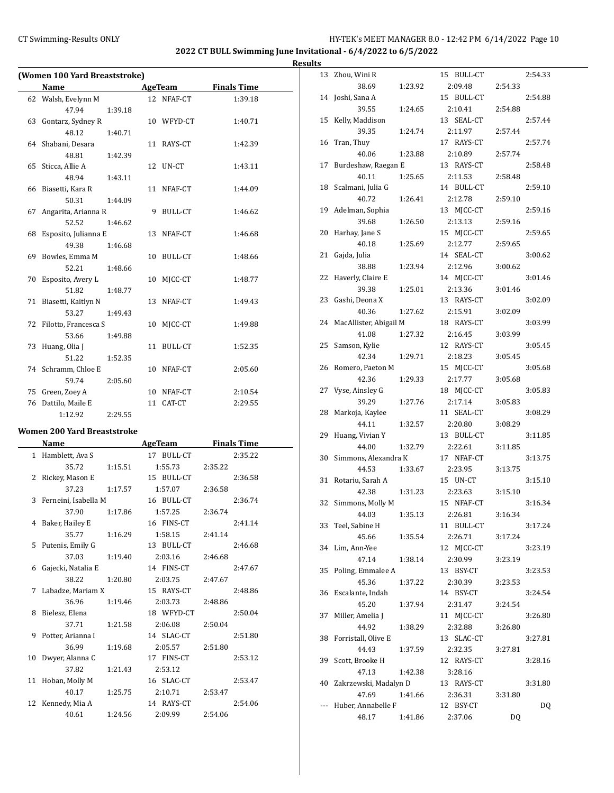# CT Swimming-Results ONLY **EXECUTE:** THE HY-TEK's MEET MANAGER 8.0 - 12:42 PM 6/14/2022 Page 10

**2022 CT BULL Swimming June Invitational - 6/4/2022 to 6/5/2022**

**Results**

|    | (Women 100 Yard Breaststroke) |         |    |            |                    |  |  |  |
|----|-------------------------------|---------|----|------------|--------------------|--|--|--|
|    | <b>Name</b>                   |         |    | AgeTeam    | <b>Finals Time</b> |  |  |  |
|    | 62 Walsh, Evelynn M           |         |    | 12 NFAF-CT | 1:39.18            |  |  |  |
|    | 47.94                         | 1:39.18 |    |            |                    |  |  |  |
|    | 63 Gontarz, Sydney R          |         |    | 10 WFYD-CT | 1:40.71            |  |  |  |
|    | 48.12                         | 1:40.71 |    |            |                    |  |  |  |
|    | 64 Shabani, Desara            |         |    | 11 RAYS-CT | 1:42.39            |  |  |  |
|    | 48.81                         | 1:42.39 |    |            |                    |  |  |  |
|    | 65 Sticca, Allie A            |         | 12 | UN-CT      | 1:43.11            |  |  |  |
|    | 48.94                         | 1:43.11 |    |            |                    |  |  |  |
|    | 66 Biasetti, Kara R           |         |    | 11 NFAF-CT | 1:44.09            |  |  |  |
|    | 50.31                         | 1:44.09 |    |            |                    |  |  |  |
|    | 67 Angarita, Arianna R        |         |    | 9 BULL-CT  | 1:46.62            |  |  |  |
|    | 52.52                         | 1:46.62 |    |            |                    |  |  |  |
|    | 68 Esposito, Julianna E       |         |    | 13 NFAF-CT | 1:46.68            |  |  |  |
|    | 49.38                         | 1:46.68 |    |            |                    |  |  |  |
| 69 | Bowles, Emma M                |         |    | 10 BULL-CT | 1:48.66            |  |  |  |
|    | 52.21                         | 1:48.66 |    |            |                    |  |  |  |
| 70 | Esposito, Avery L             |         | 10 | MICC-CT    | 1:48.77            |  |  |  |
|    | 51.82                         | 1:48.77 |    |            |                    |  |  |  |
|    | 71 Biasetti, Kaitlyn N        |         |    | 13 NFAF-CT | 1:49.43            |  |  |  |
|    | 53.27                         | 1:49.43 |    |            |                    |  |  |  |
|    | 72 Filotto, Francesca S       |         | 10 | MICC-CT    | 1:49.88            |  |  |  |
|    | 53.66                         | 1:49.88 |    |            |                    |  |  |  |
|    | 73 Huang, Olia J              |         |    | 11 BULL-CT | 1:52.35            |  |  |  |
|    | 51.22                         | 1:52.35 |    |            |                    |  |  |  |
|    | 74 Schramm, Chloe E           |         |    | 10 NFAF-CT | 2:05.60            |  |  |  |
|    | 59.74                         | 2:05.60 |    |            |                    |  |  |  |
| 75 | Green, Zoey A                 |         |    | 10 NFAF-CT | 2:10.54            |  |  |  |
| 76 | Dattilo, Maile E              |         | 11 | CAT-CT     | 2:29.55            |  |  |  |
|    | 1:12.92                       | 2:29.55 |    |            |                    |  |  |  |

### **Women 200 Yard Breaststroke**

|    | <b>Name</b>            |         | AgeTeam    | <b>Finals Time</b> |
|----|------------------------|---------|------------|--------------------|
|    | 1 Hamblett, Ava S      |         | 17 BULL-CT | 2:35.22            |
|    | 35.72                  | 1:15.51 | 1:55.73    | 2:35.22            |
|    | 2 Rickey, Mason E      |         | 15 BULL-CT | 2:36.58            |
|    | 37.23                  | 1:17.57 | 1:57.07    | 2:36.58            |
|    | 3 Ferneini, Isabella M |         | 16 BULL-CT | 2:36.74            |
|    | 37.90                  | 1:17.86 | 1:57.25    | 2:36.74            |
|    | 4 Baker, Hailey E      |         | 16 FINS-CT | 2:41.14            |
|    | 35.77                  | 1:16.29 | 1:58.15    | 2:41.14            |
| 5  | Putenis, Emily G       |         | 13 BULL-CT | 2:46.68            |
|    | 37.03                  | 1:19.40 | 2:03.16    | 2:46.68            |
|    | 6 Gajecki, Natalia E   |         | 14 FINS-CT | 2:47.67            |
|    | 38.22                  | 1:20.80 | 2:03.75    | 2:47.67            |
|    | 7 Labadze, Mariam X    |         | 15 RAYS-CT | 2:48.86            |
|    | 36.96                  | 1:19.46 | 2:03.73    | 2:48.86            |
| 8  | Bielesz, Elena         |         | 18 WFYD-CT | 2:50.04            |
|    | 37.71                  | 1:21.58 | 2:06.08    | 2:50.04            |
|    | 9 Potter, Arianna I    |         | 14 SLAC-CT | 2:51.80            |
|    | 36.99                  | 1:19.68 | 2:05.57    | 2:51.80            |
| 10 | Dwyer, Alanna C        |         | 17 FINS-CT | 2:53.12            |
|    | 37.82                  | 1:21.43 | 2:53.12    |                    |
|    | 11 Hoban, Molly M      |         | 16 SLAC-CT | 2:53.47            |
|    | 40.17                  | 1:25.75 | 2:10.71    | 2:53.47            |
|    | 12 Kennedy, Mia A      |         | 14 RAYS-CT | 2:54.06            |
|    | 40.61                  | 1:24.56 | 2:09.99    | 2:54.06            |

| 13 | Zhou, Wini R           |         |    | 15 BULL-CT |         | 2:54.33 |
|----|------------------------|---------|----|------------|---------|---------|
|    | 38.69                  | 1:23.92 |    | 2:09.48    | 2:54.33 |         |
| 14 | Joshi, Sana A          |         |    | 15 BULL-CT |         | 2:54.88 |
|    | 39.55                  | 1:24.65 |    | 2:10.41    | 2:54.88 |         |
| 15 | Kelly, Maddison        |         |    | 13 SEAL-CT |         | 2:57.44 |
|    | 39.35                  | 1:24.74 |    | 2:11.97    | 2:57.44 |         |
| 16 | Tran, Thuy             |         |    | 17 RAYS-CT |         | 2:57.74 |
|    | 40.06                  | 1:23.88 |    | 2:10.89    | 2:57.74 |         |
| 17 | Burdeshaw, Raegan E    |         |    | 13 RAYS-CT |         | 2:58.48 |
|    | 40.11                  | 1:25.65 |    | 2:11.53    | 2:58.48 |         |
| 18 | Scalmani, Julia G      |         |    | 14 BULL-CT |         | 2:59.10 |
|    | 40.72                  | 1:26.41 |    | 2:12.78    | 2:59.10 |         |
| 19 | Adelman, Sophia        |         |    | 13 MJCC-CT |         | 2:59.16 |
|    | 39.68                  | 1:26.50 |    | 2:13.13    | 2:59.16 |         |
| 20 | Harhay, Jane S         |         |    | 15 MJCC-CT |         | 2:59.65 |
|    | 40.18                  | 1:25.69 |    | 2:12.77    | 2:59.65 |         |
| 21 | Gajda, Julia           |         |    | 14 SEAL-CT |         | 3:00.62 |
|    | 38.88                  | 1:23.94 |    | 2:12.96    | 3:00.62 |         |
| 22 | Haverly, Claire E      |         |    | 14 MJCC-CT |         | 3:01.46 |
|    | 39.38                  | 1:25.01 |    | 2:13.36    | 3:01.46 |         |
| 23 | Gashi, Deona X         |         |    | 13 RAYS-CT |         | 3:02.09 |
|    | 40.36                  | 1:27.62 |    | 2:15.91    | 3:02.09 |         |
| 24 | MacAllister, Abigail M |         |    | 18 RAYS-CT |         | 3:03.99 |
|    | 41.08                  | 1:27.32 |    | 2:16.45    | 3:03.99 |         |
| 25 | Samson, Kylie          |         |    | 12 RAYS-CT |         | 3:05.45 |
|    | 42.34                  | 1:29.71 |    | 2:18.23    | 3:05.45 |         |
| 26 | Romero, Paeton M       |         |    | 15 MJCC-CT |         | 3:05.68 |
|    | 42.36                  | 1:29.33 |    | 2:17.77    | 3:05.68 |         |
| 27 | Vyse, Ainsley G        |         |    | 18 MJCC-CT |         | 3:05.83 |
|    | 39.29                  | 1:27.76 |    | 2:17.14    | 3:05.83 |         |
| 28 | Markoja, Kaylee        |         |    | 11 SEAL-CT |         | 3:08.29 |
|    | 44.11                  | 1:32.57 |    | 2:20.80    | 3:08.29 |         |
| 29 | Huang, Vivian Y        |         |    | 13 BULL-CT |         | 3:11.85 |
|    | 44.00                  | 1:32.79 |    | 2:22.61    | 3:11.85 |         |
| 30 | Simmons, Alexandra K   |         |    | 17 NFAF-CT |         | 3:13.75 |
|    | 44.53                  | 1:33.67 |    | 2:23.95    | 3:13.75 |         |
| 31 | Rotariu, Sarah A       |         |    | 15 UN-CT   |         | 3:15.10 |
|    | 42.38                  | 1:31.23 |    | 2:23.63    | 3:15.10 |         |
| 32 | Simmons, Molly M       |         |    | 15 NFAF-CT |         | 3:16.34 |
|    | 44.03                  | 1:35.13 |    | 2:26.81    | 3:16.34 |         |
| 33 | Teel, Sabine H         |         |    | 11 BULL-CT |         | 3:17.24 |
|    | 45.66                  | 1:35.54 |    | 2:26.71    | 3:17.24 |         |
| 34 | Lim, Ann-Yee           |         |    | 12 MJCC-CT |         | 3:23.19 |
|    | 47.14                  | 1:38.14 |    | 2:30.99    | 3:23.19 |         |
| 35 | Poling, Emmalee A      |         |    | 13 BSY-CT  |         | 3:23.53 |
|    | 45.36                  | 1:37.22 |    | 2:30.39    | 3:23.53 |         |
| 36 | Escalante, Indah       |         |    | 14 BSY-CT  |         | 3:24.54 |
|    | 45.20                  | 1:37.94 |    | 2:31.47    | 3:24.54 |         |
| 37 | Miller, Amelia J       |         |    | 11 MJCC-CT |         | 3:26.80 |
|    | 44.92                  | 1:38.29 |    | 2:32.88    | 3:26.80 |         |
| 38 | Forristall, Olive E    |         | 13 | SLAC-CT    |         | 3:27.81 |
|    | 44.43                  | 1:37.59 |    | 2:32.35    | 3:27.81 |         |
| 39 | Scott, Brooke H        |         |    | 12 RAYS-CT |         | 3:28.16 |
|    | 47.13                  | 1:42.38 |    | 3:28.16    |         |         |
| 40 | Zakrzewski, Madalyn D  |         |    | 13 RAYS-CT |         | 3:31.80 |
|    | 47.69                  | 1:41.66 |    | 2:36.31    | 3:31.80 |         |
|    | Huber, Annabelle F     |         |    | 12 BSY-CT  |         | DQ      |
|    | 48.17                  | 1:41.86 |    | 2:37.06    | DQ      |         |
|    |                        |         |    |            |         |         |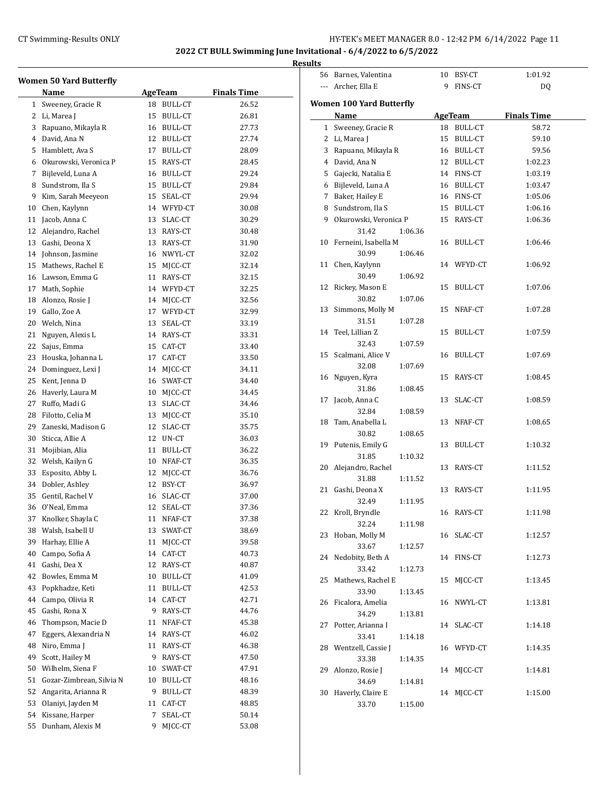#### **2022 CT BULL Swimming June Invitational - 6/4/2022 to 6/5/2022**

|    |                                |    |                |                    | <b>Results</b> |
|----|--------------------------------|----|----------------|--------------------|----------------|
|    | <b>Women 50 Yard Butterfly</b> |    |                |                    |                |
|    | Name                           |    | AgeTeam        | <b>Finals Time</b> |                |
| 1  | Sweeney, Gracie R              | 18 | BULL-CT        | 26.52              | Wo             |
| 2  | Li, Marea J                    | 15 | <b>BULL-CT</b> | 26.81              |                |
| 3  | Rapuano, Mikayla R             | 16 | BULL-CT        | 27.73              |                |
| 4  | David, Ana N                   | 12 | <b>BULL-CT</b> | 27.74              |                |
| 5  | Hamblett, Ava S                | 17 | <b>BULL-CT</b> | 28.09              |                |
| 6  | Okurowski, Veronica P          | 15 | RAYS-CT        | 28.45              |                |
| 7  | Bijleveld, Luna A              | 16 | <b>BULL-CT</b> | 29.24              |                |
| 8  | Sundstrom, Ila S               | 15 | <b>BULL-CT</b> | 29.84              |                |
| 9  | Kim, Sarah Meeyeon             | 15 | SEAL-CT        | 29.94              |                |
| 10 | Chen, Kaylynn                  | 14 | WFYD-CT        | 30.08              |                |
| 11 | Jacob, Anna C                  | 13 | SLAC-CT        | 30.29              |                |
| 12 | Alejandro, Rachel              | 13 | RAYS-CT        | 30.48              |                |
| 13 | Gashi, Deona X                 | 13 | RAYS-CT        | 31.90              |                |
| 14 | Johnson, Jasmine               | 16 | NWYL-CT        | 32.02              |                |
| 15 | Mathews, Rachel E              | 15 | MJCC-CT        | 32.14              |                |
| 16 | Lawson, Emma G                 | 11 | RAYS-CT        | 32.15              |                |
| 17 | Math, Sophie                   | 14 | WFYD-CT        | 32.25              |                |
| 18 | Alonzo, Rosie J                | 14 | MJCC-CT        | 32.56              |                |
| 19 | Gallo, Zoe A                   | 17 | WFYD-CT        | 32.99              |                |
| 20 | Welch, Nina                    | 13 | SEAL-CT        | 33.19              |                |

21 Nguyen, Alexis L 14 RAYS-CT 33.31 22 Sajus, Emma 15 CAT-CT 33.40 23 Houska, Johanna L 17 CAT-CT 33.50 24 Dominguez, Lexi J 14 MJCC-CT 34.11 25 Kent, Jenna D 16 SWAT-CT 34.40 26 Haverly, Laura M 10 MJCC-CT 34.45 27 Ruffo, Madi G 13 SLAC-CT 34.46 28 Filotto, Celia M 13 MJCC-CT 35.10 29 Zaneski, Madison G 12 SLAC-CT 35.75 30 Sticca, Allie A 12 UN-CT 36.03 31 Mojibian, Alia 11 BULL-CT 36.22 32 Welsh, Kailyn G 10 NFAF-CT 36.35 33 Esposito, Abby L 12 MJCC-CT 36.76 34 Dobler, Ashley 12 BSY-CT 36.97 35 Gentil, Rachel V 16 SLAC-CT 37.00 36 O'Neal, Emma 12 SEAL-CT 37.36 37 Knolker, Shayla C 11 NFAF-CT 37.38 38 Walsh, Isabell U 13 SWAT-CT 38.69 39 Harhay, Ellie A 11 MJCC-CT 39.58 40 Campo, Sofia A 14 CAT-CT 40.73 41 Gashi, Dea X 12 RAYS-CT 40.87 42 Bowles, Emma M 10 BULL-CT 41.09 43 Popkhadze, Keti 11 BULL-CT 42.53 44 Campo, Olivia R 14 CAT-CT 42.71 45 Gashi, Rona X 9 RAYS-CT 44.76 46 Thompson, Macie D 11 NFAF-CT 45.38 47 Eggers, Alexandria N 14 RAYS-CT 46.02 48 Niro, Emma J 11 RAYS-CT 46.38 49 Scott, Hailey M 9 RAYS-CT 47.50 50 Wilhelm, Siena F 10 SWAT-CT 47.91 51 Gozar-Zimbrean, Silvia N 10 BULL-CT 48.16 52 Angarita, Arianna R 9 BULL-CT 48.39 53 Olaniyi, Jayden M 11 CAT-CT 48.85 54 Kissane, Harper 7 SEAL-CT 50.14 55 Dunham, Alexis M 9 MJCC-CT 53.08

|                | 56 Barnes, Valentina     |         | 10 | BSY-CT     | 1:01.92            |  |
|----------------|--------------------------|---------|----|------------|--------------------|--|
| ---            | Archer, Ella E           |         | 9  | FINS-CT    | DQ                 |  |
|                |                          |         |    |            |                    |  |
|                | Women 100 Yard Butterfly |         |    |            |                    |  |
|                | Name                     |         |    | AgeTeam    | <b>Finals Time</b> |  |
| 1              | Sweeney, Gracie R        |         |    | 18 BULL-CT | 58.72              |  |
| 2              | Li, Marea J              |         |    | 15 BULL-CT | 59.10              |  |
| 3              | Rapuano, Mikayla R       |         |    | 16 BULL-CT | 59.56              |  |
| $\overline{4}$ | David, Ana N             |         |    | 12 BULL-CT | 1:02.23            |  |
| 5              | Gajecki, Natalia E       |         |    | 14 FINS-CT | 1:03.19            |  |
| 6              | Bijleveld, Luna A        |         |    | 16 BULL-CT | 1:03.47            |  |
| 7              | Baker, Hailey E          |         |    | 16 FINS-CT | 1:05.06            |  |
| 8              | Sundstrom, Ila S         |         |    | 15 BULL-CT | 1:06.16            |  |
| 9              | Okurowski, Veronica P    |         |    | 15 RAYS-CT | 1:06.36            |  |
|                | 31.42                    | 1:06.36 |    |            |                    |  |
| 10             | Ferneini, Isabella M     |         | 16 | BULL-CT    | 1:06.46            |  |
|                | 30.99                    | 1:06.46 |    |            |                    |  |
| 11             | Chen, Kaylynn            |         |    | 14 WFYD-CT | 1:06.92            |  |
|                | 30.49                    | 1:06.92 |    |            |                    |  |
| 12             | Rickey, Mason E          |         | 15 | BULL-CT    | 1:07.06            |  |
|                | 30.82                    | 1:07.06 |    |            |                    |  |
| 13             | Simmons, Molly M         |         | 15 | NFAF-CT    | 1:07.28            |  |
|                | 31.51                    | 1:07.28 |    |            |                    |  |
| 14             | Teel, Lillian Z          |         | 15 | BULL-CT    | 1:07.59            |  |
|                | 32.43                    | 1:07.59 |    |            |                    |  |
| 15             | Scalmani, Alice V        |         | 16 | BULL-CT    | 1:07.69            |  |
|                |                          |         |    |            |                    |  |
|                | 32.08                    | 1:07.69 |    |            |                    |  |
| 16             | Nguyen, Kyra             |         | 15 | RAYS-CT    | 1:08.45            |  |
|                | 31.86                    | 1:08.45 |    |            |                    |  |
| 17             | Jacob, Anna C            |         | 13 | SLAC-CT    | 1:08.59            |  |
|                | 32.84                    | 1:08.59 |    |            |                    |  |
| 18             | Tam, Anabella L          |         | 13 | NFAF-CT    | 1:08.65            |  |
|                | 30.82                    | 1:08.65 |    |            |                    |  |
| 19             | Putenis, Emily G         |         | 13 | BULL-CT    | 1:10.32            |  |
|                | 31.85                    | 1:10.32 |    |            |                    |  |
| 20             | Alejandro, Rachel        |         | 13 | RAYS-CT    | 1:11.52            |  |
|                | 31.88                    | 1:11.52 |    |            |                    |  |
| 21             | Gashi, Deona X           |         | 13 | RAYS-CT    | 1:11.95            |  |
|                | 32.49                    | 1:11.95 |    |            |                    |  |
| 22             | Kroll, Bryndle           |         |    | 16 RAYS-CT | 1:11.98            |  |
|                | 32.24                    | 1:11.98 |    |            |                    |  |
|                | 23 Hoban, Molly M        |         |    | 16 SLAC-CT | 1:12.57            |  |
|                | 33.67                    | 1:12.57 |    |            |                    |  |
| 24             | Nedobity, Beth A         |         |    | 14 FINS-CT | 1:12.73            |  |
|                | 33.42                    | 1:12.73 |    |            |                    |  |
| 25             | Mathews, Rachel E        |         | 15 | MJCC-CT    | 1:13.45            |  |
|                | 33.90                    | 1:13.45 |    |            |                    |  |
| 26             | Ficalora, Amelia         |         | 16 | NWYL-CT    | 1:13.81            |  |
|                | 34.29                    | 1:13.81 |    |            |                    |  |
| 27             | Potter, Arianna I        |         |    | 14 SLAC-CT | 1:14.18            |  |
|                | 33.41                    | 1:14.18 |    |            |                    |  |
| 28             | Wentzell, Cassie J       |         |    | 16 WFYD-CT | 1:14.35            |  |
|                | 33.38                    | 1:14.35 |    |            |                    |  |
| 29             | Alonzo, Rosie J          |         | 14 | MJCC-CT    | 1:14.81            |  |
|                | 34.69                    | 1:14.81 |    |            |                    |  |
| 30             | Haverly, Claire E        |         | 14 | MJCC-CT    | 1:15.00            |  |
|                | 33.70                    | 1:15.00 |    |            |                    |  |
|                |                          |         |    |            |                    |  |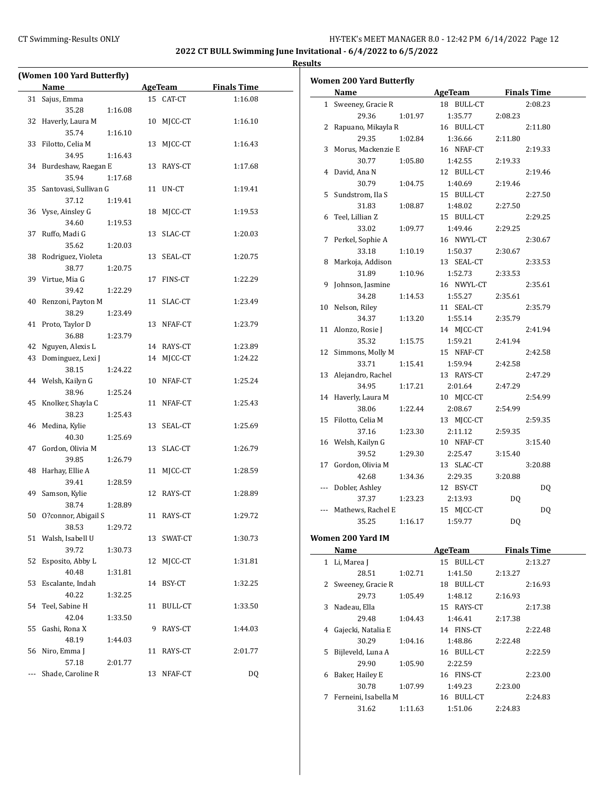#### CT Swimming-Results ONLY **EXECUTE:** The HY-TEK's MEET MANAGER 8.0 - 12:42 PM 6/14/2022 Page 12

**2022 CT BULL Swimming June Invitational - 6/4/2022 to 6/5/2022 Results**

 $\overline{\phantom{0}}$ 

# **(Women 100 Yard Butterfly) Name Age Team Finals Time** 31 Sajus, Emma 15 CAT-CT 1:16.08 35.28 1:16.08 32 Haverly, Laura M 10 MJCC-CT 1:16.10 35.74 1:16.10 33 Filotto, Celia M 13 MJCC-CT 1:16.43 34.95 1:16.43 34 Burdeshaw, Raegan E 13 RAYS-CT 1:17.68 35.94 1:17.68 35 Santovasi, Sullivan G 11 UN-CT 1:19.41 37.12 1:19.41 36 Vyse, Ainsley G 18 MJCC-CT 1:19.53 34.60 1:19.53 37 Ruffo, Madi G 13 SLAC-CT 1:20.03 35.62 1:20.03 38 Rodriguez, Violeta 13 SEAL-CT 1:20.75 38.77 1:20.75 39 Virtue, Mia G 17 FINS-CT 1:22.29 39.42 1:22.29 40 Renzoni, Payton M 11 SLAC-CT 1:23.49 38.29 1:23.49 41 Proto, Taylor D 13 NFAF-CT 1:23.79 36.88 1:23.79 42 Nguyen, Alexis L 14 RAYS-CT 1:23.89 43 Dominguez, Lexi J 14 MJCC-CT 1:24.22 38.15 1:24.22 44 Welsh, Kailyn G 10 NFAF-CT 1:25.24 38.96 1:25.24 45 Knolker, Shayla C 11 NFAF-CT 1:25.43 38.23 1:25.43 46 Medina, Kylie 13 SEAL-CT 1:25.69 40.30 1:25.69 47 Gordon, Olivia M 13 SLAC-CT 1:26.79 39.85 1:26.79 48 Harhay, Ellie A 11 MJCC-CT 1:28.59 39.41 1:28.59 49 Samson, Kylie 12 RAYS-CT 1:28.89 38.74 1:28.89 50 O?connor, Abigail S 11 RAYS-CT 1:29.72 38.53 1:29.72 51 Walsh, Isabell U 13 SWAT-CT 1:30.73 39.72 1:30.73 52 Esposito, Abby L 12 MJCC-CT 1:31.81 40.48 1:31.81 53 Escalante, Indah 14 BSY-CT 1:32.25 40.22 1:32.25 54 Teel, Sabine H 11 BULL-CT 1:33.50 42.04 1:33.50 55 Gashi, Rona X 9 RAYS-CT 1:44.03 48.19 1:44.03 56 Niro, Emma J 11 RAYS-CT 2:01.77 57.18 2:01.77 --- Shade, Caroline R 13 NFAF-CT DQ

|     | Women 200 Yard Butterfly |         |                |         |                    |
|-----|--------------------------|---------|----------------|---------|--------------------|
|     | Name                     |         | <b>AgeTeam</b> |         | <b>Finals Time</b> |
|     | 1 Sweeney, Gracie R      |         | 18 BULL-CT     |         | 2:08.23            |
|     | 29.36                    | 1:01.97 | 1:35.77        | 2:08.23 |                    |
| 2   | Rapuano, Mikayla R       |         | 16 BULL-CT     |         | 2:11.80            |
|     | 29.35                    | 1:02.84 | 1:36.66        | 2:11.80 |                    |
| 3   | Morus, Mackenzie E       |         | 16 NFAF-CT     |         | 2:19.33            |
|     | 30.77                    | 1:05.80 | 1:42.55        | 2:19.33 |                    |
| 4   | David, Ana N             |         | 12 BULL-CT     |         | 2:19.46            |
|     | 30.79                    | 1:04.75 | 1:40.69        | 2:19.46 |                    |
| 5   | Sundstrom, Ila S         |         | 15 BULL-CT     |         | 2:27.50            |
|     | 31.83                    | 1:08.87 | 1:48.02        | 2:27.50 |                    |
| 6   | Teel, Lillian Z          |         | 15 BULL-CT     |         | 2:29.25            |
|     | 33.02                    | 1:09.77 | 1:49.46        | 2:29.25 |                    |
| 7   | Perkel, Sophie A         |         | 16 NWYL-CT     |         | 2:30.67            |
|     | 33.18                    |         | 1:50.37        |         |                    |
| 8   | Markoja, Addison         | 1:10.19 | 13 SEAL-CT     | 2:30.67 | 2:33.53            |
|     | 31.89                    |         |                |         |                    |
|     |                          | 1:10.96 | 1:52.73        | 2:33.53 |                    |
| 9   | Johnson, Jasmine         |         | 16 NWYL-CT     |         | 2:35.61            |
|     | 34.28                    | 1:14.53 | 1:55.27        | 2:35.61 |                    |
| 10  | Nelson, Riley            |         | 11 SEAL-CT     |         | 2:35.79            |
|     | 34.37                    | 1:13.20 | 1:55.14        | 2:35.79 |                    |
|     | 11 Alonzo, Rosie J       |         | 14 MJCC-CT     |         | 2:41.94            |
|     | 35.32                    | 1:15.75 | 1:59.21        | 2:41.94 |                    |
|     | 12 Simmons, Molly M      |         | 15 NFAF-CT     |         | 2:42.58            |
|     | 33.71                    | 1:15.41 | 1:59.94        | 2:42.58 |                    |
| 13  | Alejandro, Rachel        |         | 13 RAYS-CT     |         | 2:47.29            |
|     | 34.95                    | 1:17.21 | 2:01.64        | 2:47.29 |                    |
| 14  | Haverly, Laura M         |         | 10 MJCC-CT     |         | 2:54.99            |
|     | 38.06                    | 1:22.44 | 2:08.67        | 2:54.99 |                    |
| 15  | Filotto, Celia M         |         | 13 MJCC-CT     |         | 2:59.35            |
|     | 37.16                    | 1:23.30 | 2:11.12        | 2:59.35 |                    |
|     | 16 Welsh, Kailyn G       |         | 10 NFAF-CT     |         | 3:15.40            |
|     | 39.52                    | 1:29.30 | 2:25.47        | 3:15.40 |                    |
| 17  | Gordon, Olivia M         |         | 13 SLAC-CT     |         | 3:20.88            |
|     | 42.68                    | 1:34.36 | 2:29.35        | 3:20.88 |                    |
| --- | Dobler, Ashley           |         | 12 BSY-CT      |         | <b>DQ</b>          |
|     | 37.37                    | 1:23.23 | 2:13.93        | DQ      |                    |
|     | Mathews, Rachel E        |         | 15 MJCC-CT     |         | <b>DQ</b>          |
|     | 35.25                    | 1:16.17 | 1:59.77        | DQ      |                    |
|     | Women 200 Yard IM        |         |                |         |                    |
|     |                          |         |                |         |                    |
|     | Name                     |         | AgeTeam        |         | <b>Finals Time</b> |
|     | 1 Li, Marea J            |         | 15 BULL-CT     |         | 2:13.27            |
|     | 28.51                    | 1:02.71 | 1:41.50        | 2:13.27 |                    |
| 2   | Sweeney, Gracie R        |         | 18 BULL-CT     |         | 2:16.93            |
|     | 29.73                    | 1:05.49 | 1:48.12        | 2:16.93 |                    |
| 3   | Nadeau, Ella             |         | 15 RAYS-CT     |         | 2:17.38            |
|     | 29.48                    | 1:04.43 | 1:46.41        | 2:17.38 |                    |
| 4   | Gajecki, Natalia E       |         | 14 FINS-CT     |         | 2:22.48            |
|     | 30.29                    | 1:04.16 | 1:48.86        | 2:22.48 |                    |
| 5   | Bijleveld, Luna A        |         | 16 BULL-CT     |         | 2:22.59            |
|     | 29.90                    | 1:05.90 | 2:22.59        |         |                    |
| 6   | Baker, Hailey E          |         | 16 FINS-CT     |         | 2:23.00            |
|     | 30.78                    | 1:07.99 | 1:49.23        | 2:23.00 |                    |
| 7   | Ferneini, Isabella M     |         | 16 BULL-CT     |         | 2:24.83            |

31.62 1:11.63 1:51.06 2:24.83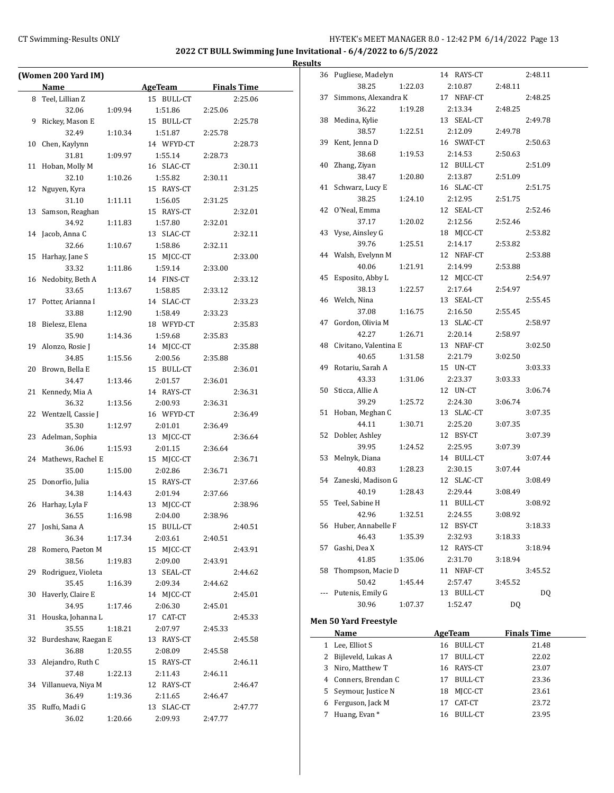|    | (Women 200 Yard IM)          |         |                       |         |                    |
|----|------------------------------|---------|-----------------------|---------|--------------------|
|    | Name                         |         |                       |         |                    |
|    |                              |         | <b>AgeTeam</b>        |         | <b>Finals Time</b> |
| 8  | Teel, Lillian Z              |         | 15 BULL-CT            |         | 2:25.06            |
|    | 32.06                        | 1:09.94 | 1:51.86               | 2:25.06 |                    |
| 9  | Rickey, Mason E              |         | 15 BULL-CT            |         | 2:25.78            |
|    | 32.49                        | 1:10.34 | 1:51.87               | 2:25.78 |                    |
| 10 | Chen, Kaylynn                |         | 14 WFYD-CT            |         | 2:28.73            |
|    | 31.81                        | 1:09.97 | 1:55.14               | 2:28.73 |                    |
| 11 | Hoban, Molly M               |         | 16 SLAC-CT            |         | 2:30.11            |
|    | 32.10                        | 1:10.26 | 1:55.82               | 2:30.11 |                    |
| 12 | Nguyen, Kyra                 |         | 15 RAYS-CT            |         | 2:31.25            |
|    | 31.10                        | 1:11.11 | 1:56.05               | 2:31.25 |                    |
| 13 | Samson, Reaghan              |         | 15 RAYS-CT            |         | 2:32.01            |
|    | 34.92                        | 1:11.83 | 1:57.80               | 2:32.01 |                    |
| 14 | Jacob, Anna C                |         | 13 SLAC-CT            |         | 2:32.11            |
|    | 32.66                        | 1:10.67 | 1:58.86               | 2:32.11 |                    |
| 15 | Harhay, Jane S               |         | 15 MJCC-CT            |         | 2:33.00            |
|    | 33.32                        | 1:11.86 | 1:59.14               | 2:33.00 |                    |
| 16 | Nedobity, Beth A             |         | 14 FINS-CT            |         | 2:33.12            |
|    | 33.65                        | 1:13.67 | 1:58.85               | 2:33.12 |                    |
| 17 | Potter, Arianna I            |         | 14 SLAC-CT            |         | 2:33.23            |
|    | 33.88                        | 1:12.90 | 1:58.49               | 2:33.23 |                    |
| 18 | Bielesz, Elena               |         | 18 WFYD-CT            |         | 2:35.83            |
|    | 35.90                        | 1:14.36 | 1:59.68               | 2:35.83 |                    |
| 19 | Alonzo, Rosie J              |         | 14 MICC-CT            |         | 2:35.88            |
|    | 34.85                        | 1:15.56 | 2:00.56               | 2:35.88 |                    |
| 20 | Brown, Bella E               |         | 15 BULL-CT            |         | 2:36.01            |
|    | 34.47                        | 1:13.46 | 2:01.57               | 2:36.01 |                    |
| 21 | Kennedy, Mia A               |         | 14 RAYS-CT            |         | 2:36.31            |
|    | 36.32                        | 1:13.56 | 2:00.93               | 2:36.31 |                    |
|    | 22 Wentzell, Cassie J        |         | 16 WFYD-CT            |         | 2:36.49            |
|    | 35.30                        | 1:12.97 | 2:01.01               | 2:36.49 |                    |
| 23 | Adelman, Sophia              |         | 13 MJCC-CT            |         | 2:36.64            |
|    | 36.06                        | 1:15.93 | 2:01.15               | 2:36.64 |                    |
| 24 | Mathews, Rachel E            |         | 15 MJCC-CT            |         | 2:36.71            |
|    | 35.00                        | 1:15.00 | 2:02.86               | 2:36.71 |                    |
| 25 | Donorfio, Julia              |         | 15 RAYS-CT            |         | 2:37.66            |
|    | 34.38                        | 1:14.43 | 2:01.94               | 2:37.66 |                    |
| 26 | Harhay, Lyla F               |         | MICC-CT<br>13         |         | 2:38.96            |
|    | 36.55                        | 1:16.98 | 2:04.00               | 2:38.96 |                    |
|    | 27 Joshi, Sana A             |         | 15 BULL-CT            |         | 2:40.51            |
|    | 36.34                        | 1:17.34 | 2:03.61               | 2:40.51 |                    |
| 28 | Romero, Paeton M             |         | 15 MJCC-CT            |         | 2:43.91            |
|    | 38.56                        | 1:19.83 | 2:09.00               | 2:43.91 |                    |
| 29 | Rodriguez, Violeta           |         | 13 SEAL-CT            |         | 2:44.62            |
|    | 35.45                        | 1:16.39 | 2:09.34               | 2:44.62 |                    |
| 30 | Haverly, Claire E            |         | 14 MJCC-CT            |         | 2:45.01            |
|    | 34.95                        | 1:17.46 | 2:06.30               | 2:45.01 |                    |
| 31 | Houska, Johanna L            |         | 17 CAT-CT             |         | 2:45.33            |
|    | 35.55                        | 1:18.21 | 2:07.97               | 2:45.33 |                    |
|    |                              |         |                       |         |                    |
| 32 | Burdeshaw, Raegan E<br>36.88 |         | 13 RAYS-CT<br>2:08.09 |         | 2:45.58            |
|    |                              | 1:20.55 |                       | 2:45.58 |                    |
| 33 | Alejandro, Ruth C            |         | 15 RAYS-CT            |         | 2:46.11            |
|    | 37.48                        | 1:22.13 | 2:11.43               | 2:46.11 |                    |
|    | 34 Villanueva, Niya M        |         | 12 RAYS-CT            |         | 2:46.47            |
|    | 36.49                        | 1:19.36 | 2:11.65               | 2:46.47 |                    |
| 35 | Ruffo, Madi G                |         | 13 SLAC-CT            |         | 2:47.77            |
|    | 36.02                        | 1:20.66 | 2:09.93               | 2:47.77 |                    |

|        | 1 Lee, Elliot S              | 16 BULL-CT     | 21.48              |  |
|--------|------------------------------|----------------|--------------------|--|
|        | <b>Name</b>                  | <b>AgeTeam</b> | <b>Finals Time</b> |  |
|        | <b>Men 50 Yard Freestyle</b> |                |                    |  |
|        |                              |                |                    |  |
|        | 30.96<br>1:07.37             | 1:52.47        | DQ                 |  |
|        | Putenis, Emily G             | 13 BULL-CT     | DQ                 |  |
|        | 50.42<br>1:45.44             | 2:57.47        | 3:45.52            |  |
| 58     | Thompson, Macie D            | 11 NFAF-CT     | 3:45.52            |  |
|        | 41.85<br>1:35.06             | 2:31.70        | 3:18.94            |  |
| 57     | Gashi, Dea X                 | 12 RAYS-CT     | 3:18.94            |  |
|        | 46.43<br>1:35.39             | 2:32.93        | 3:18.33            |  |
|        | 56 Huber, Annabelle F        | 12 BSY-CT      | 3:18.33            |  |
|        | 42.96 1:32.51                | 2:24.55        | 3:08.92            |  |
|        | 55 Teel, Sabine H            | 11 BULL-CT     | 3:08.92            |  |
|        | 40.19<br>1:28.43             | 2:29.44        | 3:08.49            |  |
|        | 54 Zaneski, Madison G        | 12 SLAC-CT     | 3:08.49            |  |
|        | 40.83<br>1:28.23             | 2:30.15        | 3:07.44            |  |
|        | 53 Melnyk, Diana             | 14 BULL-CT     | 3:07.44            |  |
|        | 39.95<br>1:24.52             | 2:25.95        | 3:07.39            |  |
|        | 52 Dobler, Ashley            | 12 BSY-CT      | 3:07.39            |  |
|        | 44.11<br>1:30.71             | 2:25.20        | 3:07.35            |  |
|        | 51 Hoban, Meghan C           | 13 SLAC-CT     | 3:07.35            |  |
|        | 39.29<br>1:25.72             | 2:24.30        | 3:06.74            |  |
|        | 50 Sticca, Allie A           | 12 UN-CT       | 3:06.74            |  |
|        | 43.33<br>1:31.06             | 2:23.37        | 3:03.33            |  |
|        | 49 Rotariu, Sarah A          | 15 UN-CT       | 3:03.33            |  |
|        | 40.65<br>1:31.58             | 2:21.79        | 3:02.50            |  |
|        | 48 Civitano, Valentina E     | 13 NFAF-CT     | 3:02.50            |  |
|        | 42.27<br>1:26.71             | 2:20.14        | 2:58.97            |  |
|        | 47 Gordon, Olivia M          | 13 SLAC-CT     | 2:58.97            |  |
|        | 37.08<br>1:16.75             | 2:16.50        | 2:55.45            |  |
|        | 46 Welch, Nina               | 13 SEAL-CT     | 2:55.45            |  |
|        | 1:22.57                      |                | 2:54.97            |  |
|        | 38.13                        | 2:17.64        |                    |  |
| 45     | Esposito, Abby L             | 12 MJCC-CT     | 2:54.97            |  |
|        | 40.06<br>1:21.91             | 2:14.99        | 2:53.88            |  |
|        | 44 Walsh, Evelynn M          | 12 NFAF-CT     | 2:53.88            |  |
|        | 39.76<br>1:25.51             | 2:14.17        | 2:53.82            |  |
|        | 43 Vyse, Ainsley G           | 18 MJCC-CT     | 2:53.82            |  |
|        | 37.17<br>1:20.02             | 2:12.56        | 2:52.46            |  |
|        | 42 O'Neal, Emma              | 12 SEAL-CT     | 2:52.46            |  |
|        | 38.25<br>1:24.10             | 2:12.95        | 2:51.75            |  |
|        | 41 Schwarz, Lucy E           | 16 SLAC-CT     | 2:51.75            |  |
|        | 38.47<br>1:20.80             | 2:13.87        | 2:51.09            |  |
|        | 40 Zhang, Ziyan              | 12 BULL-CT     | 2:51.09            |  |
|        | 38.68<br>1:19.53             | 2:14.53        | 2:50.63            |  |
|        | 39 Kent, Jenna D             | 16 SWAT-CT     | 2:50.63            |  |
|        | 38.57<br>1:22.51             | 2:12.09        | 2:49.78            |  |
|        | 38 Medina, Kylie             | 13 SEAL-CT     | 2:49.78            |  |
|        | 36.22<br>1:19.28             | 2:13.34        | 2:48.25            |  |
| 37     | Simmons, Alexandra K         | 17 NFAF-CT     | 2:48.25            |  |
|        | 38.25<br>1:22.03             | 2:10.87        | 2:48.11            |  |
|        | 36 Pugliese, Madelyn         | 14 RAYS-CT     | 2:48.11            |  |
| ,,,,,, |                              |                |                    |  |

|   | маше                 |    | лестеаш    | гицанэ гипе |
|---|----------------------|----|------------|-------------|
|   | Lee, Elliot S        |    | 16 BULL-CT | 21.48       |
|   | 2 Bijleveld, Lukas A |    | BULL-CT    | 22.02       |
| 3 | Niro, Matthew T      |    | 16 RAYS-CT | 23.07       |
|   | 4 Conners, Brendan C |    | BULL-CT    | 23.36       |
|   | 5 Seymour, Justice N |    | 18 MICC-CT | 23.61       |
|   | 6 Ferguson, Jack M   |    | CAT-CT     | 23.72       |
|   | Huang, Evan *        | 16 | BULL-CT    | 23.95       |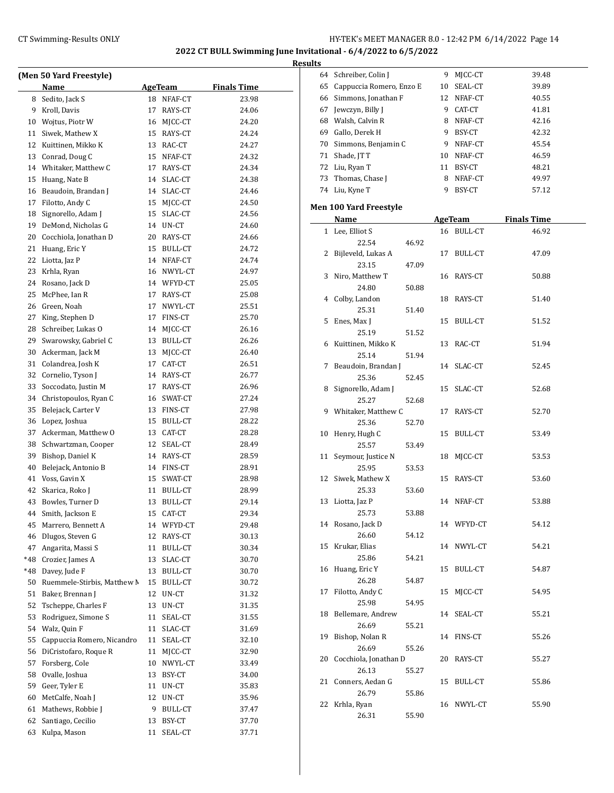|     |                             |    |                |                    | <b>Results</b> |
|-----|-----------------------------|----|----------------|--------------------|----------------|
|     | (Men 50 Yard Freestyle)     |    |                |                    | 6              |
|     | Name                        |    | AgeTeam        | <b>Finals Time</b> | 6              |
| 8   | Sedito, Jack S              |    | 18 NFAF-CT     | 23.98              | 6              |
| 9   | Kroll, Davis                | 17 | RAYS-CT        | 24.06              | 6              |
| 10  | Wojtus, Piotr W             |    | 16 MJCC-CT     | 24.20              | 6              |
| 11  | Siwek, Mathew X             | 15 | RAYS-CT        | 24.24              | 6              |
| 12  | Kuittinen, Mikko K          | 13 | RAC-CT         | 24.27              | 7              |
| 13  | Conrad, Doug C              | 15 | NFAF-CT        | 24.32              | 7              |
|     | 14 Whitaker, Matthew C      | 17 | RAYS-CT        | 24.34              | 7              |
| 15  | Huang, Nate B               | 14 | SLAC-CT        | 24.38              | 7              |
| 16  | Beaudoin, Brandan J         | 14 | SLAC-CT        | 24.46              | 7              |
| 17  | Filotto, Andy C             |    | 15 MJCC-CT     | 24.50              | Mer            |
| 18  | Signorello, Adam J          | 15 | SLAC-CT        | 24.56              |                |
| 19  | DeMond, Nicholas G          |    | 14 UN-CT       | 24.60              |                |
| 20  | Cocchiola, Jonathan D       |    | 20 RAYS-CT     | 24.66              |                |
| 21  | Huang, Eric Y               | 15 | BULL-CT        | 24.72              |                |
| 22  | Liotta, Jaz P               |    | 14 NFAF-CT     | 24.74              |                |
| 23  | Krhla, Ryan                 |    | 16 NWYL-CT     | 24.97              |                |
| 24  | Rosano, Jack D              |    | 14 WFYD-CT     | 25.05              |                |
| 25  | McPhee, Ian R               | 17 | RAYS-CT        | 25.08              |                |
| 26  | Green, Noah                 | 17 | NWYL-CT        | 25.51              |                |
| 27  | King, Stephen D             | 17 | FINS-CT        | 25.70              |                |
| 28  | Schreiber, Lukas O          | 14 | MJCC-CT        | 26.16              |                |
| 29  | Swarowsky, Gabriel C        | 13 | BULL-CT        | 26.26              |                |
| 30  | Ackerman, Jack M            | 13 | MJCC-CT        | 26.40              |                |
| 31  | Colandrea, Josh K           | 17 | CAT-CT         | 26.51              |                |
|     | 32 Cornelio, Tyson J        |    | 14 RAYS-CT     | 26.77              |                |
| 33  | Soccodato, Justin M         | 17 | RAYS-CT        | 26.96              |                |
| 34  | Christopoulos, Ryan C       |    | 16 SWAT-CT     | 27.24              |                |
| 35  | Belejack, Carter V          | 13 | FINS-CT        | 27.98              |                |
| 36  | Lopez, Joshua               | 15 | BULL-CT        | 28.22              |                |
| 37  | Ackerman, Matthew O         | 13 | CAT-CT         | 28.28              | 1              |
| 38  | Schwartzman, Cooper         | 12 | SEAL-CT        | 28.49              |                |
| 39  | Bishop, Daniel K            |    | 14 RAYS-CT     | 28.59              | 1              |
| 40  | Belejack, Antonio B         | 14 | FINS-CT        | 28.91              |                |
| 41  | Voss, Gavin X               | 15 | SWAT-CT        | 28.98              | 1              |
| 42  | Skarica, Roko J             | 11 | <b>BULL-CT</b> | 28.99              |                |
| 43  | Bowles, Turner D            | 13 | <b>BULL-CT</b> | 29.14              | 1              |
| 44  | Smith, Jackson E            |    | 15 CAT-CT      | 29.34              |                |
| 45  | Marrero, Bennett A          | 14 | WFYD-CT        | 29.48              | 1              |
| 46  | Dlugos, Steven G            | 12 | RAYS-CT        | 30.13              |                |
| 47  | Angarita, Massi S           | 11 | BULL-CT        | 30.34              | 1              |
| *48 | Crozier, James A            | 13 | SLAC-CT        | 30.70              |                |
| *48 | Davey, Jude F               | 13 | BULL-CT        | 30.70              | 1              |
| 50  | Ruemmele-Stirbis, Matthew N | 15 | BULL-CT        | 30.72              |                |
| 51  | Baker, Brennan J            | 12 | UN-CT          | 31.32              | 1              |
| 52  | Tscheppe, Charles F         | 13 | UN-CT          | 31.35              |                |
| 53  | Rodriguez, Simone S         | 11 | SEAL-CT        | 31.55              | 1              |
| 54  | Walz, Quin F                | 11 | SLAC-CT        | 31.69              |                |
| 55  | Cappuccia Romero, Nicandro  | 11 | SEAL-CT        | 32.10              | 1              |
| 56  | DiCristofaro, Roque R       | 11 | MJCC-CT        | 32.90              |                |
| 57  | Forsberg, Cole              | 10 | NWYL-CT        | 33.49              | 2              |
| 58  | Ovalle, Joshua              | 13 | BSY-CT         | 34.00              |                |
| 59  | Geer, Tyler E               | 11 | UN-CT          | 35.83              | 2              |
| 60  | MetCalfe, Noah J            | 12 | UN-CT          | 35.96              |                |
| 61  | Mathews, Robbie J           | 9  | BULL-CT        | 37.47              | 2              |
| 62  | Santiago, Cecilio           | 13 | BSY-CT         | 37.70              |                |
| 63  | Kulpa, Mason                | 11 | SEAL-CT        | 37.71              |                |
|     |                             |    |                |                    |                |

|    | 64 Schreiber, Colin J       |       |    | 9 MJCC-CT      | 39.48              |
|----|-----------------------------|-------|----|----------------|--------------------|
|    | 65 Cappuccia Romero, Enzo E |       |    | 10 SEAL-CT     | 39.89              |
|    | 66 Simmons, Jonathan F      |       |    | 12 NFAF-CT     | 40.55              |
|    | 67 Jewczyn, Billy J         |       |    | 9 CAT-CT       | 41.81              |
|    | 68 Walsh, Calvin R          |       |    | 8 NFAF-CT      | 42.16              |
|    | 69 Gallo, Derek H           |       | 9  | BSY-CT         | 42.32              |
|    | 70 Simmons, Benjamin C      |       |    | 9 NFAF-CT      | 45.54              |
|    | 71 Shade, JT T              |       |    | 10 NFAF-CT     | 46.59              |
|    | 72 Liu, Ryan T              |       |    | 11 BSY-CT      | 48.21              |
|    | 73 Thomas, Chase J          |       |    | 8 NFAF-CT      | 49.97              |
|    | 74 Liu, Kyne T              |       |    | 9 BSY-CT       | 57.12              |
|    |                             |       |    |                |                    |
|    | Men 100 Yard Freestyle      |       |    |                |                    |
|    | <b>Name</b>                 |       |    | <b>AgeTeam</b> | <b>Finals Time</b> |
|    | 1 Lee, Elliot S             |       |    | 16 BULL-CT     | 46.92              |
|    | 22.54                       | 46.92 |    |                |                    |
|    | 2 Bijleveld, Lukas A        |       | 17 | BULL-CT        | 47.09              |
|    | 23.15                       | 47.09 |    |                |                    |
|    | 3 Niro, Matthew T           |       |    | 16 RAYS-CT     | 50.88              |
|    | 24.80                       | 50.88 |    |                |                    |
| 4  | Colby, Landon               |       | 18 | RAYS-CT        | 51.40              |
|    | 25.31                       | 51.40 |    |                |                    |
| 5  | Enes, Max J                 |       | 15 | BULL-CT        | 51.52              |
|    | 25.19                       | 51.52 |    |                |                    |
| 6  | Kuittinen, Mikko K          |       | 13 | RAC-CT         | 51.94              |
|    | 25.14                       | 51.94 |    |                |                    |
|    | 7 Beaudoin, Brandan J       |       | 14 | SLAC-CT        | 52.45              |
|    | 25.36                       | 52.45 |    |                |                    |
| 8  | Signorello, Adam J          |       | 15 | SLAC-CT        | 52.68              |
|    | 25.27                       | 52.68 |    |                |                    |
|    | 9 Whitaker, Matthew C       |       |    | 17 RAYS-CT     | 52.70              |
|    | 25.36                       | 52.70 |    |                |                    |
| 10 | Henry, Hugh C               |       | 15 | BULL-CT        | 53.49              |
|    | 25.57                       | 53.49 |    |                |                    |
| 11 | Seymour, Justice N          |       | 18 | MJCC-CT        | 53.53              |
|    | 25.95                       | 53.53 |    |                |                    |
|    | 12 Siwek, Mathew X          |       | 15 | RAYS-CT        | 53.60              |
|    | 25.33                       | 53.60 |    |                |                    |
| 13 | Liotta, Jaz P               |       | 14 | NFAF-CT        | 53.88              |
|    | 25.73                       | 53.88 |    |                |                    |
|    | 14 Rosano, Jack D           |       |    | 14 WFYD-CT     | 54.12              |
|    | 26.60                       | 54.12 |    |                |                    |
|    | 15 Krukar, Elias            |       | 14 | NWYL-CT        | 54.21              |
|    | 25.86                       | 54.21 |    |                |                    |
|    | 16 Huang, Eric Y            |       | 15 | <b>BULL-CT</b> | 54.87              |
|    | 26.28                       | 54.87 |    |                |                    |
| 17 | Filotto, Andy C             |       | 15 | MJCC-CT        | 54.95              |
|    | 25.98                       | 54.95 |    |                |                    |
| 18 | Bellemare, Andrew           |       | 14 | SEAL-CT        | 55.21              |
|    | 26.69                       | 55.21 |    |                |                    |
| 19 | Bishop, Nolan R             |       | 14 | FINS-CT        | 55.26              |
|    | 26.69                       | 55.26 |    |                |                    |
| 20 | Cocchiola, Jonathan D       |       | 20 | RAYS-CT        | 55.27              |
|    | 26.13                       | 55.27 |    |                |                    |
|    | 21 Conners, Aedan G         |       | 15 |                | 55.86              |
|    | 26.79                       |       |    | BULL-CT        |                    |
| 22 | Krhla, Ryan                 | 55.86 |    |                |                    |
|    | 26.31                       |       |    | 16 NWYL-CT     | 55.90              |
|    |                             | 55.90 |    |                |                    |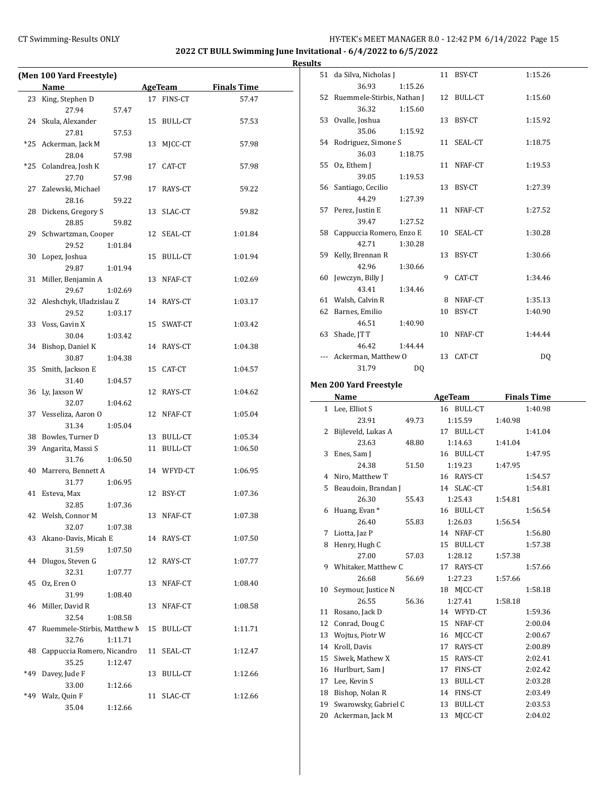# CT Swimming-Results ONLY **EXECUTE:** THE HY-TEK's MEET MANAGER 8.0 - 12:42 PM 6/14/2022 Page 15

**2022 CT BULL Swimming June Invitational - 6/4/2022 to 6/5/2022**

**Results**

|     | (Men 100 Yard Freestyle)            |    |                |                    |
|-----|-------------------------------------|----|----------------|--------------------|
|     | Name                                |    | <b>AgeTeam</b> | <b>Finals Time</b> |
| 23  | King, Stephen D                     | 17 | FINS-CT        | 57.47              |
|     | 27.94<br>57.47                      |    |                |                    |
|     | 24 Skula, Alexander                 |    | 15 BULL-CT     | 57.53              |
|     | 27.81<br>57.53                      |    |                |                    |
|     | *25 Ackerman, Jack M                | 13 | MJCC-CT        | 57.98              |
|     | 28.04<br>57.98                      |    |                |                    |
| *25 | Colandrea, Josh K                   | 17 | CAT-CT         | 57.98              |
| 27  | 27.70<br>57.98                      |    |                |                    |
|     | Zalewski, Michael<br>28.16<br>59.22 |    | 17 RAYS-CT     | 59.22              |
| 28  | Dickens, Gregory S                  |    | 13 SLAC-CT     | 59.82              |
|     | 28.85<br>59.82                      |    |                |                    |
|     | 29 Schwartzman, Cooper              |    | 12 SEAL-CT     | 1:01.84            |
|     | 29.52<br>1:01.84                    |    |                |                    |
|     | 30 Lopez, Joshua                    |    | 15 BULL-CT     | 1:01.94            |
|     | 29.87<br>1:01.94                    |    |                |                    |
|     | 31 Miller, Benjamin A               |    | 13 NFAF-CT     | 1:02.69            |
|     | 29.67<br>1:02.69                    |    |                |                    |
|     | 32 Aleshchyk, Uladzislau Z          |    | 14 RAYS-CT     | 1:03.17            |
|     | 29.52<br>1:03.17                    |    |                |                    |
|     | 33 Voss, Gavin X                    |    | 15 SWAT-CT     | 1:03.42            |
|     | 30.04<br>1:03.42                    |    |                |                    |
|     | 34 Bishop, Daniel K                 |    | 14 RAYS-CT     | 1:04.38            |
|     | 30.87<br>1:04.38                    |    |                |                    |
|     | 35 Smith, Jackson E                 |    | 15 CAT-CT      | 1:04.57            |
|     | 31.40<br>1:04.57                    |    |                |                    |
|     | 36 Ly, Jaxson W                     |    | 12 RAYS-CT     | 1:04.62            |
|     | 32.07<br>1:04.62                    |    |                |                    |
|     | 37 Vesseliza, Aaron O               |    | 12 NFAF-CT     | 1:05.04            |
|     | 31.34<br>1:05.04                    |    |                |                    |
|     | 38 Bowles, Turner D                 |    | 13 BULL-CT     | 1:05.34            |
| 39  | Angarita, Massi S<br>31.76          |    | 11 BULL-CT     | 1:06.50            |
|     | 1:06.50<br>40 Marrero, Bennett A    |    | 14 WFYD-CT     | 1:06.95            |
|     | 31.77<br>1:06.95                    |    |                |                    |
| 41  | Esteva, Max                         |    | 12 BSY-CT      | 1:07.36            |
|     | 32.85<br>1:07.36                    |    |                |                    |
|     | 42 Welsh, Connor M                  |    | 13 NFAF-CT     | 1:07.38            |
|     | 32.07<br>1:07.38                    |    |                |                    |
|     | 43 Akano-Davis, Micah E             |    | 14 RAYS-CT     | 1:07.50            |
|     | 31.59<br>1:07.50                    |    |                |                    |
|     | 44 Dlugos, Steven G                 |    | 12 RAYS-CT     | 1:07.77            |
|     | 32.31<br>1:07.77                    |    |                |                    |
|     | 45 Oz, Eren O                       |    | 13 NFAF-CT     | 1:08.40            |
|     | 31.99<br>1:08.40                    |    |                |                    |
| 46  | Miller, David R                     |    | 13 NFAF-CT     | 1:08.58            |
|     | 32.54<br>1:08.58                    |    |                |                    |
| 47  | Ruemmele-Stirbis, Matthew N         |    | 15 BULL-CT     | 1:11.71            |
|     | 32.76<br>1:11.71                    |    |                |                    |
| 48  | Cappuccia Romero, Nicandro          |    | 11 SEAL-CT     | 1:12.47            |
|     | 35.25<br>1:12.47                    |    |                |                    |
| *49 | Davey, Jude F                       | 13 | BULL-CT        | 1:12.66            |
|     | 33.00<br>1:12.66                    |    |                |                    |
|     | *49 Walz, Quin F                    |    | 11 SLAC-CT     | 1:12.66            |
|     | 35.04<br>1:12.66                    |    |                |                    |

| <b>S</b> |                               |         |    |            |         |
|----------|-------------------------------|---------|----|------------|---------|
| 51       | da Silva, Nicholas J          |         |    | 11 BSY-CT  | 1:15.26 |
|          | 36.93                         | 1:15.26 |    |            |         |
|          | 52 Ruemmele-Stirbis, Nathan J |         |    | 12 BULL-CT | 1:15.60 |
|          | 36.32                         | 1:15.60 |    |            |         |
|          | 53 Ovalle, Joshua             |         |    | 13 BSY-CT  | 1:15.92 |
|          | 35.06                         | 1:15.92 |    |            |         |
|          | 54 Rodriguez, Simone S        |         |    | 11 SEAL-CT | 1:18.75 |
|          | 36.03                         | 1:18.75 |    |            |         |
| 55       | Oz, Ethem J                   |         |    | 11 NFAF-CT | 1:19.53 |
|          | 39.05                         | 1:19.53 |    |            |         |
|          | 56 Santiago, Cecilio          |         |    | 13 BSY-CT  | 1:27.39 |
|          | 44.29                         | 1:27.39 |    |            |         |
|          | 57 Perez, Justin E            |         |    | 11 NFAF-CT | 1:27.52 |
|          | 39.47                         | 1:27.52 |    |            |         |
|          | 58 Cappuccia Romero, Enzo E   |         |    | 10 SEAL-CT | 1:30.28 |
|          | 42.71                         | 1:30.28 |    |            |         |
| 59       | Kelly, Brennan R              |         |    | 13 BSY-CT  | 1:30.66 |
|          | 42.96                         | 1:30.66 |    |            |         |
|          | 60 Jewczyn, Billy J           |         | 9  | CAT-CT     | 1:34.46 |
|          | 43.41                         | 1:34.46 |    |            |         |
|          | 61 Walsh, Calvin R            |         | 8  | NFAF-CT    | 1:35.13 |
| 62       | Barnes, Emilio                |         | 10 | BSY-CT     | 1:40.90 |
|          | 46.51                         | 1:40.90 |    |            |         |
| 63       | Shade, JT T                   |         |    | 10 NFAF-CT | 1:44.44 |
|          | 46.42                         | 1:44.44 |    |            |         |
|          | Ackerman, Matthew O           |         |    | 13 CAT-CT  | DQ      |
|          | 31.79                         | DQ      |    |            |         |
|          |                               |         |    |            |         |

# **Men 200 Yard Freestyle**

|    | Name                 |       | <b>AgeTeam</b>       | <b>Finals Time</b> |
|----|----------------------|-------|----------------------|--------------------|
|    | 1 Lee, Elliot S      |       | 16 BULL-CT           | 1:40.98            |
|    | 23.91                | 49.73 | 1:15.59              | 1:40.98            |
| 2  | Bijleveld, Lukas A   |       | <b>BULL-CT</b><br>17 | 1:41.04            |
|    | 23.63                | 48.80 | 1:14.63              | 1:41.04            |
| 3  | Enes, Sam J          |       | 16 BULL-CT           | 1:47.95            |
|    | 24.38                | 51.50 | 1:19.23              | 1:47.95            |
| 4  | Niro, Matthew T      |       | 16 RAYS-CT           | 1:54.57            |
| 5  | Beaudoin, Brandan J  |       | 14 SLAC-CT           | 1:54.81            |
|    | 26.30                | 55.43 | 1:25.43              | 1:54.81            |
|    | 6 Huang, Evan *      |       | 16 BULL-CT           | 1:56.54            |
|    | 26.40                | 55.83 | 1:26.03              | 1:56.54            |
| 7  | Liotta, Jaz P        |       | 14 NFAF-CT           | 1:56.80            |
| 8  | Henry, Hugh C        |       | BULL-CT<br>15        | 1:57.38            |
|    | 27.00                | 57.03 | 1:28.12              | 1:57.38            |
| 9  | Whitaker, Matthew C  |       | 17 RAYS-CT           | 1:57.66            |
|    | 26.68                | 56.69 | 1:27.23              | 1:57.66            |
| 10 | Seymour, Justice N   |       | 18 MICC-CT           | 1:58.18            |
|    | 26.55                | 56.36 | 1:27.41              | 1:58.18            |
| 11 | Rosano, Jack D       |       | 14 WFYD-CT           | 1:59.36            |
| 12 | Conrad, Doug C       |       | NFAF-CT<br>15        | 2:00.04            |
| 13 | Wojtus, Piotr W      |       | MJCC-CT<br>16        | 2:00.67            |
| 14 | Kroll, Davis         |       | 17<br>RAYS-CT        | 2:00.89            |
| 15 | Siwek, Mathew X      |       | RAYS-CT<br>15        | 2:02.41            |
| 16 | Hurlburt, Sam J      |       | FINS-CT<br>17        | 2:02.42            |
| 17 | Lee, Kevin S         |       | 13<br>BULL-CT        | 2:03.28            |
| 18 | Bishop, Nolan R      |       | FINS-CT<br>14        | 2:03.49            |
| 19 | Swarowsky, Gabriel C |       | 13<br>BULL-CT        | 2:03.53            |
| 20 | Ackerman, Jack M     |       | 13<br>MICC-CT        | 2:04.02            |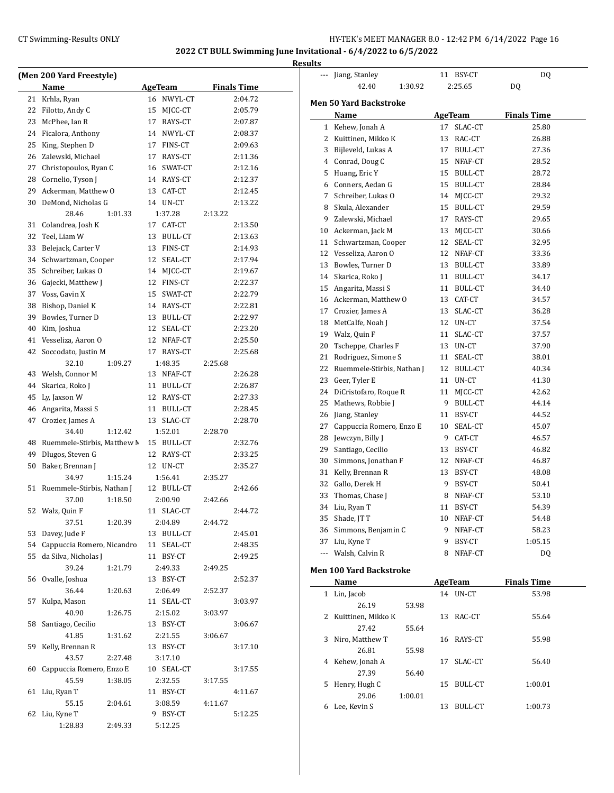$\overline{a}$ 

# CT Swimming-Results ONLY **EXECUTE:** HY-TEK's MEET MANAGER 8.0 - 12:42 PM 6/14/2022 Page 16

|    |                                   |                      |                    | <b>Results</b>           |
|----|-----------------------------------|----------------------|--------------------|--------------------------|
|    | (Men 200 Yard Freestyle)<br>Name  | <b>AgeTeam</b>       | <b>Finals Time</b> |                          |
| 21 | Krhla, Ryan                       | 16 NWYL-CT           | 2:04.72            | Mer                      |
|    | 22 Filotto, Andy C                | 15 MJCC-CT           | 2:05.79            |                          |
|    | 23 McPhee, Ian R                  | 17 RAYS-CT           | 2:07.87            |                          |
| 24 | Ficalora, Anthony                 | 14 NWYL-CT           | 2:08.37            |                          |
| 25 | King, Stephen D                   | 17 FINS-CT           | 2:09.63            |                          |
| 26 | Zalewski, Michael                 | 17 RAYS-CT           | 2:11.36            |                          |
| 27 | Christopoulos, Ryan C             | 16 SWAT-CT           | 2:12.16            |                          |
| 28 | Cornelio, Tyson J                 | 14 RAYS-CT           | 2:12.37            |                          |
| 29 | Ackerman, Matthew O               | 13 CAT-CT            | 2:12.45            |                          |
| 30 | DeMond, Nicholas G                | 14 UN-CT             | 2:13.22            |                          |
|    | 28.46<br>1:01.33                  | 1:37.28              | 2:13.22            |                          |
| 31 | Colandrea, Josh K                 | 17 CAT-CT            | 2:13.50            | 1                        |
| 32 | Teel, Liam W                      | 13 BULL-CT           | 2:13.63            | 1                        |
| 33 | Belejack, Carter V                | 13 FINS-CT           | 2:14.93            | 1                        |
| 34 | Schwartzman, Cooper               | 12 SEAL-CT           | 2:17.94            | 1                        |
| 35 | Schreiber, Lukas O                | 14 MJCC-CT           | 2:19.67            | 1                        |
| 36 | Gajecki, Matthew J                | 12 FINS-CT           | 2:22.37            | 1                        |
| 37 | Voss, Gavin X                     | 15 SWAT-CT           | 2:22.79            | 1                        |
| 38 | Bishop, Daniel K                  | 14 RAYS-CT           | 2:22.81            | 1                        |
| 39 | Bowles, Turner D                  | 13 BULL-CT           | 2:22.97            | 1                        |
| 40 | Kim, Joshua                       | 12 SEAL-CT           | 2:23.20            | 1                        |
| 41 | Vesseliza, Aaron O                | 12 NFAF-CT           | 2:25.50            | $\overline{c}$           |
| 42 | Soccodato, Justin M               | 17 RAYS-CT           | 2:25.68            | $\overline{c}$           |
|    | 32.10<br>1:09.27                  | 1:48.35              | 2:25.68            | 2                        |
|    | 43 Welsh, Connor M                | 13 NFAF-CT           | 2:26.28            | $\overline{c}$           |
| 44 | Skarica, Roko J                   | 11 BULL-CT           | 2:26.87            | 2                        |
|    | 45 Ly, Jaxson W                   | 12 RAYS-CT           | 2:27.33            | 2                        |
|    | 46 Angarita, Massi S              | 11 BULL-CT           | 2:28.45            | $\overline{c}$           |
| 47 | Crozier, James A                  | 13 SLAC-CT           | 2:28.70            | $\overline{c}$           |
|    | 34.40<br>1:12.42                  | 1:52.01              | 2:28.70            | 2                        |
|    | 48 Ruemmele-Stirbis, Matthew M    | 15 BULL-CT           | 2:32.76            | $\overline{c}$           |
|    | 49 Dlugos, Steven G               | 12 RAYS-CT           | 2:33.25            | 3                        |
| 50 | Baker, Brennan J                  | 12 UN-CT             | 2:35.27            | 3                        |
|    | 34.97<br>1:15.24                  | 1:56.41              | 2:35.27            | 3                        |
| 51 | Ruemmele-Stirbis, Nathan J        | 12 BULL-CT           | 2:42.66            | 3                        |
|    | 37.00<br>1:18.50                  | 2:00.90              | 2:42.66            | 3                        |
|    | 52 Walz, Quin F                   | 11 SLAC-CT           | 2:44.72            | 3                        |
|    | 37.51<br>1:20.39                  | 2:04.89              | 2:44.72            | 3                        |
| 53 | Davey, Jude F                     | 13 BULL-CT           | 2:45.01            | 3                        |
| 54 | Cappuccia Romero, Nicandro        | 11 SEAL-CT           | 2:48.35            | $\overline{\phantom{a}}$ |
| 55 | da Silva, Nicholas J              | 11 BSY-CT            | 2:49.25            |                          |
|    | 39.24<br>1:21.79                  | 2:49.33              | 2:49.25            | Mei                      |
|    | 56 Ovalle, Joshua                 | 13 BSY-CT            | 2:52.37            |                          |
|    | 36.44<br>1:20.63                  | 2:06.49              | 2:52.37            |                          |
| 57 | Kulpa, Mason                      | 11 SEAL-CT           | 3:03.97            |                          |
|    | 40.90<br>1:26.75                  | 2:15.02              | 3:03.97            |                          |
| 58 | Santiago, Cecilio                 | 13 BSY-CT            | 3:06.67            |                          |
|    | 41.85<br>1:31.62                  | 2:21.55              | 3:06.67            |                          |
| 59 | Kelly, Brennan R                  | 13 BSY-CT            | 3:17.10            |                          |
|    | 43.57<br>2:27.48                  | 3:17.10              |                    |                          |
| 60 | Cappuccia Romero, Enzo E<br>45.59 | 10 SEAL-CT           | 3:17.55            |                          |
| 61 | 1:38.05<br>Liu, Ryan T            | 2:32.55<br>11 BSY-CT | 3:17.55<br>4:11.67 |                          |
|    | 55.15<br>2:04.61                  | 3:08.59              | 4:11.67            |                          |
| 62 | Liu, Kyne T                       | 9 BSY-CT             | 5:12.25            |                          |
|    | 1:28.83<br>2:49.33                | 5:12.25              |                    |                          |
|    |                                   |                      |                    |                          |

|     | Jiang, Stanley                 |    | 11 BSY-CT      | DQ                 |  |  |  |
|-----|--------------------------------|----|----------------|--------------------|--|--|--|
|     | 42.40<br>1:30.92               |    | 2:25.65        | DQ                 |  |  |  |
|     | <b>Men 50 Yard Backstroke</b>  |    |                |                    |  |  |  |
|     | Name                           |    | <b>AgeTeam</b> | <b>Finals Time</b> |  |  |  |
|     | 1 Kehew, Jonah A               |    | 17 SLAC-CT     | 25.80              |  |  |  |
|     | 2 Kuittinen, Mikko K           |    | 13 RAC-CT      | 26.88              |  |  |  |
|     | 3 Bijleveld, Lukas A           |    | 17 BULL-CT     | 27.36              |  |  |  |
|     | 4 Conrad, Doug C               |    | 15 NFAF-CT     | 28.52              |  |  |  |
|     | 5 Huang, Eric Y                |    | 15 BULL-CT     | 28.72              |  |  |  |
|     | 6 Conners, Aedan G             |    | 15 BULL-CT     | 28.84              |  |  |  |
|     | 7 Schreiber, Lukas O           |    | 14 MJCC-CT     | 29.32              |  |  |  |
|     | 8 Skula, Alexander             |    | 15 BULL-CT     | 29.59              |  |  |  |
|     | 9 Zalewski, Michael            | 17 | RAYS-CT        | 29.65              |  |  |  |
|     | 10 Ackerman, Jack M            | 13 | MJCC-CT        | 30.66              |  |  |  |
|     | 11 Schwartzman, Cooper         |    | 12 SEAL-CT     | 32.95              |  |  |  |
|     | 12 Vesseliza, Aaron O          |    | 12 NFAF-CT     | 33.36              |  |  |  |
|     | 13 Bowles, Turner D            |    | 13 BULL-CT     | 33.89              |  |  |  |
|     | 14 Skarica, Roko J             | 11 | <b>BULL-CT</b> | 34.17              |  |  |  |
|     | 15 Angarita, Massi S           |    | 11 BULL-CT     | 34.40              |  |  |  |
|     | 16 Ackerman, Matthew O         |    | 13 CAT-CT      | 34.57              |  |  |  |
|     | 17 Crozier, James A            |    | 13 SLAC-CT     | 36.28              |  |  |  |
|     | 18 MetCalfe, Noah J            |    | 12 UN-CT       | 37.54              |  |  |  |
|     | 19 Walz, Quin F                | 11 | SLAC-CT        | 37.57              |  |  |  |
|     | 20 Tscheppe, Charles F         |    | 13 UN-CT       | 37.90              |  |  |  |
|     | 21 Rodriguez, Simone S         | 11 | SEAL-CT        | 38.01              |  |  |  |
|     | 22 Ruemmele-Stirbis, Nathan J  |    | 12 BULL-CT     | 40.34              |  |  |  |
|     | 23 Geer, Tyler E               | 11 | UN-CT          | 41.30              |  |  |  |
|     | 24 DiCristofaro, Roque R       | 11 | MJCC-CT        | 42.62              |  |  |  |
| 25  | Mathews, Robbie J              |    | 9 BULL-CT      | 44.14              |  |  |  |
|     | 26 Jiang, Stanley              | 11 | BSY-CT         | 44.52              |  |  |  |
| 27  | Cappuccia Romero, Enzo E       |    | 10 SEAL-CT     | 45.07              |  |  |  |
|     | 28 Jewczyn, Billy J            |    | 9 CAT-CT       | 46.57              |  |  |  |
|     | 29 Santiago, Cecilio           |    | 13 BSY-CT      | 46.82              |  |  |  |
|     | 30 Simmons, Jonathan F         |    | 12 NFAF-CT     | 46.87              |  |  |  |
| 31  | Kelly, Brennan R               |    | 13 BSY-CT      | 48.08              |  |  |  |
|     | 32 Gallo, Derek H              |    | 9 BSY-CT       | 50.41              |  |  |  |
| 33  | Thomas, Chase J                |    | 8 NFAF-CT      | 53.10              |  |  |  |
|     | 34 Liu, Ryan T                 |    | 11 BSY-CT      | 54.39              |  |  |  |
|     | 35 Shade, JTT                  |    | 10 NFAF-CT     | 54.48              |  |  |  |
|     | 36 Simmons, Benjamin C         |    | 9 NFAF-CT      | 58.23              |  |  |  |
|     | 37 Liu, Kyne T                 |    | 9 BSY-CT       | 1:05.15            |  |  |  |
| --- | Walsh, Calvin R                |    | 8 NFAF-CT      | DQ                 |  |  |  |
|     | <b>Men 100 Yard Backstroke</b> |    |                |                    |  |  |  |

|    | Name                 |         |    | AgeTeam    | <b>Finals Time</b> |  |
|----|----------------------|---------|----|------------|--------------------|--|
| 1  | Lin, Jacob           |         | 14 | UN-CT      | 53.98              |  |
|    | 26.19                | 53.98   |    |            |                    |  |
|    | 2 Kuittinen, Mikko K |         | 13 | RAC-CT     | 55.64              |  |
|    | 27.42                | 55.64   |    |            |                    |  |
| 3  | Niro, Matthew T      |         |    | 16 RAYS-CT | 55.98              |  |
|    | 26.81                | 55.98   |    |            |                    |  |
| 4  | Kehew, Jonah A       |         | 17 | SLAC-CT    | 56.40              |  |
|    | 27.39                | 56.40   |    |            |                    |  |
| 5. | Henry, Hugh C        |         | 15 | BULL-CT    | 1:00.01            |  |
|    | 29.06                | 1:00.01 |    |            |                    |  |
| 6  | Lee. Kevin S         |         | 13 | BULL-CT    | 1:00.73            |  |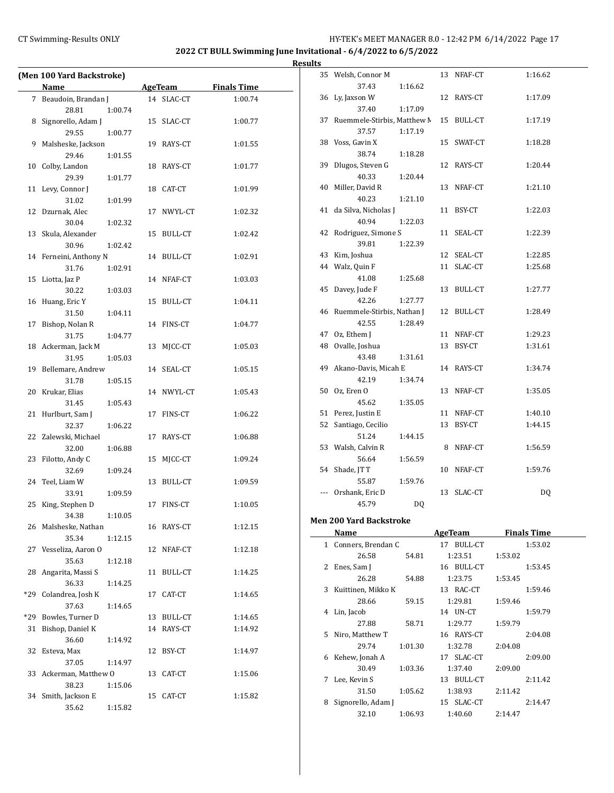# CT Swimming-Results ONLY **EXECUTE:** HY-TEK's MEET MANAGER 8.0 - 12:42 PM 6/14/2022 Page 17

**2022 CT BULL Swimming June Invitational - 6/4/2022 to 6/5/2022**

|     | (Men 100 Yard Backstroke)            |         |    |                |                    |
|-----|--------------------------------------|---------|----|----------------|--------------------|
|     | Name                                 |         |    | <b>AgeTeam</b> | <b>Finals Time</b> |
|     | 7 Beaudoin, Brandan J                |         |    | 14 SLAC-CT     | 1:00.74            |
|     | 28.81                                | 1:00.74 |    |                |                    |
| 8   | Signorello, Adam J                   |         | 15 | SLAC-CT        | 1:00.77            |
|     | 29.55                                | 1:00.77 |    |                |                    |
| 9.  | Malsheske, Jackson                   |         |    | 19 RAYS-CT     | 1:01.55            |
|     | 29.46                                | 1:01.55 |    |                |                    |
| 10  | Colby, Landon                        |         | 18 | RAYS-CT        | 1:01.77            |
|     | 29.39                                | 1:01.77 |    |                |                    |
| 11  | Levy, Connor J                       |         | 18 | CAT-CT         | 1:01.99            |
|     | 31.02                                | 1:01.99 |    |                |                    |
| 12  | Dzurnak, Alec                        |         | 17 | NWYL-CT        | 1:02.32            |
|     | 30.04                                | 1:02.32 |    |                |                    |
| 13  | Skula, Alexander                     |         | 15 | <b>BULL-CT</b> | 1:02.42            |
|     | 30.96                                | 1:02.42 |    |                |                    |
| 14  | Ferneini, Anthony N                  |         |    | 14 BULL-CT     | 1:02.91            |
|     | 31.76                                | 1:02.91 |    |                |                    |
| 15  | Liotta, Jaz P                        |         |    | 14 NFAF-CT     | 1:03.03            |
|     | 30.22                                | 1:03.03 |    |                |                    |
| 16  | Huang, Eric Y                        |         | 15 | <b>BULL-CT</b> | 1:04.11            |
|     | 31.50                                | 1:04.11 |    |                |                    |
| 17  | Bishop, Nolan R                      |         |    | 14 FINS-CT     | 1:04.77            |
|     | 31.75                                | 1:04.77 |    |                |                    |
| 18  | Ackerman, Jack M<br>31.95            | 1:05.03 | 13 | MJCC-CT        | 1:05.03            |
| 19  | Bellemare, Andrew                    |         |    | 14 SEAL-CT     | 1:05.15            |
|     | 31.78                                | 1:05.15 |    |                |                    |
| 20  | Krukar, Elias                        |         |    | 14 NWYL-CT     | 1:05.43            |
|     | 31.45                                | 1:05.43 |    |                |                    |
| 21  | Hurlburt, Sam J                      |         | 17 | FINS-CT        | 1:06.22            |
|     | 32.37                                | 1:06.22 |    |                |                    |
|     | 22 Zalewski, Michael                 |         | 17 | RAYS-CT        | 1:06.88            |
|     | 32.00                                | 1:06.88 |    |                |                    |
| 23  | Filotto, Andy C                      |         | 15 | MJCC-CT        | 1:09.24            |
|     | 32.69                                | 1:09.24 |    |                |                    |
| 24  | Teel, Liam W                         |         | 13 | BULL-CT        | 1:09.59            |
|     | 33.91                                | 1:09.59 |    |                |                    |
| 25  | King, Stephen D                      |         | 17 | FINS-CT        | 1:10.05            |
|     | 34.38                                | 1:10.05 |    |                |                    |
|     | 26 Malsheske, Nathan                 |         |    | 16 RAYS-CT     | 1:12.15            |
|     | 35.34                                | 1:12.15 |    |                |                    |
| 27  | Vesseliza, Aaron O                   |         | 12 | NFAF-CT        | 1:12.18            |
|     | 35.63                                | 1:12.18 |    |                |                    |
| 28  | Angarita, Massi S                    |         | 11 | <b>BULL-CT</b> | 1:14.25            |
|     | 36.33                                | 1:14.25 |    |                |                    |
| *29 | Colandrea, Josh K                    |         | 17 | CAT-CT         | 1:14.65            |
|     | 37.63                                | 1:14.65 |    |                |                    |
| *29 | Bowles, Turner D<br>Bishop, Daniel K |         |    | 13 BULL-CT     | 1:14.65            |
| 31  | 36.60                                |         |    | 14 RAYS-CT     | 1:14.92            |
| 32  | Esteva, Max                          | 1:14.92 | 12 |                | 1:14.97            |
|     | 37.05                                | 1:14.97 |    | BSY-CT         |                    |
| 33  | Ackerman, Matthew O                  |         | 13 | CAT-CT         | 1:15.06            |
|     | 38.23                                | 1:15.06 |    |                |                    |
| 34  | Smith, Jackson E                     |         | 15 | CAT-CT         | 1:15.82            |
|     | 35.62                                | 1:15.82 |    |                |                    |

| սււթ |                                |            |                    |  |
|------|--------------------------------|------------|--------------------|--|
| 35   | Welsh, Connor M                | 13 NFAF-CT | 1:16.62            |  |
|      | 37.43<br>1:16.62               |            |                    |  |
|      | 36 Ly, Jaxson W                | 12 RAYS-CT | 1:17.09            |  |
|      | 37.40<br>1:17.09               |            |                    |  |
| 37   | Ruemmele-Stirbis, Matthew M    | 15 BULL-CT | 1:17.19            |  |
|      | 1:17.19<br>37.57               |            |                    |  |
|      | 38 Voss, Gavin X               | 15 SWAT-CT | 1:18.28            |  |
|      | 38.74<br>1:18.28               |            |                    |  |
| 39   | Dlugos, Steven G               | 12 RAYS-CT | 1:20.44            |  |
|      | 40.33<br>1:20.44               |            |                    |  |
|      | 40 Miller, David R             | 13 NFAF-CT | 1:21.10            |  |
|      | 40.23<br>1:21.10               |            |                    |  |
| 41   | da Silva, Nicholas J           | 11 BSY-CT  | 1:22.03            |  |
|      | 40.94<br>1:22.03               |            |                    |  |
|      | 42 Rodriguez, Simone S         | 11 SEAL-CT | 1:22.39            |  |
|      | 39.81<br>1:22.39               |            |                    |  |
|      | 43 Kim, Joshua                 | 12 SEAL-CT | 1:22.85            |  |
|      | 44 Walz, Quin F                | 11 SLAC-CT | 1:25.68            |  |
|      | 41.08<br>1:25.68               |            |                    |  |
|      | 45 Davey, Jude F               | 13 BULL-CT | 1:27.77            |  |
|      | 42.26<br>1:27.77               |            |                    |  |
|      | 46 Ruemmele-Stirbis, Nathan J  | 12 BULL-CT | 1:28.49            |  |
|      | 42.55<br>1:28.49               |            |                    |  |
|      | 47 Oz, Ethem J                 | 11 NFAF-CT | 1:29.23            |  |
|      | 48 Ovalle, Joshua              | 13 BSY-CT  | 1:31.61            |  |
|      | 43.48<br>1:31.61               |            |                    |  |
| 49   | Akano-Davis, Micah E           | 14 RAYS-CT | 1:34.74            |  |
|      | 42.19<br>1:34.74               |            |                    |  |
|      | 50 Oz, Eren O                  | 13 NFAF-CT | 1:35.05            |  |
|      | 45.62<br>1:35.05               |            |                    |  |
|      | 51 Perez, Justin E             | 11 NFAF-CT | 1:40.10            |  |
|      | 52 Santiago, Cecilio           | 13 BSY-CT  | 1:44.15            |  |
|      | 51.24<br>1:44.15               |            |                    |  |
|      | 53 Walsh, Calvin R             | 8 NFAF-CT  | 1:56.59            |  |
|      | 56.64<br>1:56.59               |            |                    |  |
|      | 54 Shade, JT T                 | 10 NFAF-CT | 1:59.76            |  |
|      | 55.87<br>1:59.76               |            |                    |  |
|      | --- Orshank, Eric D            | 13 SLAC-CT | DQ                 |  |
|      | 45.79<br>DQ                    |            |                    |  |
|      | <b>Men 200 Yard Backstroke</b> |            |                    |  |
|      | Name                           | AgeTeam    | <b>Finals Time</b> |  |
|      | 1 Conners, Brendan C           | 17 BULL-CT | 1:53.02            |  |
|      | 26.58<br>54.81                 | 1:23.51    | 1:53.02            |  |
|      | 2 Enes, Sam J                  | 16 BULL-CT | 1:53.45            |  |
|      | 26.28<br>54.88                 | 1.2375     | 1.52A5             |  |

| 2  | Enes, Sam J        |         | 16 BULL-CT    |         | 1:53.45 |
|----|--------------------|---------|---------------|---------|---------|
|    | 26.28              | 54.88   | 1:23.75       | 1:53.45 |         |
| 3  | Kuittinen, Mikko K |         | 13 RAC-CT     |         | 1:59.46 |
|    | 28.66              | 59.15   | 1:29.81       | 1:59.46 |         |
| 4  | Lin, Jacob         |         | 14 UN-CT      |         | 1:59.79 |
|    | 27.88              | 58.71   | 1:29.77       | 1:59.79 |         |
| 5. | Niro, Matthew T    |         | 16 RAYS-CT    |         | 2:04.08 |
|    | 29.74              | 1:01.30 | 1:32.78       | 2:04.08 |         |
| 6  | Kehew, Jonah A     |         | 17 SLAC-CT    |         | 2:09.00 |
|    | 30.49              | 1:03.36 | 1:37.40       | 2:09.00 |         |
| 7  | Lee, Kevin S       |         | BULL-CT<br>13 |         | 2:11.42 |
|    | 31.50              | 1:05.62 | 1:38.93       | 2:11.42 |         |
| 8  | Signorello, Adam J |         | 15 SLAC-CT    |         | 2:14.47 |
|    | 32.10              | 1:06.93 | 1:40.60       | 2:14.47 |         |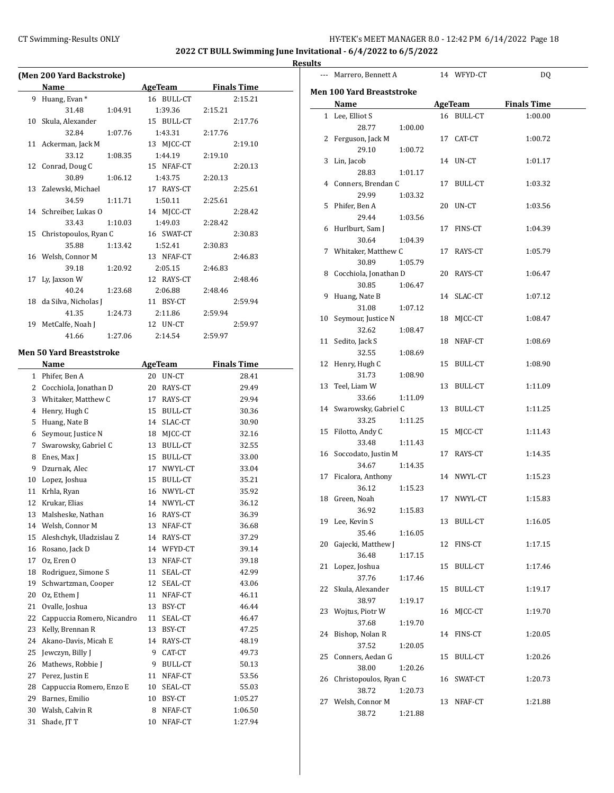$\overline{\phantom{0}}$ 

| (Men 200 Yard Backstroke) |                              |                |                    |  |  |  |
|---------------------------|------------------------------|----------------|--------------------|--|--|--|
|                           | Name                         | <b>AgeTeam</b> | <b>Finals Time</b> |  |  |  |
| 9                         | Huang, Evan *                | 16 BULL-CT     | 2:15.21            |  |  |  |
|                           | 31.48<br>1:04.91             | 1:39.36        | 2:15.21            |  |  |  |
| 10                        | Skula, Alexander             | 15 BULL-CT     | 2:17.76            |  |  |  |
|                           | 32.84<br>1:07.76             | 1:43.31        | 2:17.76            |  |  |  |
| 11                        | Ackerman, Jack M             | 13 MJCC-CT     | 2:19.10            |  |  |  |
|                           | 33.12<br>1:08.35             | 1:44.19        | 2:19.10            |  |  |  |
| 12                        | Conrad, Doug C               | 15 NFAF-CT     | 2:20.13            |  |  |  |
|                           | 30.89<br>1:06.12             | 1:43.75        | 2:20.13            |  |  |  |
| 13                        | Zalewski, Michael            | 17 RAYS-CT     | 2:25.61            |  |  |  |
|                           | 34.59<br>1:11.71             | 1:50.11        | 2:25.61            |  |  |  |
| 14                        | Schreiber, Lukas O           | 14 MJCC-CT     | 2:28.42            |  |  |  |
|                           | 33.43<br>1:10.03             | 1:49.03        | 2:28.42            |  |  |  |
| 15                        | Christopoulos, Ryan C        | 16 SWAT-CT     | 2:30.83            |  |  |  |
|                           | 35.88<br>1:13.42             | 1:52.41        | 2:30.83            |  |  |  |
| 16                        | Welsh, Connor M              | 13 NFAF-CT     | 2:46.83            |  |  |  |
|                           | 39.18<br>1:20.92             | 2:05.15        | 2:46.83            |  |  |  |
| 17                        | Ly, Jaxson W                 | 12 RAYS-CT     | 2:48.46            |  |  |  |
|                           | 40.24<br>1:23.68             | 2:06.88        | 2:48.46            |  |  |  |
| 18                        | da Silva, Nicholas J         | 11 BSY-CT      | 2:59.94            |  |  |  |
|                           | 41.35<br>1:24.73             | 2:11.86        | 2:59.94            |  |  |  |
| 19                        | MetCalfe, Noah J             | 12 UN-CT       |                    |  |  |  |
|                           |                              |                | 2:59.97            |  |  |  |
|                           | 41.66<br>1:27.06             | 2:14.54        | 2:59.97            |  |  |  |
|                           | Men 50 Yard Breaststroke     |                |                    |  |  |  |
|                           | Name                         | <b>AgeTeam</b> | <b>Finals Time</b> |  |  |  |
|                           | 1 Phifer, Ben A              | 20 UN-CT       | 28.41              |  |  |  |
| 2                         | Cocchiola, Jonathan D        | 20 RAYS-CT     | 29.49              |  |  |  |
| 3                         | Whitaker, Matthew C          | 17 RAYS-CT     | 29.94              |  |  |  |
| 4                         | Henry, Hugh C                | 15 BULL-CT     | 30.36              |  |  |  |
| 5                         | Huang, Nate B                | 14 SLAC-CT     | 30.90              |  |  |  |
| 6                         | Seymour, Justice N           | 18 MJCC-CT     | 32.16              |  |  |  |
| 7                         | Swarowsky, Gabriel C         | 13 BULL-CT     | 32.55              |  |  |  |
| 8                         | Enes, Max J                  | 15 BULL-CT     | 33.00              |  |  |  |
| 9                         | Dzurnak, Alec                | 17<br>NWYL-CT  | 33.04              |  |  |  |
| 10                        | Lopez, Joshua                | 15 BULL-CT     | 35.21              |  |  |  |
| 11                        |                              |                |                    |  |  |  |
|                           | Krhla, Ryan<br>Krukar, Elias | 16 NWYL-CT     | 35.92              |  |  |  |
| 12                        |                              | 14 NWYL-CT     | 36.12              |  |  |  |
| 13                        | Malsheske, Nathan            | 16 RAYS-CT     | 36.39              |  |  |  |
| 14                        | Welsh, Connor M              | NFAF-CT<br>13  | 36.68              |  |  |  |
| 15                        | Aleshchyk, Uladzislau Z      | 14<br>RAYS-CT  | 37.29              |  |  |  |
| 16                        | Rosano, Jack D               | 14 WFYD-CT     | 39.14              |  |  |  |
| 17                        | Oz, Eren O                   | 13<br>NFAF-CT  | 39.18              |  |  |  |
| 18                        | Rodriguez, Simone S          | 11<br>SEAL-CT  | 42.99              |  |  |  |
| 19                        | Schwartzman, Cooper          | 12<br>SEAL-CT  | 43.06              |  |  |  |
| 20                        | Oz, Ethem J                  | 11<br>NFAF-CT  | 46.11              |  |  |  |
| 21                        | Ovalle, Joshua               | 13<br>BSY-CT   | 46.44              |  |  |  |
| 22                        | Cappuccia Romero, Nicandro   | 11<br>SEAL-CT  | 46.47              |  |  |  |
| 23                        | Kelly, Brennan R             | 13<br>BSY-CT   | 47.25              |  |  |  |
| 24                        | Akano-Davis, Micah E         | 14<br>RAYS-CT  | 48.19              |  |  |  |
| 25                        | Jewczyn, Billy J             | 9<br>CAT-CT    | 49.73              |  |  |  |
| 26                        | Mathews, Robbie J            | 9<br>BULL-CT   | 50.13              |  |  |  |
| 27                        | Perez, Justin E              | NFAF-CT<br>11  | 53.56              |  |  |  |
| 28                        | Cappuccia Romero, Enzo E     | 10<br>SEAL-CT  | 55.03              |  |  |  |
| 29                        | Barnes, Emilio               | 10<br>BSY-CT   | 1:05.27            |  |  |  |
| 30                        | Walsh, Calvin R              | 8<br>NFAF-CT   | 1:06.50            |  |  |  |
| 31                        | Shade, JT T                  | NFAF-CT<br>10  | 1:27.94            |  |  |  |
|                           |                              |                |                    |  |  |  |

|    | --- Marrero, Bennett A                                  |    | 14 WFYD-CT     | DQ                 |  |
|----|---------------------------------------------------------|----|----------------|--------------------|--|
|    | Men 100 Yard Breaststroke                               |    |                |                    |  |
|    | Name                                                    |    | AgeTeam        | <b>Finals Time</b> |  |
|    | 1 Lee, Elliot S<br>28.77                                |    | 16 BULL-CT     | 1:00.00            |  |
|    | 1:00.00<br>2 Ferguson, Jack M                           |    | 17 CAT-CT      | 1:00.72            |  |
|    | 29.10<br>1:00.72<br>3 Lin, Jacob                        |    | 14 UN-CT       | 1:01.17            |  |
|    | 28.83<br>1:01.17                                        |    |                |                    |  |
|    | 4 Conners, Brendan C<br>29.99<br>1:03.32                |    | 17 BULL-CT     | 1:03.32            |  |
|    | 5 Phifer, Ben A<br>29.44<br>1:03.56                     |    | 20 UN-CT       | 1:03.56            |  |
|    | 6 Hurlburt, Sam J                                       |    | 17 FINS-CT     | 1:04.39            |  |
| 7  | 30.64<br>1:04.39<br>Whitaker, Matthew C                 |    | 17 RAYS-CT     | 1:05.79            |  |
|    | 30.89<br>1:05.79<br>8 Cocchiola, Jonathan D             |    | 20 RAYS-CT     | 1:06.47            |  |
| 9  | 30.85<br>1:06.47<br>Huang, Nate B                       |    | 14 SLAC-CT     | 1:07.12            |  |
|    | 31.08<br>1:07.12                                        |    |                |                    |  |
|    | 10 Seymour, Justice N<br>32.62<br>1:08.47               |    | 18 MJCC-CT     | 1:08.47            |  |
| 11 | Sedito, Jack S<br>32.55                                 |    | 18 NFAF-CT     | 1:08.69            |  |
| 12 | 1:08.69<br>Henry, Hugh C                                |    | 15 BULL-CT     | 1:08.90            |  |
| 13 | 31.73<br>1:08.90<br>Teel, Liam W                        |    | 13 BULL-CT     | 1:11.09            |  |
|    | 33.66<br>1:11.09<br>14 Swarowsky, Gabriel C             |    | 13 BULL-CT     | 1:11.25            |  |
|    | 33.25<br>1:11.25<br>15 Filotto, Andy C                  |    | 15 MJCC-CT     | 1:11.43            |  |
|    | 33.48<br>1:11.43<br>16 Soccodato, Justin M              |    | 17 RAYS-CT     |                    |  |
|    | 34.67<br>1:14.35                                        |    |                | 1:14.35            |  |
|    | 17 Ficalora, Anthony<br>36.12<br>1:15.23                |    | 14 NWYL-CT     | 1:15.23            |  |
| 18 | Green, Noah<br>36.92<br>1:15.83                         |    | 17 NWYL-CT     | 1:15.83            |  |
|    | 19 Lee, Kevin S<br>35.46<br>1:16.05                     |    | 13 BULL-CT     | 1:16.05            |  |
| 20 | Gajecki, Matthew J<br>36.48                             | 12 | FINS-CT        | 1:17.15            |  |
| 21 | 1:17.15<br>Lopez, Joshua                                |    | 15 BULL-CT     | 1:17.46            |  |
| 22 | 37.76<br>1:17.46<br>Skula, Alexander                    | 15 | <b>BULL-CT</b> | 1:19.17            |  |
| 23 | 38.97<br>1:19.17<br>Wojtus, Piotr W                     | 16 | MJCC-CT        | 1:19.70            |  |
| 24 | 37.68<br>1:19.70<br>Bishop, Nolan R<br>37.52            | 14 | FINS-CT        | 1:20.05            |  |
| 25 | 1:20.05<br>Conners, Aedan G                             |    | 15 BULL-CT     | 1:20.26            |  |
| 26 | 38.00<br>1:20.26<br>Christopoulos, Ryan C               |    | 16 SWAT-CT     | 1:20.73            |  |
| 27 | 38.72<br>1:20.73<br>Welsh, Connor M<br>38.72<br>1:21.88 |    | 13 NFAF-CT     | 1:21.88            |  |
|    |                                                         |    |                |                    |  |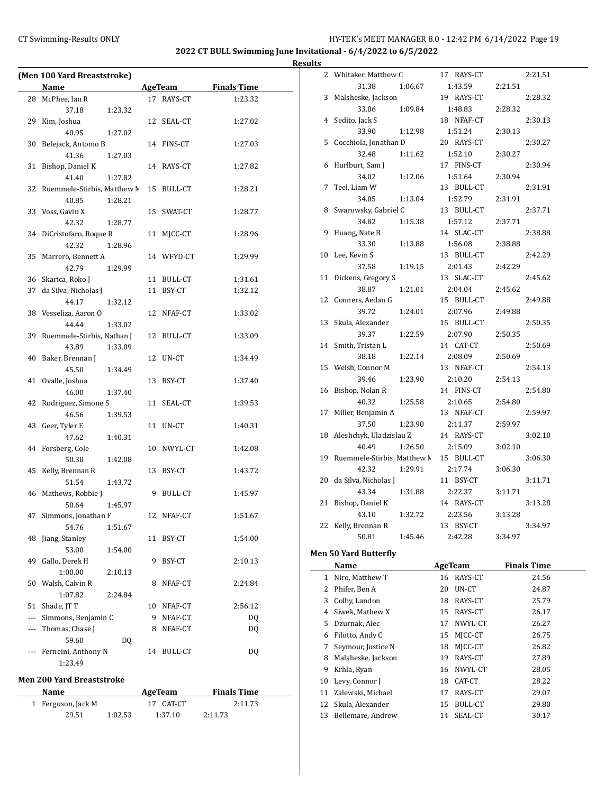# CT Swimming-Results ONLY **EXECUTE:** THE HY-TEK's MEET MANAGER 8.0 - 12:42 PM 6/14/2022 Page 19

**2022 CT BULL Swimming June Invitational - 6/4/2022 to 6/5/2022**

**Results**

| Name<br><b>Finals Time</b><br><b>AgeTeam</b><br>28 McPhee, Ian R<br>17 RAYS-CT<br>1:23.32<br>37.18<br>1:23.32<br>Kim, Joshua<br>29<br>12 SEAL-CT<br>1:27.02<br>40.95<br>1:27.02<br>Belejack, Antonio B<br>14 FINS-CT<br>1:27.03<br>30<br>41.36<br>1:27.03<br>31<br>Bishop, Daniel K<br>14 RAYS-CT<br>1:27.82<br>41.40<br>1:27.82<br>Ruemmele-Stirbis, Matthew M<br>32<br>15 BULL-CT<br>1:28.21<br>40.85<br>1:28.21<br>33 Voss, Gavin X<br>15 SWAT-CT<br>1:28.77<br>42.32<br>1:28.77<br>34 DiCristofaro, Roque R<br>MJCC-CT<br>11<br>1:28.96<br>42.32<br>1:28.96<br>35<br>Marrero, Bennett A<br>14 WFYD-CT<br>1:29.99<br>42.79<br>1:29.99<br>36 Skarica, Roko J<br>1:31.61<br>11 BULL-CT<br>37 da Silva, Nicholas J<br>11 BSY-CT<br>1:32.12<br>44.17<br>1:32.12<br>38 Vesseliza, Aaron O<br>12 NFAF-CT<br>1:33.02<br>44.44<br>1:33.02<br>39 Ruemmele-Stirbis, Nathan J<br>12 BULL-CT<br>1:33.09<br>43.89<br>1:33.09<br>Baker, Brennan J<br>12 UN-CT<br>40<br>1:34.49<br>45.50<br>1:34.49<br>Ovalle, Joshua<br>41<br>13 BSY-CT<br>1:37.40<br>46.00<br>1:37.40<br>Rodriguez, Simone S<br>42<br>11 SEAL-CT<br>1:39.53<br>46.56<br>1:39.53<br>43<br>Geer, Tyler E<br>11 UN-CT<br>1:40.31<br>47.62<br>1:40.31<br>Forsberg, Cole<br>44<br>10 NWYL-CT<br>1:42.08<br>50.30<br>1:42.08<br>45<br>Kelly, Brennan R<br>13 BSY-CT<br>1:43.72<br>51.54<br>1:43.72<br>46 Mathews, Robbie J<br>9<br><b>BULL-CT</b><br>1:45.97<br>50.64<br>1:45.97<br>1:51.67<br>47<br>Simmons, Jonathan F<br>12 NFAF-CT<br>54.76<br>1:51.67<br>48<br>Jiang, Stanley<br>BSY-CT<br>1:54.00<br>11<br>53.00<br>1:54.00<br>49<br>Gallo, Derek H<br>9<br>BSY-CT<br>2:10.13<br>1:00.00<br>2:10.13<br>50<br>Walsh, Calvin R<br>NFAF-CT<br>8<br>2:24.84<br>1:07.82<br>2:24.84<br>51<br>Shade, JT T<br>2:56.12<br>10 NFAF-CT<br>Simmons, Benjamin C<br>9<br>NFAF-CT<br>DQ<br>$---$<br>Thomas, Chase J<br>NFAF-CT<br>DQ<br>8<br>--- 1<br>59.60<br>DQ<br>Ferneini, Anthony N<br>DQ<br>14 BULL-CT<br>$\overline{a}$<br>1:23.49 | (Men 100 Yard Breaststroke) |  |  |
|----------------------------------------------------------------------------------------------------------------------------------------------------------------------------------------------------------------------------------------------------------------------------------------------------------------------------------------------------------------------------------------------------------------------------------------------------------------------------------------------------------------------------------------------------------------------------------------------------------------------------------------------------------------------------------------------------------------------------------------------------------------------------------------------------------------------------------------------------------------------------------------------------------------------------------------------------------------------------------------------------------------------------------------------------------------------------------------------------------------------------------------------------------------------------------------------------------------------------------------------------------------------------------------------------------------------------------------------------------------------------------------------------------------------------------------------------------------------------------------------------------------------------------------------------------------------------------------------------------------------------------------------------------------------------------------------------------------------------------------------------------------------------------------------------------------------------------------------------------------------------------------------------------------------------------------------------------------------------------|-----------------------------|--|--|
|                                                                                                                                                                                                                                                                                                                                                                                                                                                                                                                                                                                                                                                                                                                                                                                                                                                                                                                                                                                                                                                                                                                                                                                                                                                                                                                                                                                                                                                                                                                                                                                                                                                                                                                                                                                                                                                                                                                                                                                  |                             |  |  |
|                                                                                                                                                                                                                                                                                                                                                                                                                                                                                                                                                                                                                                                                                                                                                                                                                                                                                                                                                                                                                                                                                                                                                                                                                                                                                                                                                                                                                                                                                                                                                                                                                                                                                                                                                                                                                                                                                                                                                                                  |                             |  |  |
|                                                                                                                                                                                                                                                                                                                                                                                                                                                                                                                                                                                                                                                                                                                                                                                                                                                                                                                                                                                                                                                                                                                                                                                                                                                                                                                                                                                                                                                                                                                                                                                                                                                                                                                                                                                                                                                                                                                                                                                  |                             |  |  |
|                                                                                                                                                                                                                                                                                                                                                                                                                                                                                                                                                                                                                                                                                                                                                                                                                                                                                                                                                                                                                                                                                                                                                                                                                                                                                                                                                                                                                                                                                                                                                                                                                                                                                                                                                                                                                                                                                                                                                                                  |                             |  |  |
|                                                                                                                                                                                                                                                                                                                                                                                                                                                                                                                                                                                                                                                                                                                                                                                                                                                                                                                                                                                                                                                                                                                                                                                                                                                                                                                                                                                                                                                                                                                                                                                                                                                                                                                                                                                                                                                                                                                                                                                  |                             |  |  |
|                                                                                                                                                                                                                                                                                                                                                                                                                                                                                                                                                                                                                                                                                                                                                                                                                                                                                                                                                                                                                                                                                                                                                                                                                                                                                                                                                                                                                                                                                                                                                                                                                                                                                                                                                                                                                                                                                                                                                                                  |                             |  |  |
|                                                                                                                                                                                                                                                                                                                                                                                                                                                                                                                                                                                                                                                                                                                                                                                                                                                                                                                                                                                                                                                                                                                                                                                                                                                                                                                                                                                                                                                                                                                                                                                                                                                                                                                                                                                                                                                                                                                                                                                  |                             |  |  |
|                                                                                                                                                                                                                                                                                                                                                                                                                                                                                                                                                                                                                                                                                                                                                                                                                                                                                                                                                                                                                                                                                                                                                                                                                                                                                                                                                                                                                                                                                                                                                                                                                                                                                                                                                                                                                                                                                                                                                                                  |                             |  |  |
|                                                                                                                                                                                                                                                                                                                                                                                                                                                                                                                                                                                                                                                                                                                                                                                                                                                                                                                                                                                                                                                                                                                                                                                                                                                                                                                                                                                                                                                                                                                                                                                                                                                                                                                                                                                                                                                                                                                                                                                  |                             |  |  |
|                                                                                                                                                                                                                                                                                                                                                                                                                                                                                                                                                                                                                                                                                                                                                                                                                                                                                                                                                                                                                                                                                                                                                                                                                                                                                                                                                                                                                                                                                                                                                                                                                                                                                                                                                                                                                                                                                                                                                                                  |                             |  |  |
|                                                                                                                                                                                                                                                                                                                                                                                                                                                                                                                                                                                                                                                                                                                                                                                                                                                                                                                                                                                                                                                                                                                                                                                                                                                                                                                                                                                                                                                                                                                                                                                                                                                                                                                                                                                                                                                                                                                                                                                  |                             |  |  |
|                                                                                                                                                                                                                                                                                                                                                                                                                                                                                                                                                                                                                                                                                                                                                                                                                                                                                                                                                                                                                                                                                                                                                                                                                                                                                                                                                                                                                                                                                                                                                                                                                                                                                                                                                                                                                                                                                                                                                                                  |                             |  |  |
|                                                                                                                                                                                                                                                                                                                                                                                                                                                                                                                                                                                                                                                                                                                                                                                                                                                                                                                                                                                                                                                                                                                                                                                                                                                                                                                                                                                                                                                                                                                                                                                                                                                                                                                                                                                                                                                                                                                                                                                  |                             |  |  |
|                                                                                                                                                                                                                                                                                                                                                                                                                                                                                                                                                                                                                                                                                                                                                                                                                                                                                                                                                                                                                                                                                                                                                                                                                                                                                                                                                                                                                                                                                                                                                                                                                                                                                                                                                                                                                                                                                                                                                                                  |                             |  |  |
|                                                                                                                                                                                                                                                                                                                                                                                                                                                                                                                                                                                                                                                                                                                                                                                                                                                                                                                                                                                                                                                                                                                                                                                                                                                                                                                                                                                                                                                                                                                                                                                                                                                                                                                                                                                                                                                                                                                                                                                  |                             |  |  |
|                                                                                                                                                                                                                                                                                                                                                                                                                                                                                                                                                                                                                                                                                                                                                                                                                                                                                                                                                                                                                                                                                                                                                                                                                                                                                                                                                                                                                                                                                                                                                                                                                                                                                                                                                                                                                                                                                                                                                                                  |                             |  |  |
|                                                                                                                                                                                                                                                                                                                                                                                                                                                                                                                                                                                                                                                                                                                                                                                                                                                                                                                                                                                                                                                                                                                                                                                                                                                                                                                                                                                                                                                                                                                                                                                                                                                                                                                                                                                                                                                                                                                                                                                  |                             |  |  |
|                                                                                                                                                                                                                                                                                                                                                                                                                                                                                                                                                                                                                                                                                                                                                                                                                                                                                                                                                                                                                                                                                                                                                                                                                                                                                                                                                                                                                                                                                                                                                                                                                                                                                                                                                                                                                                                                                                                                                                                  |                             |  |  |
|                                                                                                                                                                                                                                                                                                                                                                                                                                                                                                                                                                                                                                                                                                                                                                                                                                                                                                                                                                                                                                                                                                                                                                                                                                                                                                                                                                                                                                                                                                                                                                                                                                                                                                                                                                                                                                                                                                                                                                                  |                             |  |  |
|                                                                                                                                                                                                                                                                                                                                                                                                                                                                                                                                                                                                                                                                                                                                                                                                                                                                                                                                                                                                                                                                                                                                                                                                                                                                                                                                                                                                                                                                                                                                                                                                                                                                                                                                                                                                                                                                                                                                                                                  |                             |  |  |
|                                                                                                                                                                                                                                                                                                                                                                                                                                                                                                                                                                                                                                                                                                                                                                                                                                                                                                                                                                                                                                                                                                                                                                                                                                                                                                                                                                                                                                                                                                                                                                                                                                                                                                                                                                                                                                                                                                                                                                                  |                             |  |  |
|                                                                                                                                                                                                                                                                                                                                                                                                                                                                                                                                                                                                                                                                                                                                                                                                                                                                                                                                                                                                                                                                                                                                                                                                                                                                                                                                                                                                                                                                                                                                                                                                                                                                                                                                                                                                                                                                                                                                                                                  |                             |  |  |
|                                                                                                                                                                                                                                                                                                                                                                                                                                                                                                                                                                                                                                                                                                                                                                                                                                                                                                                                                                                                                                                                                                                                                                                                                                                                                                                                                                                                                                                                                                                                                                                                                                                                                                                                                                                                                                                                                                                                                                                  |                             |  |  |
|                                                                                                                                                                                                                                                                                                                                                                                                                                                                                                                                                                                                                                                                                                                                                                                                                                                                                                                                                                                                                                                                                                                                                                                                                                                                                                                                                                                                                                                                                                                                                                                                                                                                                                                                                                                                                                                                                                                                                                                  |                             |  |  |
|                                                                                                                                                                                                                                                                                                                                                                                                                                                                                                                                                                                                                                                                                                                                                                                                                                                                                                                                                                                                                                                                                                                                                                                                                                                                                                                                                                                                                                                                                                                                                                                                                                                                                                                                                                                                                                                                                                                                                                                  |                             |  |  |
|                                                                                                                                                                                                                                                                                                                                                                                                                                                                                                                                                                                                                                                                                                                                                                                                                                                                                                                                                                                                                                                                                                                                                                                                                                                                                                                                                                                                                                                                                                                                                                                                                                                                                                                                                                                                                                                                                                                                                                                  |                             |  |  |
|                                                                                                                                                                                                                                                                                                                                                                                                                                                                                                                                                                                                                                                                                                                                                                                                                                                                                                                                                                                                                                                                                                                                                                                                                                                                                                                                                                                                                                                                                                                                                                                                                                                                                                                                                                                                                                                                                                                                                                                  |                             |  |  |
|                                                                                                                                                                                                                                                                                                                                                                                                                                                                                                                                                                                                                                                                                                                                                                                                                                                                                                                                                                                                                                                                                                                                                                                                                                                                                                                                                                                                                                                                                                                                                                                                                                                                                                                                                                                                                                                                                                                                                                                  |                             |  |  |
|                                                                                                                                                                                                                                                                                                                                                                                                                                                                                                                                                                                                                                                                                                                                                                                                                                                                                                                                                                                                                                                                                                                                                                                                                                                                                                                                                                                                                                                                                                                                                                                                                                                                                                                                                                                                                                                                                                                                                                                  |                             |  |  |
|                                                                                                                                                                                                                                                                                                                                                                                                                                                                                                                                                                                                                                                                                                                                                                                                                                                                                                                                                                                                                                                                                                                                                                                                                                                                                                                                                                                                                                                                                                                                                                                                                                                                                                                                                                                                                                                                                                                                                                                  |                             |  |  |
|                                                                                                                                                                                                                                                                                                                                                                                                                                                                                                                                                                                                                                                                                                                                                                                                                                                                                                                                                                                                                                                                                                                                                                                                                                                                                                                                                                                                                                                                                                                                                                                                                                                                                                                                                                                                                                                                                                                                                                                  |                             |  |  |
|                                                                                                                                                                                                                                                                                                                                                                                                                                                                                                                                                                                                                                                                                                                                                                                                                                                                                                                                                                                                                                                                                                                                                                                                                                                                                                                                                                                                                                                                                                                                                                                                                                                                                                                                                                                                                                                                                                                                                                                  |                             |  |  |
|                                                                                                                                                                                                                                                                                                                                                                                                                                                                                                                                                                                                                                                                                                                                                                                                                                                                                                                                                                                                                                                                                                                                                                                                                                                                                                                                                                                                                                                                                                                                                                                                                                                                                                                                                                                                                                                                                                                                                                                  |                             |  |  |
|                                                                                                                                                                                                                                                                                                                                                                                                                                                                                                                                                                                                                                                                                                                                                                                                                                                                                                                                                                                                                                                                                                                                                                                                                                                                                                                                                                                                                                                                                                                                                                                                                                                                                                                                                                                                                                                                                                                                                                                  |                             |  |  |
|                                                                                                                                                                                                                                                                                                                                                                                                                                                                                                                                                                                                                                                                                                                                                                                                                                                                                                                                                                                                                                                                                                                                                                                                                                                                                                                                                                                                                                                                                                                                                                                                                                                                                                                                                                                                                                                                                                                                                                                  |                             |  |  |
|                                                                                                                                                                                                                                                                                                                                                                                                                                                                                                                                                                                                                                                                                                                                                                                                                                                                                                                                                                                                                                                                                                                                                                                                                                                                                                                                                                                                                                                                                                                                                                                                                                                                                                                                                                                                                                                                                                                                                                                  |                             |  |  |
|                                                                                                                                                                                                                                                                                                                                                                                                                                                                                                                                                                                                                                                                                                                                                                                                                                                                                                                                                                                                                                                                                                                                                                                                                                                                                                                                                                                                                                                                                                                                                                                                                                                                                                                                                                                                                                                                                                                                                                                  |                             |  |  |
|                                                                                                                                                                                                                                                                                                                                                                                                                                                                                                                                                                                                                                                                                                                                                                                                                                                                                                                                                                                                                                                                                                                                                                                                                                                                                                                                                                                                                                                                                                                                                                                                                                                                                                                                                                                                                                                                                                                                                                                  |                             |  |  |
|                                                                                                                                                                                                                                                                                                                                                                                                                                                                                                                                                                                                                                                                                                                                                                                                                                                                                                                                                                                                                                                                                                                                                                                                                                                                                                                                                                                                                                                                                                                                                                                                                                                                                                                                                                                                                                                                                                                                                                                  |                             |  |  |
|                                                                                                                                                                                                                                                                                                                                                                                                                                                                                                                                                                                                                                                                                                                                                                                                                                                                                                                                                                                                                                                                                                                                                                                                                                                                                                                                                                                                                                                                                                                                                                                                                                                                                                                                                                                                                                                                                                                                                                                  |                             |  |  |
|                                                                                                                                                                                                                                                                                                                                                                                                                                                                                                                                                                                                                                                                                                                                                                                                                                                                                                                                                                                                                                                                                                                                                                                                                                                                                                                                                                                                                                                                                                                                                                                                                                                                                                                                                                                                                                                                                                                                                                                  |                             |  |  |
|                                                                                                                                                                                                                                                                                                                                                                                                                                                                                                                                                                                                                                                                                                                                                                                                                                                                                                                                                                                                                                                                                                                                                                                                                                                                                                                                                                                                                                                                                                                                                                                                                                                                                                                                                                                                                                                                                                                                                                                  |                             |  |  |
|                                                                                                                                                                                                                                                                                                                                                                                                                                                                                                                                                                                                                                                                                                                                                                                                                                                                                                                                                                                                                                                                                                                                                                                                                                                                                                                                                                                                                                                                                                                                                                                                                                                                                                                                                                                                                                                                                                                                                                                  |                             |  |  |
|                                                                                                                                                                                                                                                                                                                                                                                                                                                                                                                                                                                                                                                                                                                                                                                                                                                                                                                                                                                                                                                                                                                                                                                                                                                                                                                                                                                                                                                                                                                                                                                                                                                                                                                                                                                                                                                                                                                                                                                  |                             |  |  |
|                                                                                                                                                                                                                                                                                                                                                                                                                                                                                                                                                                                                                                                                                                                                                                                                                                                                                                                                                                                                                                                                                                                                                                                                                                                                                                                                                                                                                                                                                                                                                                                                                                                                                                                                                                                                                                                                                                                                                                                  |                             |  |  |
|                                                                                                                                                                                                                                                                                                                                                                                                                                                                                                                                                                                                                                                                                                                                                                                                                                                                                                                                                                                                                                                                                                                                                                                                                                                                                                                                                                                                                                                                                                                                                                                                                                                                                                                                                                                                                                                                                                                                                                                  |                             |  |  |
|                                                                                                                                                                                                                                                                                                                                                                                                                                                                                                                                                                                                                                                                                                                                                                                                                                                                                                                                                                                                                                                                                                                                                                                                                                                                                                                                                                                                                                                                                                                                                                                                                                                                                                                                                                                                                                                                                                                                                                                  |                             |  |  |
|                                                                                                                                                                                                                                                                                                                                                                                                                                                                                                                                                                                                                                                                                                                                                                                                                                                                                                                                                                                                                                                                                                                                                                                                                                                                                                                                                                                                                                                                                                                                                                                                                                                                                                                                                                                                                                                                                                                                                                                  |                             |  |  |
|                                                                                                                                                                                                                                                                                                                                                                                                                                                                                                                                                                                                                                                                                                                                                                                                                                                                                                                                                                                                                                                                                                                                                                                                                                                                                                                                                                                                                                                                                                                                                                                                                                                                                                                                                                                                                                                                                                                                                                                  |                             |  |  |
|                                                                                                                                                                                                                                                                                                                                                                                                                                                                                                                                                                                                                                                                                                                                                                                                                                                                                                                                                                                                                                                                                                                                                                                                                                                                                                                                                                                                                                                                                                                                                                                                                                                                                                                                                                                                                                                                                                                                                                                  |                             |  |  |
|                                                                                                                                                                                                                                                                                                                                                                                                                                                                                                                                                                                                                                                                                                                                                                                                                                                                                                                                                                                                                                                                                                                                                                                                                                                                                                                                                                                                                                                                                                                                                                                                                                                                                                                                                                                                                                                                                                                                                                                  |                             |  |  |
|                                                                                                                                                                                                                                                                                                                                                                                                                                                                                                                                                                                                                                                                                                                                                                                                                                                                                                                                                                                                                                                                                                                                                                                                                                                                                                                                                                                                                                                                                                                                                                                                                                                                                                                                                                                                                                                                                                                                                                                  |                             |  |  |

### **Men 200 Yard Breaststroke**

| Name               |         |           | <b>Finals Time</b> |
|--------------------|---------|-----------|--------------------|
| 1 Ferguson, Jack M |         | 17 CAT-CT | 2:11.73            |
| 29.51              | 1:02.53 | 1:37.10   | 2:11.73            |

| 2              | Whitaker, Matthew C         | 17 RAYS-CT | 2:21.51 |
|----------------|-----------------------------|------------|---------|
|                | 31.38<br>1:06.67            | 1:43.59    | 2:21.51 |
| 3              | Malsheske, Jackson          | 19 RAYS-CT | 2:28.32 |
|                | 33.06<br>1:09.84            | 1:48.83    | 2:28.32 |
| $\overline{4}$ | Sedito, Jack S              | 18 NFAF-CT | 2:30.13 |
|                | 33.90<br>1:12.98            | 1:51.24    | 2:30.13 |
| 5              | Cocchiola, Jonathan D       | 20 RAYS-CT | 2:30.27 |
|                | 32.48<br>1:11.62            | 1:52.10    | 2:30.27 |
| 6              | Hurlburt, Sam J             | 17 FINS-CT | 2:30.94 |
|                | 34.02<br>1:12.06            | 1:51.64    | 2:30.94 |
| 7              | Teel, Liam W                | 13 BULL-CT | 2:31.91 |
|                | 34.05<br>1:13.04            | 1:52.79    | 2:31.91 |
| 8              | Swarowsky, Gabriel C        | 13 BULL-CT | 2:37.71 |
|                | 34.82<br>1:15.38            | 1:57.12    | 2:37.71 |
| 9              | Huang, Nate B               | 14 SLAC-CT | 2:38.88 |
|                | 33.30<br>1:13.88            | 1:56.08    | 2:38.88 |
| 10             | Lee, Kevin S                | 13 BULL-CT | 2:42.29 |
|                | 37.58<br>1:19.15            | 2:01.43    | 2:42.29 |
| 11             | Dickens, Gregory S          | 13 SLAC-CT | 2:45.62 |
|                | 38.87<br>1:21.01            | 2:04.04    | 2:45.62 |
| 12             | Conners, Aedan G            | 15 BULL-CT | 2:49.88 |
|                | 39.72<br>1:24.01            | 2:07.96    | 2:49.88 |
| 13             | Skula, Alexander            | 15 BULL-CT | 2:50.35 |
|                | 39.37<br>1:22.59            | 2:07.90    | 2:50.35 |
| 14             | Smith, Tristan L            | 14 CAT-CT  | 2:50.69 |
|                | 38.18<br>1:22.14            | 2:08.09    | 2:50.69 |
| 15             | Welsh, Connor M             | 13 NFAF-CT | 2:54.13 |
|                | 39.46<br>1:23.90            | 2:10.20    | 2:54.13 |
| 16             | Bishop, Nolan R             | 14 FINS-CT | 2:54.80 |
|                | 40.32<br>1:25.58            | 2:10.65    | 2:54.80 |
| 17             | Miller, Benjamin A          | 13 NFAF-CT | 2:59.97 |
|                | 37.50<br>1:23.90            | 2:11.37    | 2:59.97 |
| 18             | Aleshchyk, Uladzislau Z     | 14 RAYS-CT | 3:02.10 |
|                | 40.49<br>1:26.50            | 2:15.09    | 3:02.10 |
| 19             | Ruemmele-Stirbis, Matthew M | 15 BULL-CT | 3:06.30 |
|                | 42.32<br>1:29.91            | 2:17.74    | 3:06.30 |
| 20             | da Silva, Nicholas J        | 11 BSY-CT  | 3:11.71 |
|                | 43.34<br>1:31.88            | 2:22.37    | 3:11.71 |
| 21             | Bishop, Daniel K            | 14 RAYS-CT | 3:13.28 |
|                | 43.10<br>1:32.72            | 2:23.56    | 3:13.28 |
| 22             | Kelly, Brennan R            | 13 BSY-CT  | 3:34.97 |
|                | 1:45.46<br>50.81            | 2:42.28    | 3:34.97 |

# **Men 50 Yard Butterfly**

|    | Name               |    | AgeTeam        | <b>Finals Time</b> |
|----|--------------------|----|----------------|--------------------|
| 1  | Niro, Matthew T    |    | 16 RAYS-CT     | 24.56              |
| 2  | Phifer, Ben A      | 20 | UN-CT          | 24.87              |
| 3  | Colby, Landon      | 18 | RAYS-CT        | 25.79              |
| 4  | Siwek, Mathew X    | 15 | RAYS-CT        | 26.17              |
| 5. | Dzurnak, Alec      | 17 | NWYL-CT        | 26.27              |
| 6  | Filotto, Andy C    | 15 | MICC-CT        | 26.75              |
| 7  | Seymour, Justice N | 18 | MICC-CT        | 26.82              |
| 8  | Malsheske, Jackson | 19 | RAYS-CT        | 27.89              |
| 9  | Krhla, Ryan        | 16 | NWYL-CT        | 28.05              |
| 10 | Levy, Connor J     | 18 | CAT-CT         | 28.22              |
| 11 | Zalewski, Michael  | 17 | RAYS-CT        | 29.07              |
| 12 | Skula, Alexander   | 15 | <b>BULL-CT</b> | 29.80              |
| 13 | Bellemare, Andrew  | 14 | SEAL-CT        | 30.17              |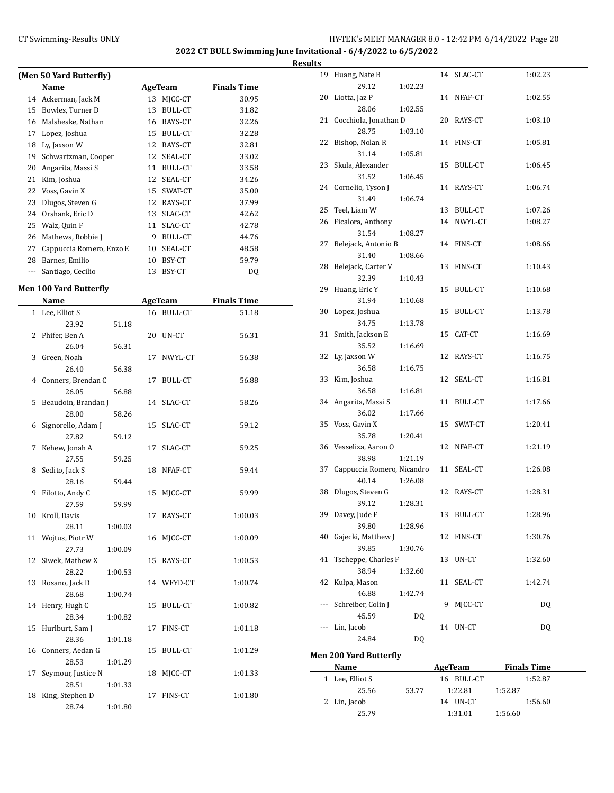÷,

# CT Swimming-Results ONLY **EXECUTE:** THE HY-TEK's MEET MANAGER 8.0 - 12:42 PM 6/14/2022 Page 20

**2022 CT BULL Swimming June Invitational - 6/4/2022 to 6/5/2022**

|       | (Men 50 Yard Butterfly)  |    |                |                    |  |
|-------|--------------------------|----|----------------|--------------------|--|
|       | Name                     |    | AgeTeam        | <b>Finals Time</b> |  |
| 14    | Ackerman, Jack M         | 13 | MICC-CT        | 30.95              |  |
| 15    | Bowles, Turner D         | 13 | <b>BULL-CT</b> | 31.82              |  |
| 16    | Malsheske, Nathan        | 16 | RAYS-CT        | 32.26              |  |
| 17    | Lopez, Joshua            | 15 | BULL-CT        | 32.28              |  |
| 18    | Ly, Jaxson W             | 12 | RAYS-CT        | 32.81              |  |
| 19    | Schwartzman, Cooper      | 12 | SEAL-CT        | 33.02              |  |
| 20    | Angarita, Massi S        | 11 | BULL-CT        | 33.58              |  |
| 21    | Kim, Joshua              | 12 | SEAL-CT        | 34.26              |  |
| 22    | Voss, Gavin X            | 15 | SWAT-CT        | 35.00              |  |
| 23    | Dlugos, Steven G         | 12 | RAYS-CT        | 37.99              |  |
| 24    | Orshank, Eric D          | 13 | SLAC-CT        | 42.62              |  |
| 25    | Walz, Quin F             | 11 | SLAC-CT        | 42.78              |  |
| 26    | Mathews, Robbie J        | 9  | BULL-CT        | 44.76              |  |
| 27    | Cappuccia Romero, Enzo E | 10 | SEAL-CT        | 48.58              |  |
| 28    | Barnes, Emilio           | 10 | BSY-CT         | 59.79              |  |
| $---$ | Santiago, Cecilio        | 13 | BSY-CT         | D <sub>0</sub>     |  |

# **Men 100 Yard Butterfly**

 $\overline{a}$ 

|    | Name                |         |    | AgeTeam        | <b>Finals Time</b> |
|----|---------------------|---------|----|----------------|--------------------|
|    | 1 Lee, Elliot S     |         |    | 16 BULL-CT     | 51.18              |
|    | 23.92               | 51.18   |    |                |                    |
| 2  | Phifer, Ben A       |         | 20 | UN-CT          | 56.31              |
|    | 26.04               | 56.31   |    |                |                    |
| 3  | Green, Noah         |         | 17 | NWYL-CT        | 56.38              |
|    | 26.40               | 56.38   |    |                |                    |
| 4  | Conners, Brendan C  |         | 17 | <b>BULL-CT</b> | 56.88              |
|    | 26.05               | 56.88   |    |                |                    |
| 5  | Beaudoin, Brandan J |         | 14 | SLAC-CT        | 58.26              |
|    | 28.00               | 58.26   |    |                |                    |
| 6  | Signorello, Adam J  |         | 15 | SLAC-CT        | 59.12              |
|    | 27.82               | 59.12   |    |                |                    |
| 7  | Kehew, Jonah A      |         | 17 | SLAC-CT        | 59.25              |
|    | 27.55               | 59.25   |    |                |                    |
| 8  | Sedito, Jack S      |         | 18 | NFAF-CT        | 59.44              |
|    | 28.16               | 59.44   |    |                |                    |
| 9  | Filotto, Andy C     |         | 15 | MJCC-CT        | 59.99              |
|    | 27.59               | 59.99   |    |                |                    |
| 10 | Kroll, Davis        |         | 17 | RAYS-CT        | 1:00.03            |
|    | 28.11               | 1:00.03 |    |                |                    |
| 11 | Wojtus, Piotr W     |         | 16 | MJCC-CT        | 1:00.09            |
|    | 27.73               | 1:00.09 |    |                |                    |
| 12 | Siwek, Mathew X     |         | 15 | RAYS-CT        | 1:00.53            |
|    | 28.22               | 1:00.53 |    |                |                    |
| 13 | Rosano, Jack D      |         |    | 14 WFYD-CT     | 1:00.74            |
|    | 28.68               | 1:00.74 |    |                |                    |
| 14 | Henry, Hugh C       |         | 15 | <b>BULL-CT</b> | 1:00.82            |
|    | 28.34               | 1:00.82 |    |                |                    |
| 15 | Hurlburt, Sam J     |         | 17 | FINS-CT        | 1:01.18            |
|    | 28.36               | 1:01.18 |    |                |                    |
| 16 | Conners, Aedan G    |         | 15 | <b>BULL-CT</b> | 1:01.29            |
|    | 28.53               | 1:01.29 |    |                |                    |
| 17 | Seymour, Justice N  |         | 18 | MJCC-CT        | 1:01.33            |
|    | 28.51               | 1:01.33 |    |                |                    |
| 18 | King, Stephen D     |         | 17 | FINS-CT        | 1:01.80            |
|    | 28.74               | 1:01.80 |    |                |                    |

| <b>Results</b> |                               |           |    |            |           |
|----------------|-------------------------------|-----------|----|------------|-----------|
|                | 19 Huang, Nate B              |           |    | 14 SLAC-CT | 1:02.23   |
|                | 29.12                         | 1:02.23   |    |            |           |
|                | 20 Liotta, Jaz P              |           |    | 14 NFAF-CT | 1:02.55   |
|                | 28.06                         | 1:02.55   |    |            |           |
|                | 21 Cocchiola, Jonathan D      |           |    | 20 RAYS-CT | 1:03.10   |
|                | 28.75                         | 1:03.10   |    |            |           |
|                | 22 Bishop, Nolan R            |           |    | 14 FINS-CT | 1:05.81   |
|                | 31.14                         | 1:05.81   |    |            |           |
|                | 23 Skula, Alexander           |           |    | 15 BULL-CT | 1:06.45   |
|                | 31.52                         | 1:06.45   |    |            |           |
|                | 24 Cornelio, Tyson J          |           |    | 14 RAYS-CT | 1:06.74   |
|                | 31.49                         | 1:06.74   |    |            |           |
|                | 25 Teel, Liam W               |           |    | 13 BULL-CT | 1:07.26   |
|                | 26 Ficalora, Anthony          |           |    | 14 NWYL-CT | 1:08.27   |
|                | 31.54                         | 1:08.27   |    |            |           |
|                | 27 Belejack, Antonio B        |           |    | 14 FINS-CT | 1:08.66   |
|                | 31.40                         | 1:08.66   |    |            |           |
|                | 28 Belejack, Carter V         |           |    | 13 FINS-CT | 1:10.43   |
|                | 32.39                         | 1:10.43   |    |            |           |
|                | 29 Huang, Eric Y              |           |    | 15 BULL-CT | 1:10.68   |
|                | 31.94                         | 1:10.68   |    |            |           |
|                | 30 Lopez, Joshua              |           |    | 15 BULL-CT | 1:13.78   |
|                | 34.75                         | 1:13.78   |    |            |           |
|                | 31 Smith, Jackson E           |           |    | 15 CAT-CT  | 1:16.69   |
|                | 35.52<br>32 Ly, Jaxson W      | 1:16.69   |    |            | 1:16.75   |
|                | 36.58                         | 1:16.75   |    | 12 RAYS-CT |           |
|                | 33 Kim, Joshua                |           |    | 12 SEAL-CT | 1:16.81   |
|                | 36.58                         | 1:16.81   |    |            |           |
|                | 34 Angarita, Massi S          |           |    | 11 BULL-CT | 1:17.66   |
|                | 36.02                         | 1:17.66   |    |            |           |
|                | 35 Voss, Gavin X              |           |    | 15 SWAT-CT | 1:20.41   |
|                | 35.78                         | 1:20.41   |    |            |           |
|                | 36 Vesseliza, Aaron O         |           |    | 12 NFAF-CT | 1:21.19   |
|                | 38.98                         | 1:21.19   |    |            |           |
|                | 37 Cappuccia Romero, Nicandro |           |    | 11 SEAL-CT | 1:26.08   |
|                | 40.14                         | 1:26.08   |    |            |           |
| 38             | Dlugos, Steven G              |           |    | 12 RAYS-CT | 1:28.31   |
|                | 39.12                         | 1:28.31   |    |            |           |
| 39             | Davey, Jude F                 |           |    | 13 BULL-CT | 1:28.96   |
|                | 39.80                         | 1:28.96   |    |            |           |
| 40             | Gajecki, Matthew J            |           | 12 | FINS-CT    | 1:30.76   |
|                | 39.85                         | 1:30.76   |    |            |           |
| 41             | Tscheppe, Charles F           |           | 13 | UN-CT      | 1:32.60   |
|                | 38.94                         | 1:32.60   |    |            |           |
| 42             | Kulpa, Mason                  |           | 11 | SEAL-CT    | 1:42.74   |
|                | 46.88                         | 1:42.74   |    |            |           |
| ---            | Schreiber, Colin J            |           | 9  | MJCC-CT    | <b>DQ</b> |
|                | 45.59                         | <b>DQ</b> |    |            |           |
| ---            | Lin, Jacob                    |           |    | 14 UN-CT   | <b>DQ</b> |
|                | 24.84                         | DQ        |    |            |           |
|                |                               |           |    |            |           |

**Men 200 Yard Butterfly**

| Name            |       | AgeTeam    | <b>Finals Time</b> |  |
|-----------------|-------|------------|--------------------|--|
| 1 Lee, Elliot S |       | 16 BULL-CT | 1:52.87            |  |
| 25.56           | 53.77 | 1:22.81    | 1:52.87            |  |
| 2 Lin, Jacob    |       | 14 UN-CT   | 1:56.60            |  |
| 25.79           |       | 1:31.01    | 1:56.60            |  |